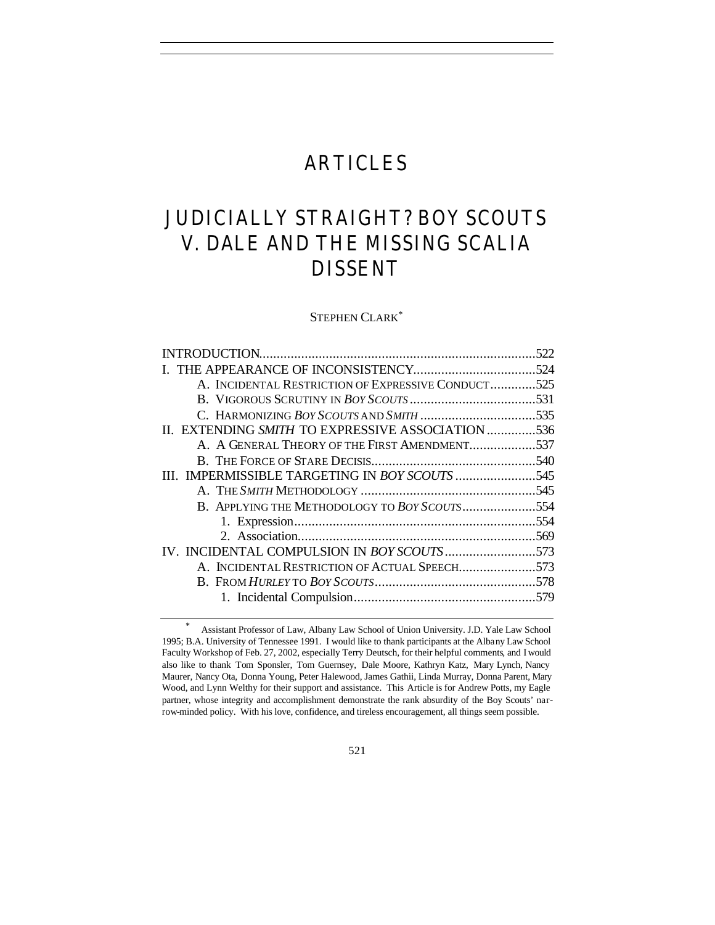## ARTICLES

# JUDICIALLY STRAIGHT? *BOY SCOUTS V. DALE* AND THE MISSING SCALIA DISSENT

STEPHEN CLARK\*

|                                                    | 522 |
|----------------------------------------------------|-----|
|                                                    |     |
| A. INCIDENTAL RESTRICTION OF EXPRESSIVE CONDUCT525 |     |
|                                                    |     |
|                                                    |     |
| II. EXTENDING SMITH TO EXPRESSIVE ASSOCIATION 536  |     |
| A. A GENERAL THEORY OF THE FIRST AMENDMENT537      |     |
|                                                    |     |
| III. IMPERMISSIBLE TARGETING IN BOY SCOUTS 545     |     |
|                                                    |     |
| B. APPLYING THE METHODOLOGY TO BOY SCOUTS554       |     |
|                                                    |     |
|                                                    |     |
| IV. INCIDENTAL COMPULSION IN BOY SCOUTS573         |     |
| A. INCIDENTAL RESTRICTION OF ACTUAL SPEECH573      |     |
|                                                    |     |
|                                                    |     |
|                                                    |     |

<sup>\*</sup> Assistant Professor of Law, Albany Law School of Union University. J.D. Yale Law School 1995; B.A. University of Tennessee 1991. I would like to thank participants at the Albany Law School Faculty Workshop of Feb. 27, 2002, especially Terry Deutsch, for their helpful comments, and I would also like to thank Tom Sponsler, Tom Guernsey, Dale Moore, Kathryn Katz, Mary Lynch, Nancy Maurer, Nancy Ota, Donna Young, Peter Halewood, James Gathii, Linda Murray, Donna Parent, Mary Wood, and Lynn Welthy for their support and assistance. This Article is for Andrew Potts, my Eagle partner, whose integrity and accomplishment demonstrate the rank absurdity of the Boy Scouts' narrow-minded policy. With his love, confidence, and tireless encouragement, all things seem possible.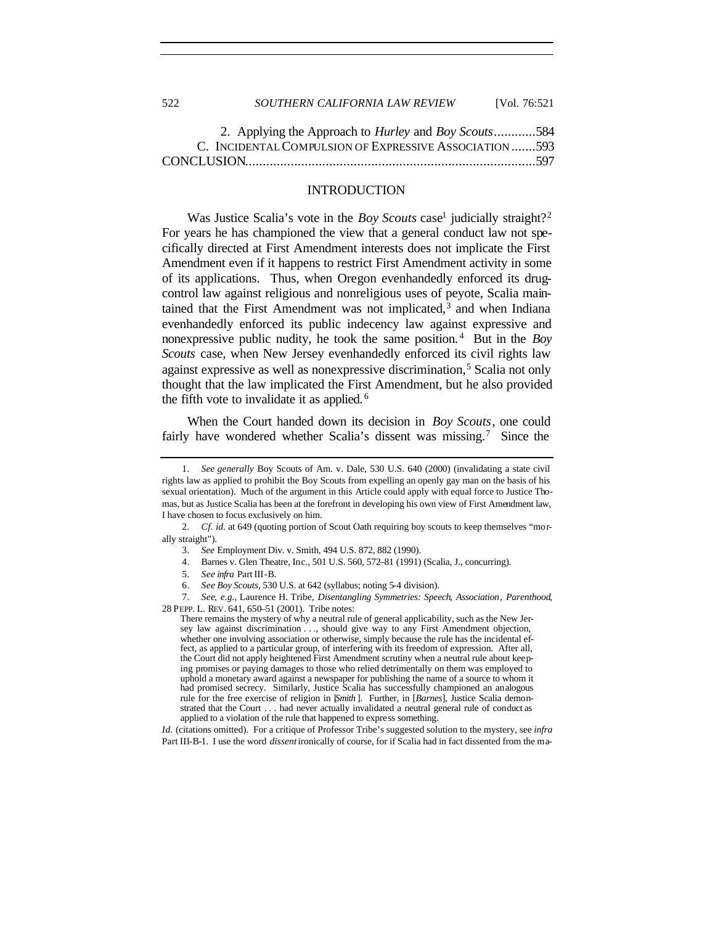| JLL | SOUTHERN CALIFORNIA LAW REVIEW                                      | $1 \text{V}$ 01. $70.321$ |
|-----|---------------------------------------------------------------------|---------------------------|
|     | 2. Applying the Approach to <i>Hurley</i> and <i>Boy Scouts</i> 584 |                           |
|     | C. INCIDENTAL COMPULSION OF EXPRESSIVE ASSOCIATION 593              |                           |

CONCLUSION...................................................................................597

## INTRODUCTION

Was Justice Scalia's vote in the *Boy Scouts* case<sup>1</sup> judicially straight?<sup>2</sup> For years he has championed the view that a general conduct law not specifically directed at First Amendment interests does not implicate the First Amendment even if it happens to restrict First Amendment activity in some of its applications. Thus, when Oregon evenhandedly enforced its drugcontrol law against religious and nonreligious uses of peyote, Scalia maintained that the First Amendment was not implicated, $3$  and when Indiana evenhandedly enforced its public indecency law against expressive and nonexpressive public nudity, he took the same position. <sup>4</sup> But in the *Boy Scouts* case, when New Jersey evenhandedly enforced its civil rights law against expressive as well as nonexpressive discrimination,<sup>5</sup> Scalia not only thought that the law implicated the First Amendment, but he also provided the fifth vote to invalidate it as applied. <sup>6</sup>

When the Court handed down its decision in *Boy Scouts*, one could fairly have wondered whether Scalia's dissent was missing.<sup>7</sup> Since the

- 5*. See infra* Part III-B.
- 6. *See Boy Scouts*, 530 U.S. at 642 (syllabus; noting 5-4 division).

7*. See, e.g.*, Laurence H. Tribe, *Disentangling Symmetries: Speech*, *Association*, *Parenthood*, 28 PEPP. L. REV. 641, 650–51 (2001). Tribe notes:

There remains the mystery of why a neutral rule of general applicability, such as the New Jersey law against discrimination . . , should give way to any First Amendment objection, whether one involving association or otherwise, simply because the rule has the incidental effect, as applied to a particular group, of interfering with its freedom of expression. After all, the Court did not apply heightened First Amendment scrutiny when a neutral rule about keeping promises or paying damages to those who relied detrimentally on them was employed to uphold a monetary award against a newspaper for publishing the name of a source to whom it had promised secrecy. Similarly, Justice Scalia has successfully championed an analogous rule for the free exercise of religion in [*Smith* ]. Further, in [*Barnes*], Justice Scalia demonstrated that the Court . . . had never actually invalidated a neutral general rule of conduct as applied to a violation of the rule that happened to express something.

*Id.* (citations omitted). For a critique of Professor Tribe's suggested solution to the mystery, see *infra* Part III-B-1. I use the word *dissent* ironically of course, for if Scalia had in fact dissented from the ma-

522 *SOUTHERN CALIFORNIA LAW REVIEW* [Vol. 76:521

<sup>1</sup>*. See generally* Boy Scouts of Am. v. Dale, 530 U.S. 640 (2000) (invalidating a state civil rights law as applied to prohibit the Boy Scouts from expelling an openly gay man on the basis of his sexual orientation). Much of the argument in this Article could apply with equal force to Justice Thomas, but as Justice Scalia has been at the forefront in developing his own view of First Amendment law, I have chosen to focus exclusively on him.

<sup>2</sup>*. Cf. id.* at 649 (quoting portion of Scout Oath requiring boy scouts to keep themselves "morally straight").

<sup>3</sup>*. See* Employment Div. v. Smith, 494 U.S. 872, 882 (1990).

<sup>4.</sup> Barnes v. Glen Theatre, Inc., 501 U.S. 560, 572–81 (1991) (Scalia, J., concurring).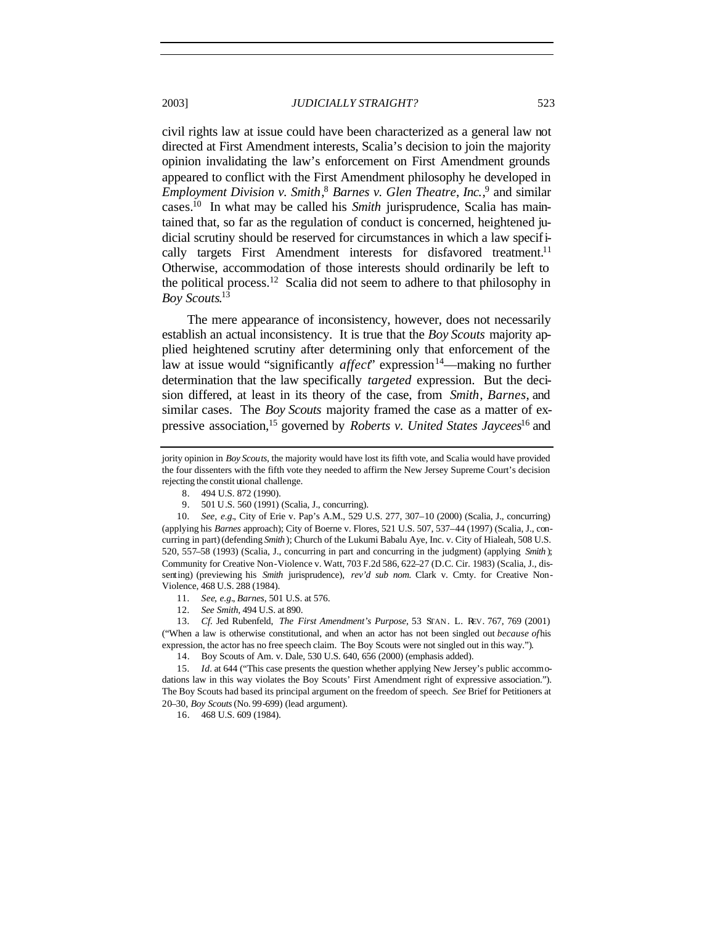civil rights law at issue could have been characterized as a general law not directed at First Amendment interests, Scalia's decision to join the majority opinion invalidating the law's enforcement on First Amendment grounds appeared to conflict with the First Amendment philosophy he developed in *Employment Division v. Smith*, <sup>8</sup> *Barnes v. Glen Theatre*, *Inc.*, 9 and similar cases.<sup>10</sup> In what may be called his *Smith* jurisprudence, Scalia has maintained that, so far as the regulation of conduct is concerned, heightened judicial scrutiny should be reserved for circumstances in which a law specifically targets First Amendment interests for disfavored treatment.<sup>11</sup> Otherwise, accommodation of those interests should ordinarily be left to the political process.<sup>12</sup> Scalia did not seem to adhere to that philosophy in *Boy Scouts*. 13

The mere appearance of inconsistency, however, does not necessarily establish an actual inconsistency. It is true that the *Boy Scouts* majority applied heightened scrutiny after determining only that enforcement of the law at issue would "significantly *affect*" expression<sup>14</sup>—making no further determination that the law specifically *targeted* expression. But the decision differed, at least in its theory of the case, from *Smith*, *Barnes*, and similar cases. The *Boy Scouts* majority framed the case as a matter of expressive association,<sup>15</sup> governed by *Roberts v. United States Jaycees*<sup>16</sup> and

- 8. 494 U.S. 872 (1990).
- 9. 501 U.S. 560 (1991) (Scalia, J., concurring).

10*. See, e.g.*, City of Erie v. Pap's A.M., 529 U.S. 277, 307–10 (2000) (Scalia, J., concurring) (applying his *Barnes* approach); City of Boerne v. Flores, 521 U.S. 507, 537–44 (1997) (Scalia, J., concurring in part) (defending *Smith* ); Church of the Lukumi Babalu Aye, Inc. v. City of Hialeah, 508 U.S. 520, 557–58 (1993) (Scalia, J., concurring in part and concurring in the judgment) (applying *Smith* ); Community for Creative Non-Violence v. Watt, 703 F.2d 586, 622–27 (D.C. Cir. 1983) (Scalia, J., dissenting) (previewing his *Smith* jurisprudence), *rev'd sub nom.* Clark v. Cmty. for Creative Non-Violence, 468 U.S. 288 (1984).

- 11*. See, e.g.*, *Barnes*, 501 U.S. at 576.
- 12*. See Smith*, 494 U.S. at 890.

13*. Cf.* Jed Rubenfeld, *The First Amendment's Purpose*, 53 STAN. L. REV. 767, 769 (2001) ("When a law is otherwise constitutional, and when an actor has not been singled out *because of* his expression, the actor has no free speech claim. The Boy Scouts were not singled out in this way.").

14. Boy Scouts of Am. v. Dale, 530 U.S. 640, 656 (2000) (emphasis added).

15*. Id.* at 644 ("This case presents the question whether applying New Jersey's public accommodations law in this way violates the Boy Scouts' First Amendment right of expressive association."). The Boy Scouts had based its principal argument on the freedom of speech. *See* Brief for Petitioners at 20–30, *Boy Scouts* (No. 99-699) (lead argument).

16. 468 U.S. 609 (1984).

jority opinion in *Boy Scouts*, the majority would have lost its fifth vote, and Scalia would have provided the four dissenters with the fifth vote they needed to affirm the New Jersey Supreme Court's decision rejecting the constit utional challenge.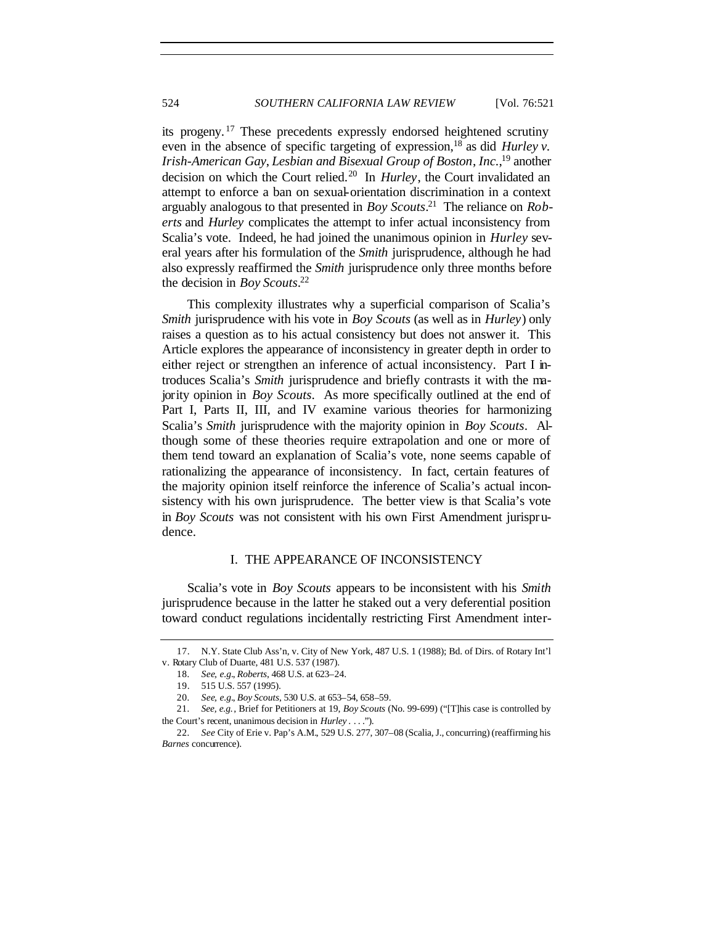its progeny. <sup>17</sup> These precedents expressly endorsed heightened scrutiny even in the absence of specific targeting of expression,<sup>18</sup> as did *Hurley v. Irish-American Gay*, *Lesbian and Bisexual Group of Boston*, *Inc.*, <sup>19</sup> another decision on which the Court relied.<sup>20</sup> In *Hurley*, the Court invalidated an attempt to enforce a ban on sexual-orientation discrimination in a context arguably analogous to that presented in *Boy Scouts*. <sup>21</sup> The reliance on *Roberts* and *Hurley* complicates the attempt to infer actual inconsistency from Scalia's vote. Indeed, he had joined the unanimous opinion in *Hurley* several years after his formulation of the *Smith* jurisprudence, although he had also expressly reaffirmed the *Smith* jurisprudence only three months before the decision in *Boy Scouts*. 22

This complexity illustrates why a superficial comparison of Scalia's *Smith* jurisprudence with his vote in *Boy Scouts* (as well as in *Hurley*) only raises a question as to his actual consistency but does not answer it. This Article explores the appearance of inconsistency in greater depth in order to either reject or strengthen an inference of actual inconsistency. Part I introduces Scalia's *Smith* jurisprudence and briefly contrasts it with the majority opinion in *Boy Scouts*. As more specifically outlined at the end of Part I, Parts II, III, and IV examine various theories for harmonizing Scalia's *Smith* jurisprudence with the majority opinion in *Boy Scouts*. Although some of these theories require extrapolation and one or more of them tend toward an explanation of Scalia's vote, none seems capable of rationalizing the appearance of inconsistency. In fact, certain features of the majority opinion itself reinforce the inference of Scalia's actual inconsistency with his own jurisprudence. The better view is that Scalia's vote in *Boy Scouts* was not consistent with his own First Amendment jurisprudence.

## I. THE APPEARANCE OF INCONSISTENCY

Scalia's vote in *Boy Scouts* appears to be inconsistent with his *Smith* jurisprudence because in the latter he staked out a very deferential position toward conduct regulations incidentally restricting First Amendment inter-

<sup>17.</sup> N.Y. State Club Ass'n, v. City of New York, 487 U.S. 1 (1988); Bd. of Dirs. of Rotary Int'l v. Rotary Club of Duarte, 481 U.S. 537 (1987).

<sup>18</sup>*. See, e.g.*, *Roberts*, 468 U.S. at 623–24.

<sup>19.</sup> 515 U.S. 557 (1995).

<sup>20</sup>*. See, e.g.*, *Boy Scouts*, 530 U.S. at 653–54, 658–59.

<sup>21</sup>*. See, e.g.*, Brief for Petitioners at 19, *Boy Scouts* (No. 99-699) ("[T]his case is controlled by the Court's recent, unanimous decision in *Hurley* . . . .").

<sup>22</sup>*. See* City of Erie v. Pap's A.M.*,* 529 U.S. 277, 307–08 (Scalia, J., concurring) (reaffirming his *Barnes* concurrence).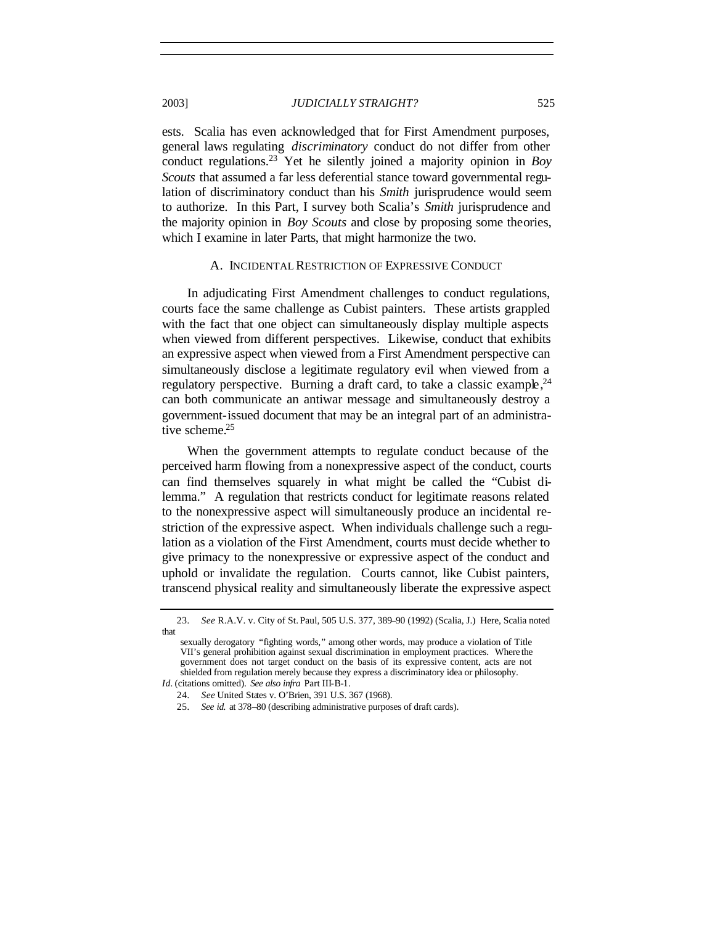ests. Scalia has even acknowledged that for First Amendment purposes, general laws regulating *discriminatory* conduct do not differ from other conduct regulations.<sup>23</sup> Yet he silently joined a majority opinion in *Boy Scouts* that assumed a far less deferential stance toward governmental regulation of discriminatory conduct than his *Smith* jurisprudence would seem to authorize. In this Part, I survey both Scalia's *Smith* jurisprudence and the majority opinion in *Boy Scouts* and close by proposing some theories, which I examine in later Parts, that might harmonize the two.

## A. INCIDENTAL RESTRICTION OF EXPRESSIVE CONDUCT

In adjudicating First Amendment challenges to conduct regulations, courts face the same challenge as Cubist painters. These artists grappled with the fact that one object can simultaneously display multiple aspects when viewed from different perspectives. Likewise, conduct that exhibits an expressive aspect when viewed from a First Amendment perspective can simultaneously disclose a legitimate regulatory evil when viewed from a regulatory perspective. Burning a draft card, to take a classic example,  $24$ can both communicate an antiwar message and simultaneously destroy a government-issued document that may be an integral part of an administrative scheme.<sup>25</sup>

When the government attempts to regulate conduct because of the perceived harm flowing from a nonexpressive aspect of the conduct, courts can find themselves squarely in what might be called the "Cubist dilemma." A regulation that restricts conduct for legitimate reasons related to the nonexpressive aspect will simultaneously produce an incidental restriction of the expressive aspect. When individuals challenge such a regulation as a violation of the First Amendment, courts must decide whether to give primacy to the nonexpressive or expressive aspect of the conduct and uphold or invalidate the regulation. Courts cannot, like Cubist painters, transcend physical reality and simultaneously liberate the expressive aspect

<sup>23</sup>*. See* R.A.V. v. City of St. Paul, 505 U.S. 377, 389–90 (1992) (Scalia, J.) Here, Scalia noted that

sexually derogatory "fighting words," among other words, may produce a violation of Title VII's general prohibition against sexual discrimination in employment practices. Where the government does not target conduct on the basis of its expressive content, acts are not shielded from regulation merely because they express a discriminatory idea or philosophy. *Id.* (citations omitted). *See also infra* Part III-B-1.

<sup>24</sup>*. See* United States v. O'Brien, 391 U.S. 367 (1968).

<sup>25</sup>*. See id.* at 378–80 (describing administrative purposes of draft cards).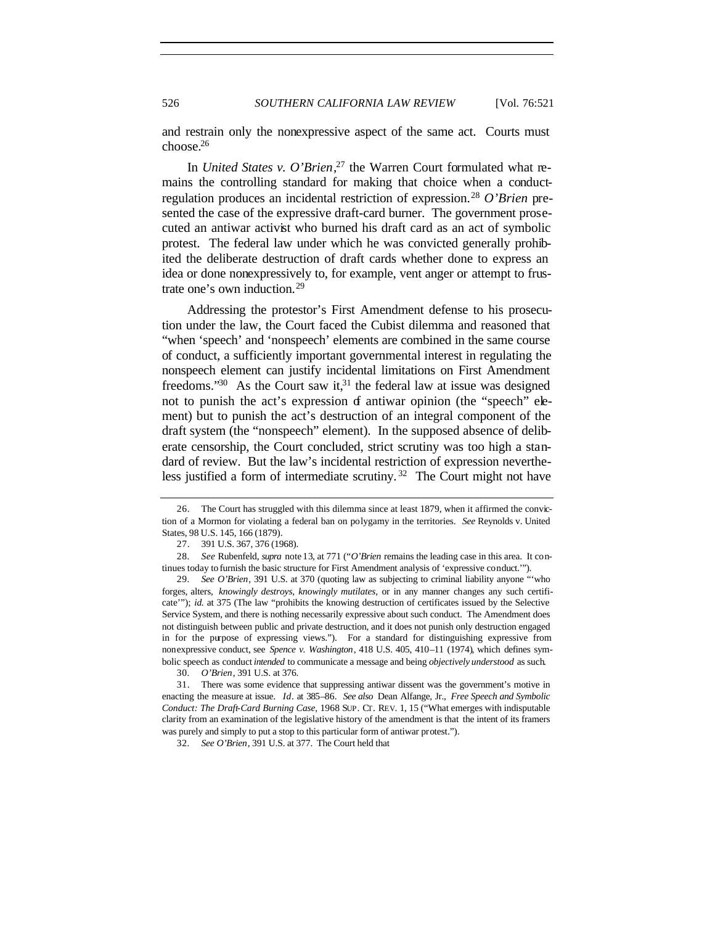and restrain only the nonexpressive aspect of the same act. Courts must choose.<sup>26</sup>

In *United States v. O'Brien*, 27 the Warren Court formulated what remains the controlling standard for making that choice when a conductregulation produces an incidental restriction of expression.<sup>28</sup> *O'Brien* presented the case of the expressive draft-card burner. The government prosecuted an antiwar activist who burned his draft card as an act of symbolic protest. The federal law under which he was convicted generally prohibited the deliberate destruction of draft cards whether done to express an idea or done nonexpressively to, for example, vent anger or attempt to frustrate one's own induction.<sup>29</sup>

Addressing the protestor's First Amendment defense to his prosecution under the law, the Court faced the Cubist dilemma and reasoned that "when 'speech' and 'nonspeech' elements are combined in the same course of conduct, a sufficiently important governmental interest in regulating the nonspeech element can justify incidental limitations on First Amendment freedoms." $30$  As the Court saw it, $31$  the federal law at issue was designed not to punish the act's expression of antiwar opinion (the "speech" element) but to punish the act's destruction of an integral component of the draft system (the "nonspeech" element). In the supposed absence of deliberate censorship, the Court concluded, strict scrutiny was too high a standard of review. But the law's incidental restriction of expression nevertheless justified a form of intermediate scrutiny.<sup>32</sup> The Court might not have

<sup>26.</sup> The Court has struggled with this dilemma since at least 1879, when it affirmed the conviction of a Mormon for violating a federal ban on polygamy in the territories. *See* Reynolds v. United States, 98 U.S. 145, 166 (1879).

<sup>27.</sup> 391 U.S. 367, 376 (1968).

<sup>28</sup>*. See* Rubenfeld, *supra* note 13, at 771 ("*O'Brien* remains the leading case in this area. It continues today to furnish the basic structure for First Amendment analysis of 'expressive conduct.'").

<sup>29</sup>*. See O'Brien*, 391 U.S. at 370 (quoting law as subjecting to criminal liability anyone "'who forges, alters, *knowingly destroys*, *knowingly mutilates*, or in any manner changes any such certificate""); *id.* at 375 (The law "prohibits the knowing destruction of certificates issued by the Selective Service System, and there is nothing necessarily expressive about such conduct. The Amendment does not distinguish between public and private destruction, and it does not punish only destruction engaged in for the purpose of expressing views."). For a standard for distinguishing expressive from nonexpressive conduct, see *Spence v. Washington*, 418 U.S. 405, 410–11 (1974), which defines symbolic speech as conduct *intended* to communicate a message and being *objectively understood* as such.

<sup>30</sup>*. O'Brien*, 391 U.S. at 376.

<sup>31.</sup> There was some evidence that suppressing antiwar dissent was the government's motive in enacting the measure at issue. *Id*. at 385–86. *See also* Dean Alfange, Jr., *Free Speech and Symbolic Conduct: The Draft-Card Burning Case*, 1968 SUP. CT. REV. 1, 15 ("What emerges with indisputable clarity from an examination of the legislative history of the amendment is that the intent of its framers was purely and simply to put a stop to this particular form of antiwar protest.").

<sup>32</sup>*. See O'Brien*, 391 U.S. at 377. The Court held that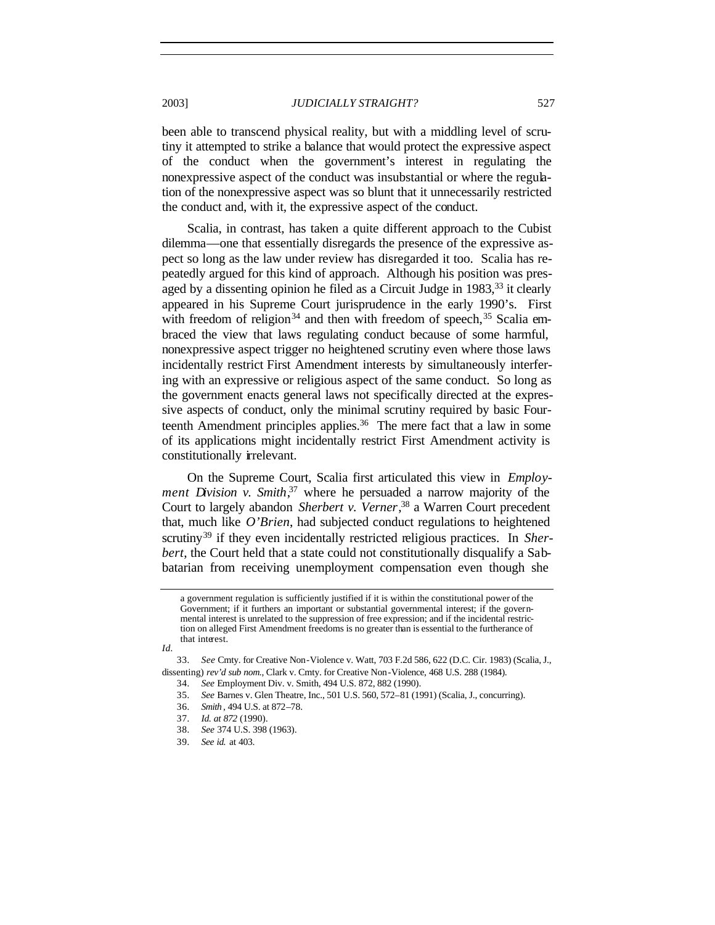been able to transcend physical reality, but with a middling level of scrutiny it attempted to strike a balance that would protect the expressive aspect of the conduct when the government's interest in regulating the nonexpressive aspect of the conduct was insubstantial or where the regulation of the nonexpressive aspect was so blunt that it unnecessarily restricted the conduct and, with it, the expressive aspect of the conduct.

Scalia, in contrast, has taken a quite different approach to the Cubist dilemma—one that essentially disregards the presence of the expressive aspect so long as the law under review has disregarded it too. Scalia has repeatedly argued for this kind of approach. Although his position was presaged by a dissenting opinion he filed as a Circuit Judge in 1983,<sup>33</sup> it clearly appeared in his Supreme Court jurisprudence in the early 1990's. First with freedom of religion<sup>34</sup> and then with freedom of speech,<sup>35</sup> Scalia embraced the view that laws regulating conduct because of some harmful, nonexpressive aspect trigger no heightened scrutiny even where those laws incidentally restrict First Amendment interests by simultaneously interfering with an expressive or religious aspect of the same conduct. So long as the government enacts general laws not specifically directed at the expressive aspects of conduct, only the minimal scrutiny required by basic Fourteenth Amendment principles applies.<sup>36</sup> The mere fact that a law in some of its applications might incidentally restrict First Amendment activity is constitutionally irrelevant.

On the Supreme Court, Scalia first articulated this view in *Employment Division v. Smith*, <sup>37</sup> where he persuaded a narrow majority of the Court to largely abandon *Sherbert v. Verner*, <sup>38</sup> a Warren Court precedent that, much like *O'Brien*, had subjected conduct regulations to heightened scrutiny<sup>39</sup> if they even incidentally restricted religious practices. In *Sherbert*, the Court held that a state could not constitutionally disqualify a Sabbatarian from receiving unemployment compensation even though she

a government regulation is sufficiently justified if it is within the constitutional power of the Government; if it furthers an important or substantial governmental interest; if the governmental interest is unrelated to the suppression of free expression; and if the incidental restriction on alleged First Amendment freedoms is no greater than is essential to the furtherance of that interest.

*Id.*

<sup>33</sup>*. See* Cmty. for Creative Non-Violence v. Watt, 703 F.2d 586, 622 (D.C. Cir. 1983) (Scalia, J., dissenting) *rev'd sub nom.*, Clark v. Cmty. for Creative Non-Violence, 468 U.S. 288 (1984).

<sup>34</sup>*. See* Employment Div. v. Smith, 494 U.S. 872, 882 (1990).

<sup>35</sup>*. See* Barnes v. Glen Theatre, Inc., 501 U.S. 560, 572–81 (1991) (Scalia, J., concurring).

<sup>36</sup>*. Smith* , 494 U.S. at 872–78.

<sup>37</sup>*. Id. at 872* (1990).

<sup>38</sup>*. See* 374 U.S. 398 (1963).

<sup>39</sup>*. See id.* at 403.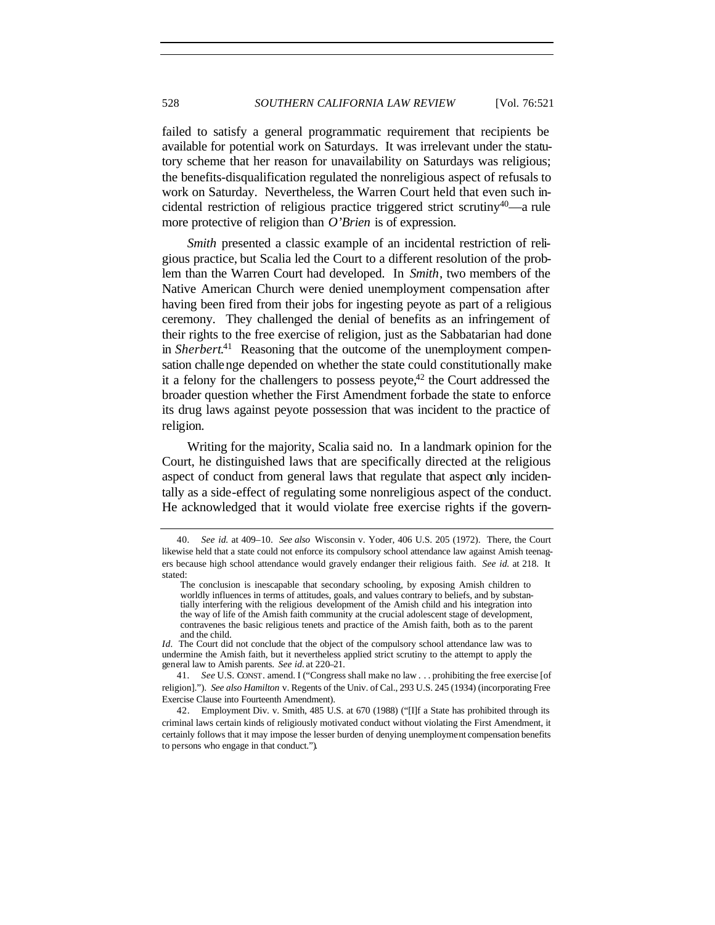failed to satisfy a general programmatic requirement that recipients be available for potential work on Saturdays. It was irrelevant under the statutory scheme that her reason for unavailability on Saturdays was religious; the benefits-disqualification regulated the nonreligious aspect of refusals to work on Saturday. Nevertheless, the Warren Court held that even such incidental restriction of religious practice triggered strict scrutiny<sup>40</sup>—a rule more protective of religion than *O'Brien* is of expression.

*Smith* presented a classic example of an incidental restriction of religious practice, but Scalia led the Court to a different resolution of the problem than the Warren Court had developed. In *Smith*, two members of the Native American Church were denied unemployment compensation after having been fired from their jobs for ingesting peyote as part of a religious ceremony. They challenged the denial of benefits as an infringement of their rights to the free exercise of religion, just as the Sabbatarian had done in *Sherbert*. 41 Reasoning that the outcome of the unemployment compensation challenge depended on whether the state could constitutionally make it a felony for the challengers to possess peyote, $42$  the Court addressed the broader question whether the First Amendment forbade the state to enforce its drug laws against peyote possession that was incident to the practice of religion.

Writing for the majority, Scalia said no. In a landmark opinion for the Court, he distinguished laws that are specifically directed at the religious aspect of conduct from general laws that regulate that aspect only incidentally as a side-effect of regulating some nonreligious aspect of the conduct. He acknowledged that it would violate free exercise rights if the govern-

<sup>40</sup>*. See id.* at 409–10. *See also* Wisconsin v. Yoder, 406 U.S. 205 (1972). There, the Court likewise held that a state could not enforce its compulsory school attendance law against Amish teenagers because high school attendance would gravely endanger their religious faith. *See id.* at 218. It stated:

The conclusion is inescapable that secondary schooling, by exposing Amish children to worldly influences in terms of attitudes, goals, and values contrary to beliefs, and by substantially interfering with the religious development of the Amish child and his integration into the way of life of the Amish faith community at the crucial adolescent stage of development, contravenes the basic religious tenets and practice of the Amish faith, both as to the parent and the child.

*Id.* The Court did not conclude that the object of the compulsory school attendance law was to undermine the Amish faith, but it nevertheless applied strict scrutiny to the attempt to apply the general law to Amish parents. *See id.* at 220–21.

<sup>41</sup>*. See* U.S. CONST. amend. I ("Congress shall make no law . . . prohibiting the free exercise [of religion]."). *See also Hamilton* v. Regents of the Univ. of Cal., 293 U.S. 245 (1934) (incorporating Free Exercise Clause into Fourteenth Amendment).

<sup>42.</sup> Employment Div. v. Smith, 485 U.S. at 670 (1988) ("[I]f a State has prohibited through its criminal laws certain kinds of religiously motivated conduct without violating the First Amendment, it certainly follows that it may impose the lesser burden of denying unemployment compensation benefits to persons who engage in that conduct.").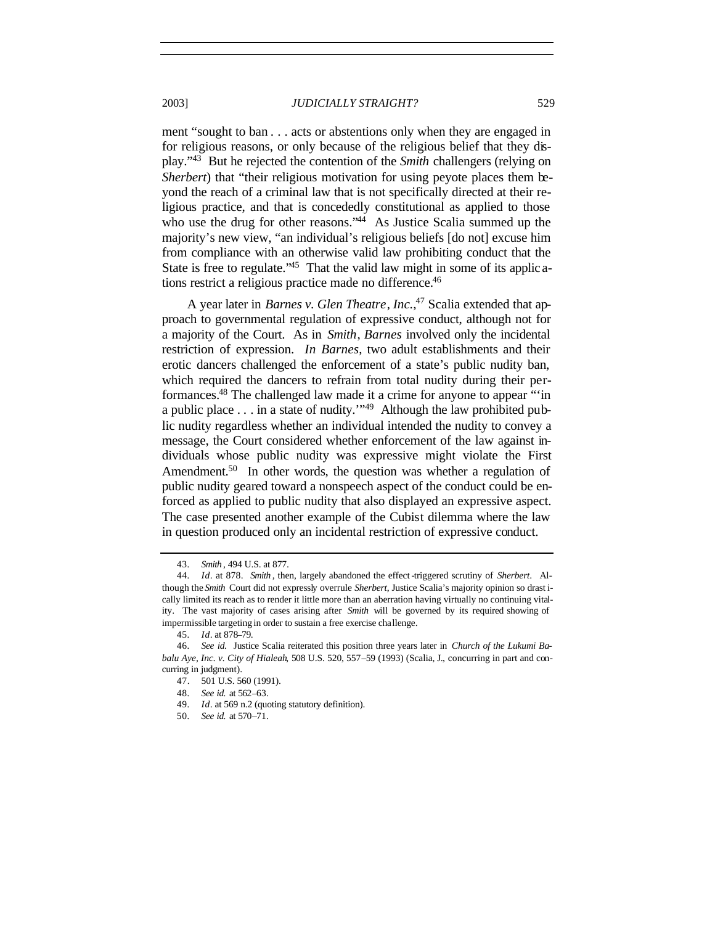ment "sought to ban . . . acts or abstentions only when they are engaged in for religious reasons, or only because of the religious belief that they display."<sup>43</sup> But he rejected the contention of the *Smith* challengers (relying on *Sherbert*) that "their religious motivation for using peyote places them beyond the reach of a criminal law that is not specifically directed at their religious practice, and that is concededly constitutional as applied to those who use the drug for other reasons."<sup>44</sup> As Justice Scalia summed up the majority's new view, "an individual's religious beliefs [do not] excuse him from compliance with an otherwise valid law prohibiting conduct that the State is free to regulate.<sup>245</sup> That the valid law might in some of its applic ations restrict a religious practice made no difference.<sup>46</sup>

A year later in *Barnes v. Glen Theatre*, *Inc.*, 47 Scalia extended that approach to governmental regulation of expressive conduct, although not for a majority of the Court. As in *Smith*, *Barnes* involved only the incidental restriction of expression. *In Barnes*, two adult establishments and their erotic dancers challenged the enforcement of a state's public nudity ban, which required the dancers to refrain from total nudity during their performances.<sup>48</sup> The challenged law made it a crime for anyone to appear "'in a public place . . . in a state of nudity.'"<sup>49</sup> Although the law prohibited public nudity regardless whether an individual intended the nudity to convey a message, the Court considered whether enforcement of the law against individuals whose public nudity was expressive might violate the First Amendment.<sup>50</sup> In other words, the question was whether a regulation of public nudity geared toward a nonspeech aspect of the conduct could be enforced as applied to public nudity that also displayed an expressive aspect. The case presented another example of the Cubist dilemma where the law in question produced only an incidental restriction of expressive conduct.

<sup>43</sup>*. Smith* , 494 U.S. at 877.

<sup>44</sup>*. Id*. at 878. *Smith* , then, largely abandoned the effect -triggered scrutiny of *Sherbert*. Although the *Smith* Court did not expressly overrule *Sherbert*, Justice Scalia's majority opinion so drast ically limited its reach as to render it little more than an aberration having virtually no continuing vitality. The vast majority of cases arising after *Smith* will be governed by its required showing of impermissible targeting in order to sustain a free exercise challenge.

<sup>45</sup>*. Id*. at 878–79.

<sup>46</sup>*. See id.* Justice Scalia reiterated this position three years later in *Church of the Lukumi Babalu Aye, Inc. v. City of Hialeah*, 508 U.S. 520, 557–59 (1993) (Scalia, J., concurring in part and concurring in judgment).

<sup>47.</sup> 501 U.S. 560 (1991).

<sup>48</sup>*. See id.* at 562–63.

<sup>49</sup>*. Id*. at 569 n.2 (quoting statutory definition).

<sup>50</sup>*. See id.* at 570–71.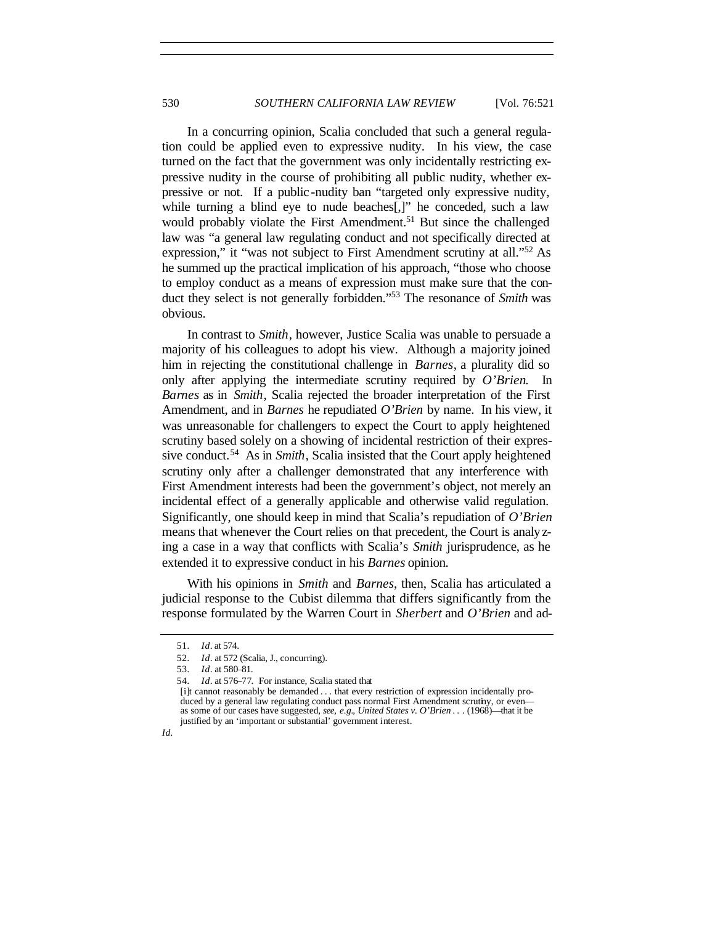In a concurring opinion, Scalia concluded that such a general regulation could be applied even to expressive nudity. In his view, the case turned on the fact that the government was only incidentally restricting expressive nudity in the course of prohibiting all public nudity, whether expressive or not. If a public -nudity ban "targeted only expressive nudity, while turning a blind eye to nude beaches..." he conceded, such a law would probably violate the First Amendment.<sup>51</sup> But since the challenged law was "a general law regulating conduct and not specifically directed at expression," it "was not subject to First Amendment scrutiny at all."<sup>52</sup> As he summed up the practical implication of his approach, "those who choose to employ conduct as a means of expression must make sure that the conduct they select is not generally forbidden."<sup>53</sup> The resonance of *Smith* was obvious.

In contrast to *Smith*, however, Justice Scalia was unable to persuade a majority of his colleagues to adopt his view. Although a majority joined him in rejecting the constitutional challenge in *Barnes*, a plurality did so only after applying the intermediate scrutiny required by *O'Brien*. In *Barnes* as in *Smith*, Scalia rejected the broader interpretation of the First Amendment, and in *Barnes* he repudiated *O'Brien* by name. In his view, it was unreasonable for challengers to expect the Court to apply heightened scrutiny based solely on a showing of incidental restriction of their expressive conduct.<sup>54</sup> As in *Smith*, Scalia insisted that the Court apply heightened scrutiny only after a challenger demonstrated that any interference with First Amendment interests had been the government's object, not merely an incidental effect of a generally applicable and otherwise valid regulation. Significantly, one should keep in mind that Scalia's repudiation of *O'Brien* means that whenever the Court relies on that precedent, the Court is analyzing a case in a way that conflicts with Scalia's *Smith* jurisprudence, as he extended it to expressive conduct in his *Barnes* opinion.

With his opinions in *Smith* and *Barnes*, then, Scalia has articulated a judicial response to the Cubist dilemma that differs significantly from the response formulated by the Warren Court in *Sherbert* and *O'Brien* and ad-

*Id.*

<sup>51</sup>*. Id*. at 574.

<sup>52</sup>*. Id*. at 572 (Scalia, J., concurring).

<sup>53</sup>*. Id*. at 580–81.

<sup>54</sup>*. Id*. at 576–77. For instance, Scalia stated that

<sup>[</sup>i]t cannot reasonably be demanded . . . that every restriction of expression incidentally produced by a general law regulating conduct pass normal First Amendment scrutiny, or even as some of our cases have suggested, *see, e.g.*, *United States v. O'Brien* . . . (1968)—that it be justified by an 'important or substantial' government interest.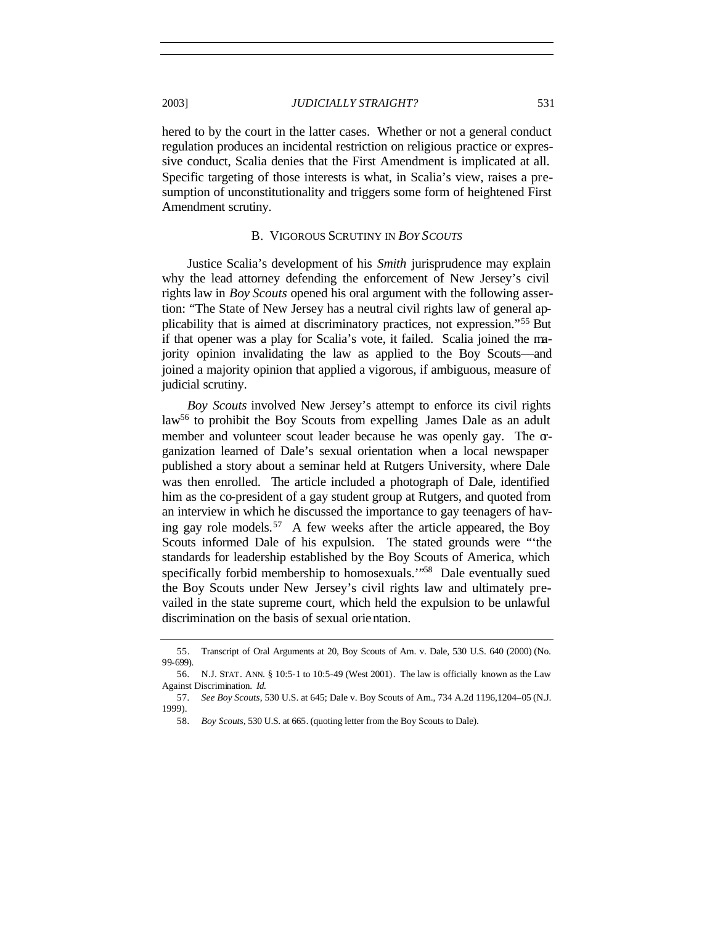hered to by the court in the latter cases. Whether or not a general conduct regulation produces an incidental restriction on religious practice or expressive conduct, Scalia denies that the First Amendment is implicated at all. Specific targeting of those interests is what, in Scalia's view, raises a presumption of unconstitutionality and triggers some form of heightened First Amendment scrutiny.

#### B. VIGOROUS SCRUTINY IN *BOY SCOUTS*

Justice Scalia's development of his *Smith* jurisprudence may explain why the lead attorney defending the enforcement of New Jersey's civil rights law in *Boy Scouts* opened his oral argument with the following assertion: "The State of New Jersey has a neutral civil rights law of general applicability that is aimed at discriminatory practices, not expression."<sup>55</sup> But if that opener was a play for Scalia's vote, it failed. Scalia joined the majority opinion invalidating the law as applied to the Boy Scouts—and joined a majority opinion that applied a vigorous, if ambiguous, measure of judicial scrutiny.

*Boy Scouts* involved New Jersey's attempt to enforce its civil rights law<sup>56</sup> to prohibit the Boy Scouts from expelling James Dale as an adult member and volunteer scout leader because he was openly gay. The  $\sigma$ ganization learned of Dale's sexual orientation when a local newspaper published a story about a seminar held at Rutgers University, where Dale was then enrolled. The article included a photograph of Dale, identified him as the co-president of a gay student group at Rutgers, and quoted from an interview in which he discussed the importance to gay teenagers of having gay role models.<sup>57</sup> A few weeks after the article appeared, the Boy Scouts informed Dale of his expulsion. The stated grounds were "'the standards for leadership established by the Boy Scouts of America, which specifically forbid membership to homosexuals."<sup>58</sup> Dale eventually sued the Boy Scouts under New Jersey's civil rights law and ultimately prevailed in the state supreme court, which held the expulsion to be unlawful discrimination on the basis of sexual orientation.

<sup>55.</sup> Transcript of Oral Arguments at 20, Boy Scouts of Am. v. Dale, 530 U.S. 640 (2000) (No. 99-699).

<sup>56</sup>*.* N.J. STAT. ANN. § 10:5-1 to 10:5-49 (West 2001). The law is officially known as the Law Against Discrimination. *Id.*

<sup>57</sup>*. See Boy Scouts*, 530 U.S. at 645; Dale v. Boy Scouts of Am., 734 A.2d 1196,1204–05 (N.J. 1999).

<sup>58</sup>*. Boy Scouts*, 530 U.S. at 665*.* (quoting letter from the Boy Scouts to Dale).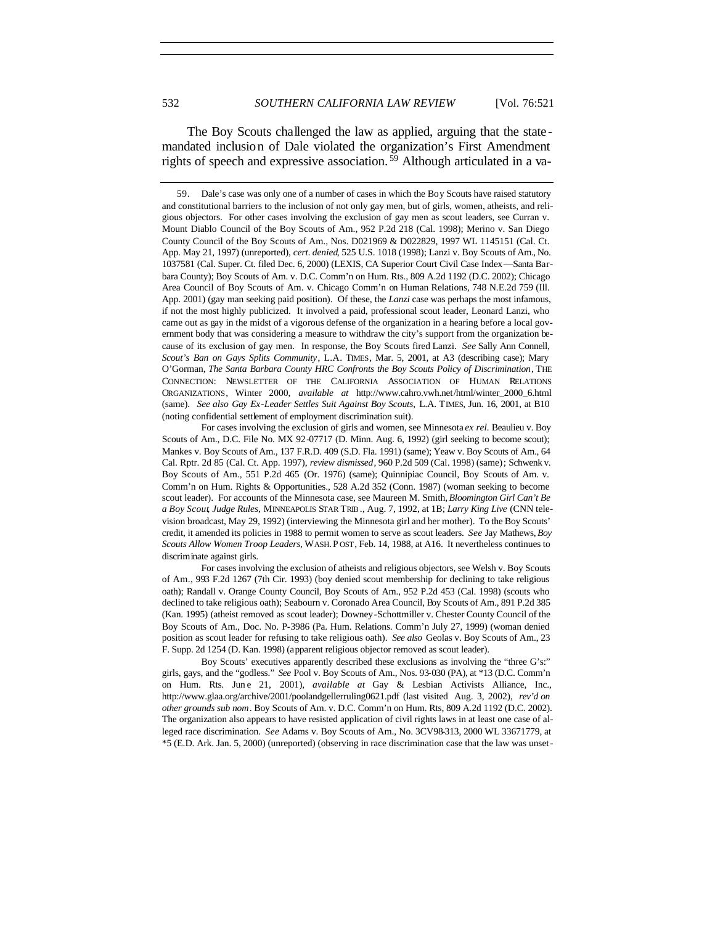The Boy Scouts challenged the law as applied, arguing that the state mandated inclusion of Dale violated the organization's First Amendment rights of speech and expressive association.<sup>59</sup> Although articulated in a va-

For cases involving the exclusion of girls and women, see Minnesota *ex rel.* Beaulieu v. Boy Scouts of Am., D.C. File No. MX 92-07717 (D. Minn. Aug. 6, 1992) (girl seeking to become scout); Mankes v. Boy Scouts of Am., 137 F.R.D. 409 (S.D. Fla. 1991) (same); Yeaw v. Boy Scouts of Am., 64 Cal. Rptr. 2d 85 (Cal. Ct. App. 1997), *review dismissed*, 960 P.2d 509 (Cal. 1998) (same); Schwenk v. Boy Scouts of Am., 551 P.2d 465 (Or. 1976) (same); Quinnipiac Council, Boy Scouts of Am. v. Comm'n on Hum. Rights & Opportunities., 528 A.2d 352 (Conn. 1987) (woman seeking to become scout leader). For accounts of the Minnesota case, see Maureen M. Smith, *Bloomington Girl Can't Be a Boy Scout*, *Judge Rules*, MINNEAPOLIS STAR TRIB., Aug. 7, 1992, at 1B; *Larry King Live* (CNN television broadcast, May 29, 1992) (interviewing the Minnesota girl and her mother). To the Boy Scouts' credit, it amended its policies in 1988 to permit women to serve as scout leaders. *See* Jay Mathews, *Boy Scouts Allow Women Troop Leaders*, WASH. P OST, Feb. 14, 1988, at A16. It nevertheless continues to discriminate against girls.

For cases involving the exclusion of atheists and religious objectors, see Welsh v. Boy Scouts of Am., 993 F.2d 1267 (7th Cir. 1993) (boy denied scout membership for declining to take religious oath); Randall v. Orange County Council, Boy Scouts of Am., 952 P.2d 453 (Cal. 1998) (scouts who declined to take religious oath); Seabourn v. Coronado Area Council, Boy Scouts of Am., 891 P.2d 385 (Kan. 1995) (atheist removed as scout leader); Downey-Schottmiller v. Chester County Council of the Boy Scouts of Am., Doc. No. P-3986 (Pa. Hum. Relations. Comm'n July 27, 1999) (woman denied position as scout leader for refusing to take religious oath). *See also* Geolas v. Boy Scouts of Am., 23 F. Supp. 2d 1254 (D. Kan. 1998) (apparent religious objector removed as scout leader).

Boy Scouts' executives apparently described these exclusions as involving the "three G's:" girls, gays, and the "godless." *See* Pool v. Boy Scouts of Am., Nos. 93-030 (PA), at \*13 (D.C. Comm'n on Hum. Rts. Jun e 21, 2001), *available at* Gay & Lesbian Activists Alliance, Inc., http://www.glaa.org/archive/2001/poolandgellerruling0621.pdf (last visited Aug. 3, 2002), *rev'd on other grounds sub nom*. Boy Scouts of Am. v. D.C. Comm'n on Hum. Rts, 809 A.2d 1192 (D.C. 2002). The organization also appears to have resisted application of civil rights laws in at least one case of alleged race discrimination. *See* Adams v. Boy Scouts of Am., No. 3CV98-313, 2000 WL 33671779, at \*5 (E.D. Ark. Jan. 5, 2000) (unreported) (observing in race discrimination case that the law was unset-

<sup>59.</sup> Dale's case was only one of a number of cases in which the Boy Scouts have raised statutory and constitutional barriers to the inclusion of not only gay men, but of girls, women, atheists, and religious objectors. For other cases involving the exclusion of gay men as scout leaders, see Curran v. Mount Diablo Council of the Boy Scouts of Am., 952 P.2d 218 (Cal. 1998); Merino v. San Diego County Council of the Boy Scouts of Am., Nos. D021969 & D022829, 1997 WL 1145151 (Cal. Ct. App. May 21, 1997) (unreported), *cert. denied*, 525 U.S. 1018 (1998); Lanzi v. Boy Scouts of Am., No. 1037581 (Cal. Super. Ct. filed Dec. 6, 2000) (LEXIS, CA Superior Court Civil Case Index—Santa Barbara County); Boy Scouts of Am. v. D.C. Comm'n on Hum. Rts., 809 A.2d 1192 (D.C. 2002); Chicago Area Council of Boy Scouts of Am. v. Chicago Comm'n on Human Relations, 748 N.E.2d 759 (Ill. App. 2001) (gay man seeking paid position). Of these, the *Lanzi* case was perhaps the most infamous, if not the most highly publicized. It involved a paid, professional scout leader, Leonard Lanzi, who came out as gay in the midst of a vigorous defense of the organization in a hearing before a local government body that was considering a measure to withdraw the city's support from the organization because of its exclusion of gay men. In response, the Boy Scouts fired Lanzi. *See* Sally Ann Connell, *Scout's Ban on Gays Splits Community*, L.A. TIMES, Mar. 5, 2001, at A3 (describing case); Mary O'Gorman, *The Santa Barbara County HRC Confronts the Boy Scouts Policy of Discrimination*, THE CONNECTION: NEWSLETTER OF THE CALIFORNIA ASSOCIATION OF HUMAN RELATIONS ORGANIZATIONS, Winter 2000, *available at* http://www.cahro.vwh.net/html/winter\_2000\_6.html (same). *See also Gay Ex-Leader Settles Suit Against Boy Scouts*, L.A. TIMES, Jun. 16, 2001, at B10 (noting confidential settlement of employment discrimination suit).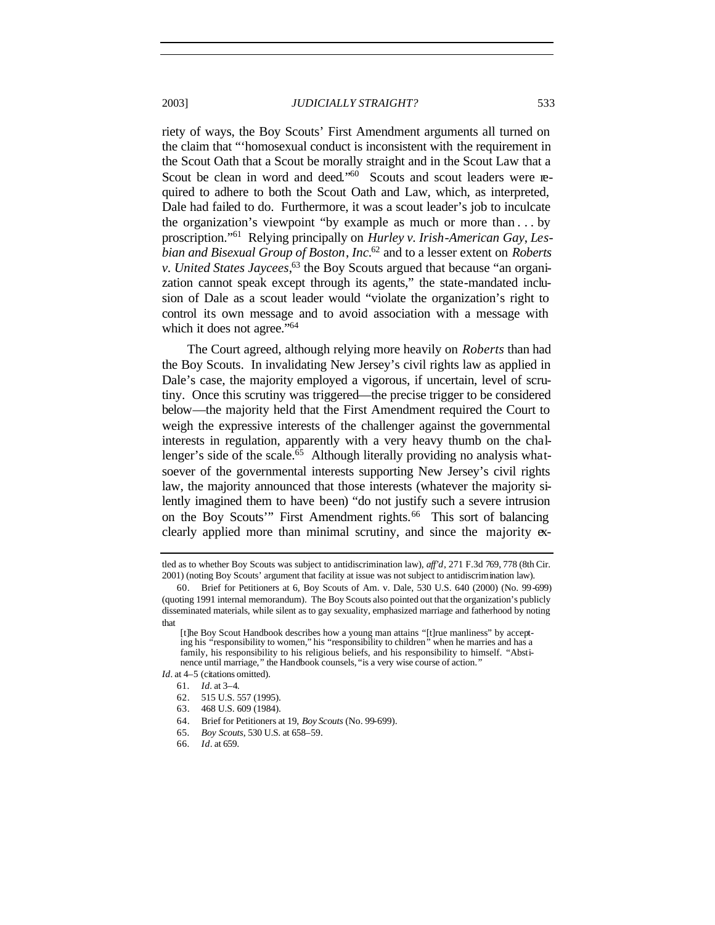riety of ways, the Boy Scouts' First Amendment arguments all turned on the claim that "'homosexual conduct is inconsistent with the requirement in the Scout Oath that a Scout be morally straight and in the Scout Law that a Scout be clean in word and deed."<sup>60</sup> Scouts and scout leaders were required to adhere to both the Scout Oath and Law, which, as interpreted, Dale had failed to do. Furthermore, it was a scout leader's job to inculcate the organization's viewpoint "by example as much or more than . . . by proscription."<sup>61</sup> Relying principally on *Hurley v. Irish-American Gay*, *Lesbian and Bisexual Group of Boston*, *Inc.*<sup>62</sup> and to a lesser extent on *Roberts v. United States Jaycees*, <sup>63</sup> the Boy Scouts argued that because "an organization cannot speak except through its agents," the state-mandated inclusion of Dale as a scout leader would "violate the organization's right to control its own message and to avoid association with a message with which it does not agree."<sup>64</sup>

The Court agreed, although relying more heavily on *Roberts* than had the Boy Scouts. In invalidating New Jersey's civil rights law as applied in Dale's case, the majority employed a vigorous, if uncertain, level of scrutiny. Once this scrutiny was triggered—the precise trigger to be considered below—the majority held that the First Amendment required the Court to weigh the expressive interests of the challenger against the governmental interests in regulation, apparently with a very heavy thumb on the challenger's side of the scale.<sup>65</sup> Although literally providing no analysis whatsoever of the governmental interests supporting New Jersey's civil rights law, the majority announced that those interests (whatever the majority silently imagined them to have been) "do not justify such a severe intrusion on the Boy Scouts'" First Amendment rights.<sup>66</sup> This sort of balancing clearly applied more than minimal scrutiny, and since the majority ex-

- 61*. Id.* at 3–4.
	- 62. 515 U.S. 557 (1995).
	- 63. 468 U.S. 609 (1984).
	- 64. Brief for Petitioners at 19, *Boy Scouts* (No. 99-699).
	- 65*. Boy Scouts*, 530 U.S. at 658–59.
	- 66*. Id*. at 659.

tled as to whether Boy Scouts was subject to antidiscrimination law), *aff'd*, 271 F.3d 769, 778 (8th Cir. 2001) (noting Boy Scouts' argument that facility at issue was not subject to antidiscrimination law).

<sup>60.</sup> Brief for Petitioners at 6, Boy Scouts of Am. v. Dale, 530 U.S. 640 (2000) (No. 99-699) (quoting 1991 internal memorandum). The Boy Scouts also pointed out that the organization's publicly disseminated materials, while silent as to gay sexuality, emphasized marriage and fatherhood by noting that

<sup>[</sup>t]he Boy Scout Handbook describes how a young man attains "[t]rue manliness" by accepting his "responsibility to women," his "responsibility to children" when he marries and has a family, his responsibility to his religious beliefs, and his responsibility to himself. "Abstinence until marriage," the Handbook counsels, "is a very wise course of action."

*Id.* at 4–5 (citations omitted).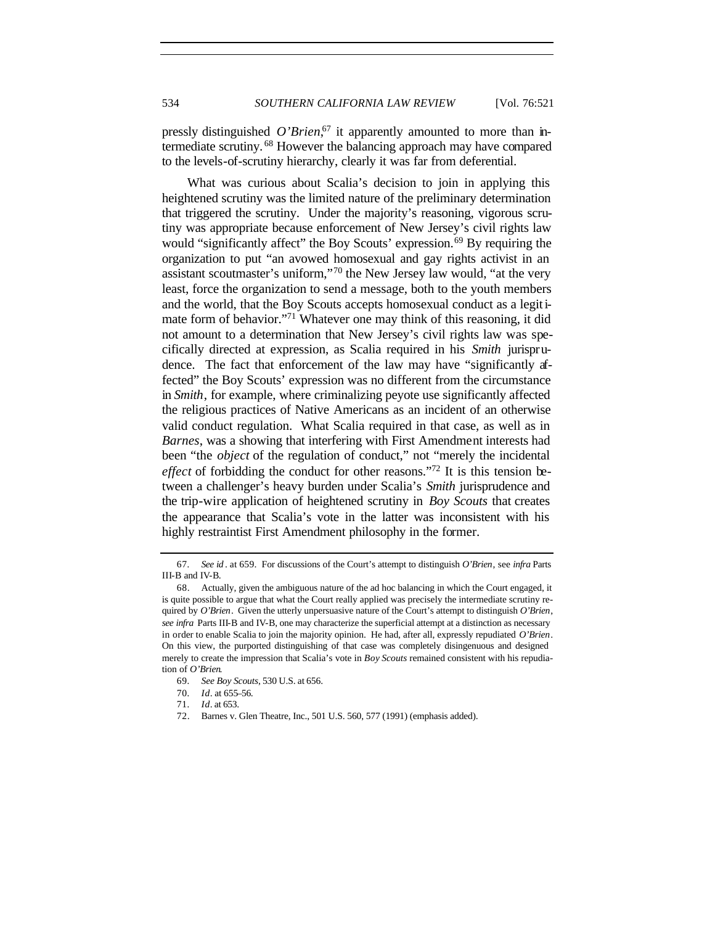pressly distinguished O'Brien,<sup>67</sup> it apparently amounted to more than intermediate scrutiny. <sup>68</sup> However the balancing approach may have compared to the levels-of-scrutiny hierarchy, clearly it was far from deferential.

What was curious about Scalia's decision to join in applying this heightened scrutiny was the limited nature of the preliminary determination that triggered the scrutiny. Under the majority's reasoning, vigorous scrutiny was appropriate because enforcement of New Jersey's civil rights law would "significantly affect" the Boy Scouts' expression.<sup>69</sup> By requiring the organization to put "an avowed homosexual and gay rights activist in an assistant scoutmaster's uniform,"<sup>70</sup> the New Jersey law would, "at the very least, force the organization to send a message, both to the youth members and the world, that the Boy Scouts accepts homosexual conduct as a legitimate form of behavior."<sup>71</sup> Whatever one may think of this reasoning, it did not amount to a determination that New Jersey's civil rights law was specifically directed at expression, as Scalia required in his *Smith* jurisprudence. The fact that enforcement of the law may have "significantly affected" the Boy Scouts' expression was no different from the circumstance in *Smith*, for example, where criminalizing peyote use significantly affected the religious practices of Native Americans as an incident of an otherwise valid conduct regulation. What Scalia required in that case, as well as in *Barnes*, was a showing that interfering with First Amendment interests had been "the *object* of the regulation of conduct," not "merely the incidental *effect* of forbidding the conduct for other reasons."<sup>72</sup> It is this tension between a challenger's heavy burden under Scalia's *Smith* jurisprudence and the trip-wire application of heightened scrutiny in *Boy Scouts* that creates the appearance that Scalia's vote in the latter was inconsistent with his highly restraintist First Amendment philosophy in the former.

<sup>67</sup>*. See id* . at 659. For discussions of the Court's attempt to distinguish *O'Brien*, see *infra* Parts III-B and IV-B.

<sup>68.</sup> Actually, given the ambiguous nature of the ad hoc balancing in which the Court engaged, it is quite possible to argue that what the Court really applied was precisely the intermediate scrutiny required by *O'Brien*. Given the utterly unpersuasive nature of the Court's attempt to distinguish *O'Brien*, *see infra* Parts III-B and IV-B, one may characterize the superficial attempt at a distinction as necessary in order to enable Scalia to join the majority opinion. He had, after all, expressly repudiated *O'Brien*. On this view, the purported distinguishing of that case was completely disingenuous and designed merely to create the impression that Scalia's vote in *Boy Scouts* remained consistent with his repudiation of *O'Brien*.

<sup>69</sup>*. See Boy Scouts*, 530 U.S. at 656.

<sup>70</sup>*. Id*. at 655–56.

<sup>71</sup>*. Id*. at 653.

<sup>72.</sup> Barnes v. Glen Theatre, Inc., 501 U.S. 560, 577 (1991) (emphasis added).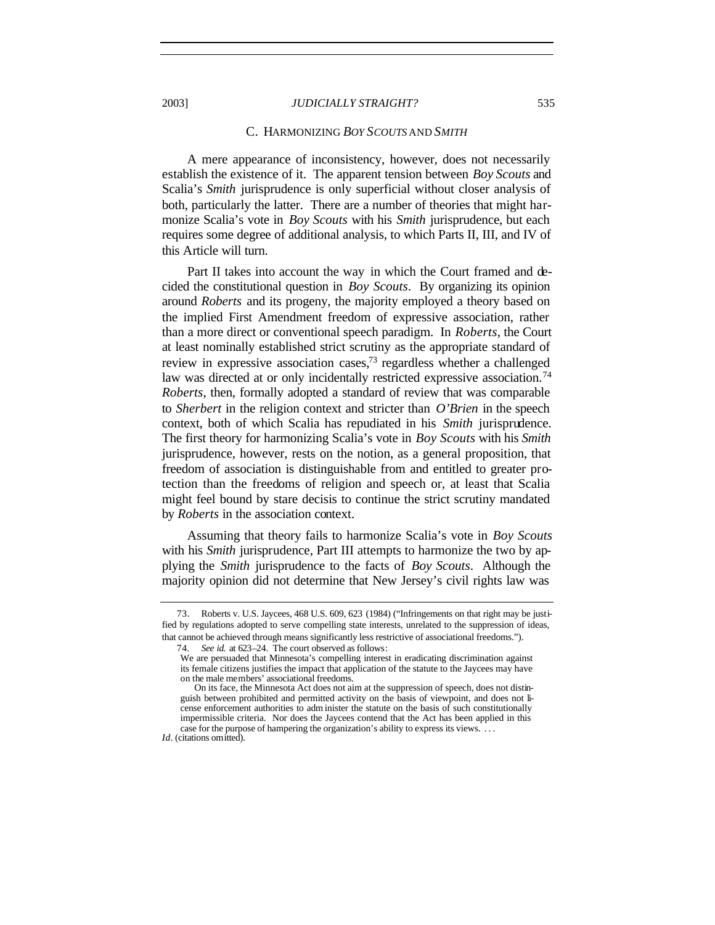#### C. HARMONIZING *BOY SCOUTS* AND *SMITH*

A mere appearance of inconsistency, however, does not necessarily establish the existence of it. The apparent tension between *Boy Scouts* and Scalia's *Smith* jurisprudence is only superficial without closer analysis of both, particularly the latter. There are a number of theories that might harmonize Scalia's vote in *Boy Scouts* with his *Smith* jurisprudence, but each requires some degree of additional analysis, to which Parts II, III, and IV of this Article will turn.

Part II takes into account the way in which the Court framed and decided the constitutional question in *Boy Scouts*. By organizing its opinion around *Roberts* and its progeny, the majority employed a theory based on the implied First Amendment freedom of expressive association, rather than a more direct or conventional speech paradigm. In *Roberts*, the Court at least nominally established strict scrutiny as the appropriate standard of review in expressive association cases,<sup>73</sup> regardless whether a challenged law was directed at or only incidentally restricted expressive association.<sup>74</sup> *Roberts*, then, formally adopted a standard of review that was comparable to *Sherbert* in the religion context and stricter than *O'Brien* in the speech context, both of which Scalia has repudiated in his *Smith* jurisprudence. The first theory for harmonizing Scalia's vote in *Boy Scouts* with his *Smith* jurisprudence, however, rests on the notion, as a general proposition, that freedom of association is distinguishable from and entitled to greater protection than the freedoms of religion and speech or, at least that Scalia might feel bound by stare decisis to continue the strict scrutiny mandated by *Roberts* in the association context.

Assuming that theory fails to harmonize Scalia's vote in *Boy Scouts* with his *Smith* jurisprudence, Part III attempts to harmonize the two by applying the *Smith* jurisprudence to the facts of *Boy Scouts*. Although the majority opinion did not determine that New Jersey's civil rights law was

<sup>73.</sup> Roberts v. U.S. Jaycees, 468 U.S. 609, 623 (1984) ("Infringements on that right may be justified by regulations adopted to serve compelling state interests, unrelated to the suppression of ideas, that cannot be achieved through means significantly less restrictive of associational freedoms.").

<sup>74</sup>*. See id.* at 623–24. The court observed as follows:

We are persuaded that Minnesota's compelling interest in eradicating discrimination against its female citizens justifies the impact that application of the statute to the Jaycees may have on the male members' associational freedoms.

On its face, the Minnesota Act does not aim at the suppression of speech, does not distinguish between prohibited and permitted activity on the basis of viewpoint, and does not license enforcement authorities to adm inister the statute on the basis of such constitutionally impermissible criteria. Nor does the Jaycees contend that the Act has been applied in this case for the purpose of hampering the organization's ability to express its views. . . .

*Id*. (citations omitted).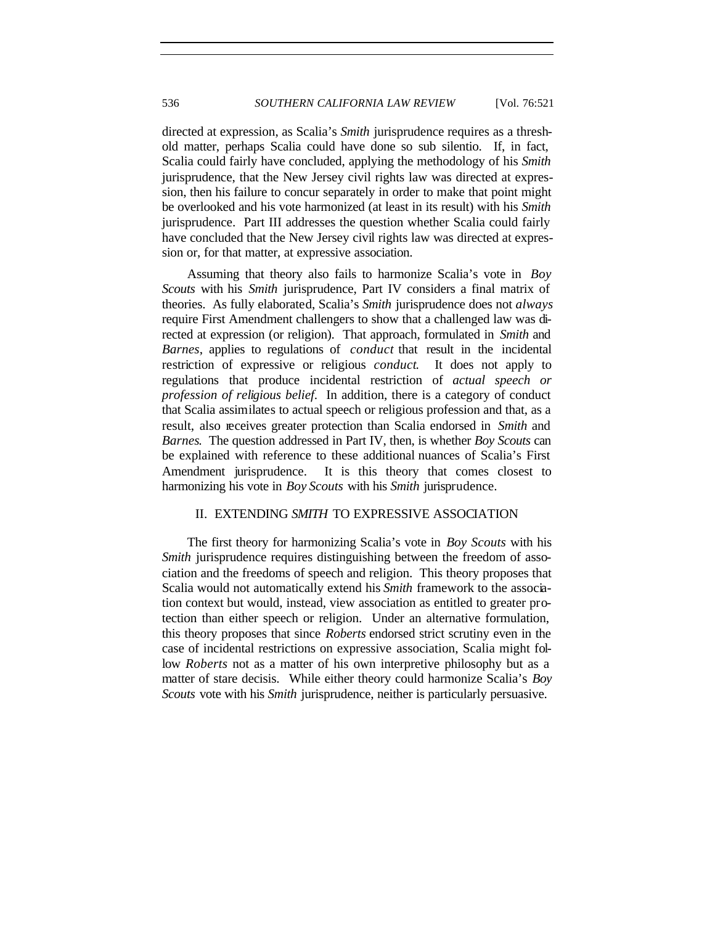directed at expression, as Scalia's *Smith* jurisprudence requires as a threshold matter, perhaps Scalia could have done so sub silentio. If, in fact, Scalia could fairly have concluded, applying the methodology of his *Smith* jurisprudence, that the New Jersey civil rights law was directed at expression, then his failure to concur separately in order to make that point might be overlooked and his vote harmonized (at least in its result) with his *Smith* jurisprudence. Part III addresses the question whether Scalia could fairly have concluded that the New Jersey civil rights law was directed at expression or, for that matter, at expressive association.

Assuming that theory also fails to harmonize Scalia's vote in *Boy Scouts* with his *Smith* jurisprudence, Part IV considers a final matrix of theories. As fully elaborated, Scalia's *Smith* jurisprudence does not *always* require First Amendment challengers to show that a challenged law was directed at expression (or religion). That approach, formulated in *Smith* and *Barnes*, applies to regulations of *conduct* that result in the incidental restriction of expressive or religious *conduct*. It does not apply to regulations that produce incidental restriction of *actual speech or profession of religious belief*. In addition, there is a category of conduct that Scalia assimilates to actual speech or religious profession and that, as a result, also receives greater protection than Scalia endorsed in *Smith* and *Barnes*. The question addressed in Part IV, then, is whether *Boy Scouts* can be explained with reference to these additional nuances of Scalia's First Amendment jurisprudence. It is this theory that comes closest to harmonizing his vote in *Boy Scouts* with his *Smith* jurisprudence.

## II. EXTENDING *SMITH* TO EXPRESSIVE ASSOCIATION

The first theory for harmonizing Scalia's vote in *Boy Scouts* with his *Smith* jurisprudence requires distinguishing between the freedom of association and the freedoms of speech and religion. This theory proposes that Scalia would not automatically extend his *Smith* framework to the association context but would, instead, view association as entitled to greater protection than either speech or religion. Under an alternative formulation, this theory proposes that since *Roberts* endorsed strict scrutiny even in the case of incidental restrictions on expressive association, Scalia might follow *Roberts* not as a matter of his own interpretive philosophy but as a matter of stare decisis. While either theory could harmonize Scalia's *Boy Scouts* vote with his *Smith* jurisprudence, neither is particularly persuasive.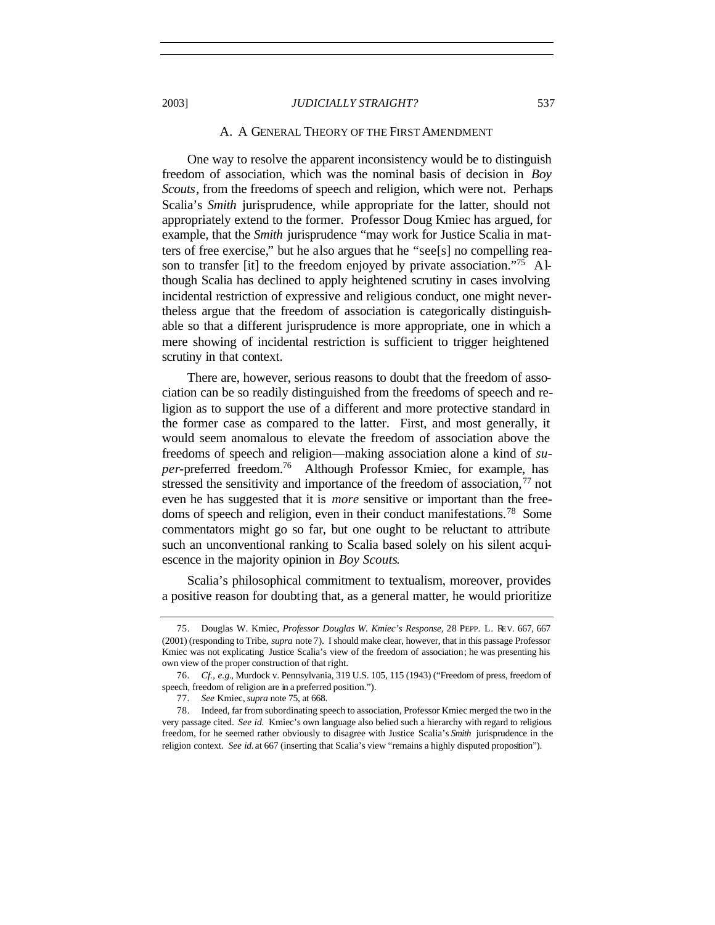#### A. A GENERAL THEORY OF THE FIRST AMENDMENT

One way to resolve the apparent inconsistency would be to distinguish freedom of association, which was the nominal basis of decision in *Boy Scouts*, from the freedoms of speech and religion, which were not. Perhaps Scalia's *Smith* jurisprudence, while appropriate for the latter, should not appropriately extend to the former. Professor Doug Kmiec has argued, for example, that the *Smith* jurisprudence "may work for Justice Scalia in matters of free exercise," but he also argues that he "see[s] no compelling reason to transfer [it] to the freedom enjoyed by private association."<sup>75</sup> Although Scalia has declined to apply heightened scrutiny in cases involving incidental restriction of expressive and religious conduct, one might nevertheless argue that the freedom of association is categorically distinguishable so that a different jurisprudence is more appropriate, one in which a mere showing of incidental restriction is sufficient to trigger heightened scrutiny in that context.

There are, however, serious reasons to doubt that the freedom of association can be so readily distinguished from the freedoms of speech and religion as to support the use of a different and more protective standard in the former case as compared to the latter. First, and most generally, it would seem anomalous to elevate the freedom of association above the freedoms of speech and religion—making association alone a kind of *super-*preferred freedom.<sup>76</sup> Although Professor Kmiec, for example, has stressed the sensitivity and importance of the freedom of association,  $77$  not even he has suggested that it is *more* sensitive or important than the freedoms of speech and religion, even in their conduct manifestations.<sup>78</sup> Some commentators might go so far, but one ought to be reluctant to attribute such an unconventional ranking to Scalia based solely on his silent acquiescence in the majority opinion in *Boy Scouts*.

Scalia's philosophical commitment to textualism, moreover, provides a positive reason for doubting that, as a general matter, he would prioritize

<sup>75.</sup> Douglas W. Kmiec, *Professor Douglas W. Kmiec's Response*, 28 PEPP. L. REV. 667, 667 (2001) (responding to Tribe, *supra* note 7). I should make clear, however, that in this passage Professor Kmiec was not explicating Justice Scalia's view of the freedom of association; he was presenting his own view of the proper construction of that right.

<sup>76</sup>*. Cf.*, *e.g.*, Murdock v. Pennsylvania, 319 U.S. 105, 115 (1943) ("Freedom of press, freedom of speech, freedom of religion are in a preferred position.").

<sup>77</sup>*. See* Kmiec, *supra* note 75, at 668.

<sup>78.</sup> Indeed, far from subordinating speech to association, Professor Kmiec merged the two in the very passage cited. *See id.* Kmiec's own language also belied such a hierarchy with regard to religious freedom, for he seemed rather obviously to disagree with Justice Scalia's *Smith* jurisprudence in the religion context. *See id.* at 667 (inserting that Scalia's view "remains a highly disputed proposition").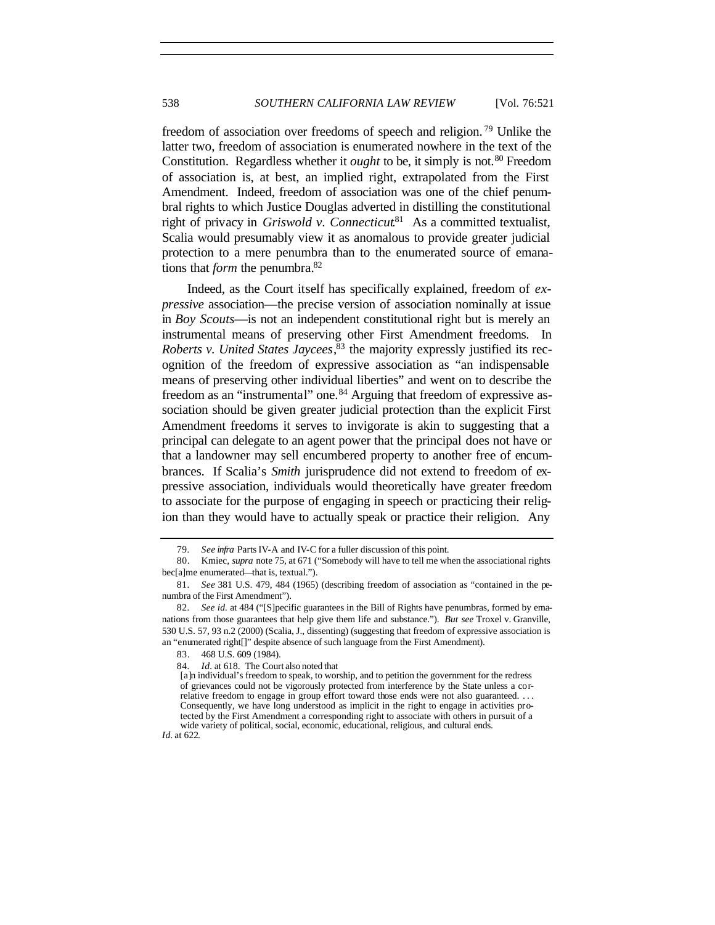freedom of association over freedoms of speech and religion. <sup>79</sup> Unlike the latter two, freedom of association is enumerated nowhere in the text of the Constitution. Regardless whether it *ought* to be, it simply is not.<sup>80</sup> Freedom of association is, at best, an implied right, extrapolated from the First Amendment. Indeed, freedom of association was one of the chief penumbral rights to which Justice Douglas adverted in distilling the constitutional right of privacy in *Griswold v. Connecticut*<sup>81</sup> As a committed textualist, Scalia would presumably view it as anomalous to provide greater judicial protection to a mere penumbra than to the enumerated source of emanations that *form* the penumbra.<sup>82</sup>

Indeed, as the Court itself has specifically explained, freedom of *expressive* association—the precise version of association nominally at issue in *Boy Scouts*—is not an independent constitutional right but is merely an instrumental means of preserving other First Amendment freedoms. In *Roberts v. United States Jaycees*, 83 the majority expressly justified its recognition of the freedom of expressive association as "an indispensable means of preserving other individual liberties" and went on to describe the freedom as an "instrumental" one.<sup>84</sup> Arguing that freedom of expressive association should be given greater judicial protection than the explicit First Amendment freedoms it serves to invigorate is akin to suggesting that a principal can delegate to an agent power that the principal does not have or that a landowner may sell encumbered property to another free of encumbrances. If Scalia's *Smith* jurisprudence did not extend to freedom of expressive association, individuals would theoretically have greater freedom to associate for the purpose of engaging in speech or practicing their religion than they would have to actually speak or practice their religion. Any

*Id.* at 622.

<sup>79</sup>*. See infra* Parts IV-A and IV-C for a fuller discussion of this point.

<sup>80.</sup> Kmiec, *supra* note 75, at 671 ("Somebody will have to tell me when the associational rights bec[a]me enumerated—that is, textual.").

<sup>81</sup>*. See* 381 U.S. 479, 484 (1965) (describing freedom of association as "contained in the penumbra of the First Amendment").

<sup>82</sup>*. See id.* at 484 ("[S]pecific guarantees in the Bill of Rights have penumbras, formed by emanations from those guarantees that help give them life and substance."). *But see* Troxel v. Granville, 530 U.S. 57, 93 n.2 (2000) (Scalia, J., dissenting) (suggesting that freedom of expressive association is an "enumerated right[]" despite absence of such language from the First Amendment).

<sup>83.</sup> 468 U.S. 609 (1984).

<sup>84</sup>*. Id.* at 618. The Court also noted that

<sup>[</sup>a]n individual's freedom to speak, to worship, and to petition the government for the redress of grievances could not be vigorously protected from interference by the State unless a correlative freedom to engage in group effort toward those ends were not also guaranteed. . . . Consequently, we have long understood as implicit in the right to engage in activities protected by the First Amendment a corresponding right to associate with others in pursuit of a wide variety of political, social, economic, educational, religious, and cultural ends.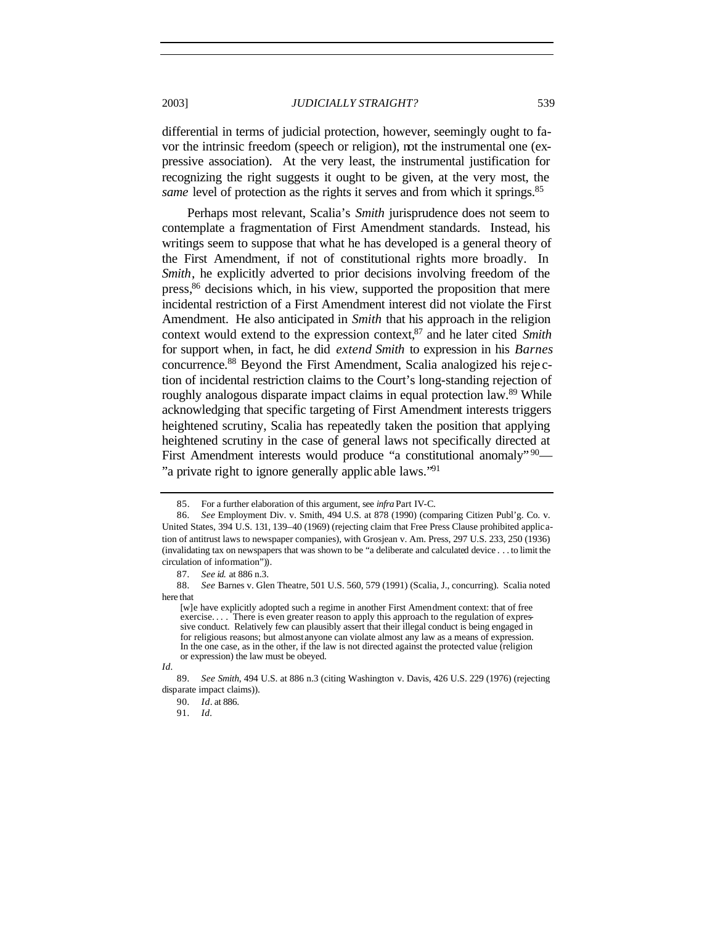differential in terms of judicial protection, however, seemingly ought to favor the intrinsic freedom (speech or religion), not the instrumental one (expressive association). At the very least, the instrumental justification for recognizing the right suggests it ought to be given, at the very most, the *same* level of protection as the rights it serves and from which it springs.<sup>85</sup>

Perhaps most relevant, Scalia's *Smith* jurisprudence does not seem to contemplate a fragmentation of First Amendment standards. Instead, his writings seem to suppose that what he has developed is a general theory of the First Amendment, if not of constitutional rights more broadly. In *Smith*, he explicitly adverted to prior decisions involving freedom of the press,<sup>86</sup> decisions which, in his view, supported the proposition that mere incidental restriction of a First Amendment interest did not violate the First Amendment. He also anticipated in *Smith* that his approach in the religion context would extend to the expression context,<sup>87</sup> and he later cited *Smith* for support when, in fact, he did *extend Smith* to expression in his *Barnes* concurrence.<sup>88</sup> Beyond the First Amendment, Scalia analogized his reje ction of incidental restriction claims to the Court's long-standing rejection of roughly analogous disparate impact claims in equal protection law.<sup>89</sup> While acknowledging that specific targeting of First Amendment interests triggers heightened scrutiny, Scalia has repeatedly taken the position that applying heightened scrutiny in the case of general laws not specifically directed at First Amendment interests would produce "a constitutional anomaly" 90 "a private right to ignore generally applic able laws."<sup>91</sup>

*Id.*

<sup>85.</sup> For a further elaboration of this argument, see *infra* Part IV-C.

<sup>86</sup>*. See* Employment Div. v. Smith, 494 U.S. at 878 (1990) (comparing Citizen Publ'g. Co. v. United States, 394 U.S. 131, 139–40 (1969) (rejecting claim that Free Press Clause prohibited application of antitrust laws to newspaper companies), with Grosjean v. Am. Press, 297 U.S. 233, 250 (1936) (invalidating tax on newspapers that was shown to be "a deliberate and calculated device . . . to limit the circulation of information")).

<sup>87</sup>*. See id.* at 886 n.3.

<sup>88</sup>*. See* Barnes v. Glen Theatre, 501 U.S. 560, 579 (1991) (Scalia, J., concurring). Scalia noted here that

<sup>[</sup>w]e have explicitly adopted such a regime in another First Amendment context: that of free exercise. . . . There is even greater reason to apply this approach to the regulation of expressive conduct. Relatively few can plausibly assert that their illegal conduct is being engaged in for religious reasons; but almost anyone can violate almost any law as a means of expression. In the one case, as in the other, if the law is not directed against the protected value (religion or expression) the law must be obeyed.

<sup>89</sup>*. See Smith*, 494 U.S. at 886 n.3 (citing Washington v. Davis, 426 U.S. 229 (1976) (rejecting disparate impact claims)).

<sup>90</sup>*. Id*. at 886.

<sup>91</sup>*. Id.*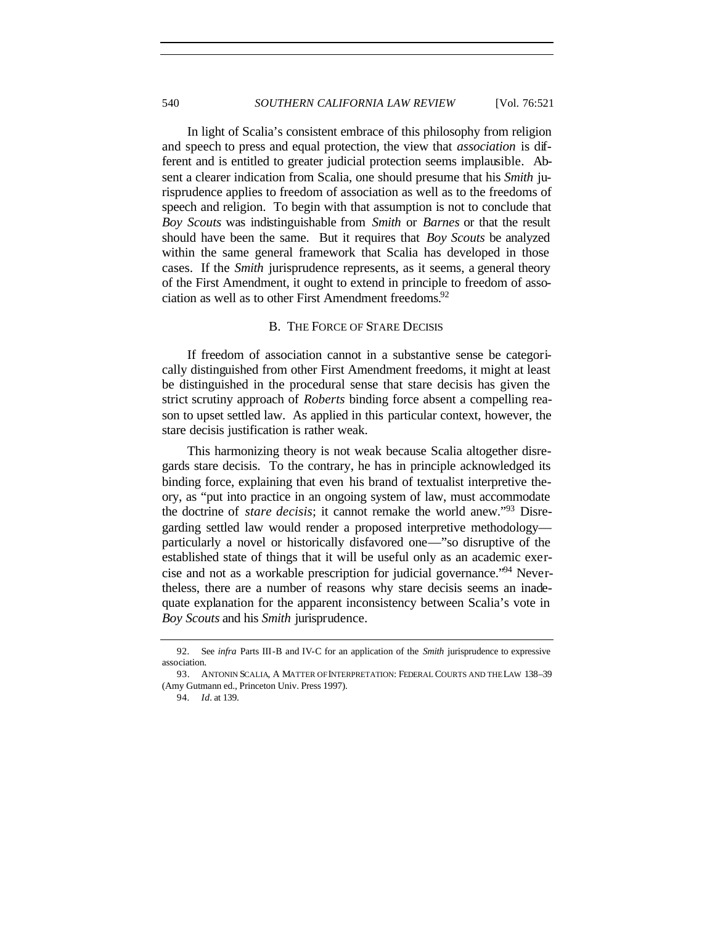In light of Scalia's consistent embrace of this philosophy from religion and speech to press and equal protection, the view that *association* is different and is entitled to greater judicial protection seems implausible. Absent a clearer indication from Scalia, one should presume that his *Smith* jurisprudence applies to freedom of association as well as to the freedoms of speech and religion. To begin with that assumption is not to conclude that *Boy Scouts* was indistinguishable from *Smith* or *Barnes* or that the result should have been the same. But it requires that *Boy Scouts* be analyzed within the same general framework that Scalia has developed in those cases. If the *Smith* jurisprudence represents, as it seems, a general theory of the First Amendment, it ought to extend in principle to freedom of association as well as to other First Amendment freedoms.<sup>92</sup>

## B. THE FORCE OF STARE DECISIS

If freedom of association cannot in a substantive sense be categorically distinguished from other First Amendment freedoms, it might at least be distinguished in the procedural sense that stare decisis has given the strict scrutiny approach of *Roberts* binding force absent a compelling reason to upset settled law. As applied in this particular context, however, the stare decisis justification is rather weak.

This harmonizing theory is not weak because Scalia altogether disregards stare decisis. To the contrary, he has in principle acknowledged its binding force, explaining that even his brand of textualist interpretive theory, as "put into practice in an ongoing system of law, must accommodate the doctrine of *stare decisis*; it cannot remake the world anew."<sup>93</sup> Disregarding settled law would render a proposed interpretive methodology particularly a novel or historically disfavored one—"so disruptive of the established state of things that it will be useful only as an academic exercise and not as a workable prescription for judicial governance."94 Nevertheless, there are a number of reasons why stare decisis seems an inadequate explanation for the apparent inconsistency between Scalia's vote in *Boy Scouts* and his *Smith* jurisprudence.

<sup>92</sup>*.* See *infra* Parts III-B and IV-C for an application of the *Smith* jurisprudence to expressive association.

<sup>93.</sup> ANTONIN SCALIA, A MATTER OF INTERPRETATION: FEDERAL COURTS AND THE LAW 138–39 (Amy Gutmann ed., Princeton Univ. Press 1997).

<sup>94</sup>*. Id.* at 139.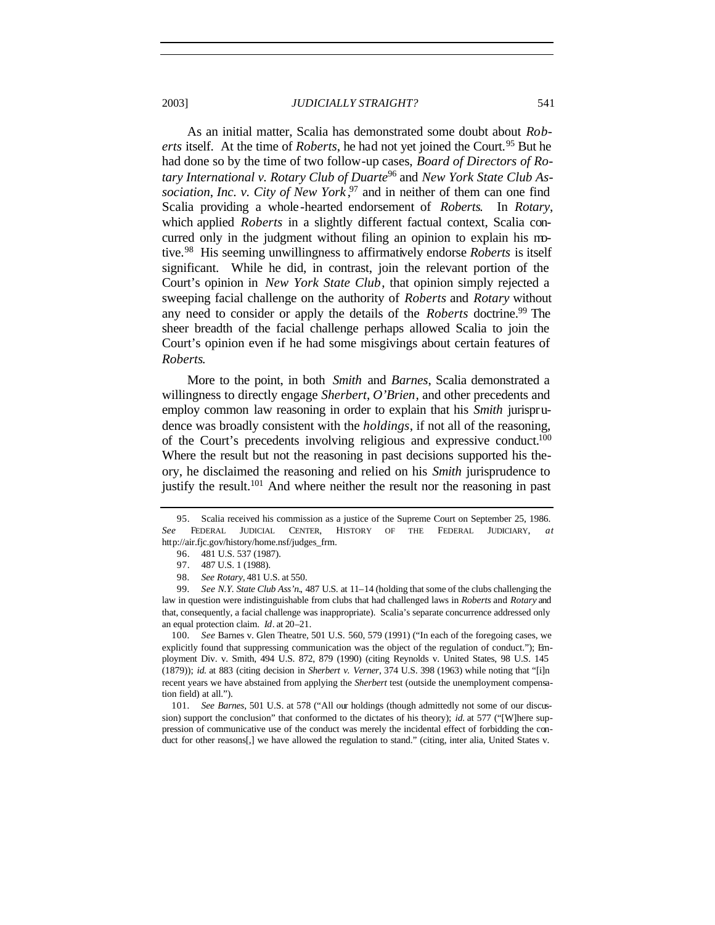As an initial matter, Scalia has demonstrated some doubt about *Roberts* itself. At the time of *Roberts*, he had not yet joined the Court.<sup>95</sup> But he had done so by the time of two follow-up cases, *Board of Directors of Rotary International v. Rotary Club of Duarte*<sup>96</sup> and *New York State Club As*sociation, *Inc. v. City of New York*<sup>97</sup> and in neither of them can one find Scalia providing a whole-hearted endorsement of *Roberts*. In *Rotary*, which applied *Roberts* in a slightly different factual context, Scalia concurred only in the judgment without filing an opinion to explain his motive.<sup>98</sup> His seeming unwillingness to affirmatively endorse *Roberts* is itself significant. While he did, in contrast, join the relevant portion of the Court's opinion in *New York State Club*, that opinion simply rejected a

sweeping facial challenge on the authority of *Roberts* and *Rotary* without any need to consider or apply the details of the *Roberts* doctrine.<sup>99</sup> The sheer breadth of the facial challenge perhaps allowed Scalia to join the Court's opinion even if he had some misgivings about certain features of *Roberts*.

More to the point, in both *Smith* and *Barnes*, Scalia demonstrated a willingness to directly engage *Sherbert*, *O'Brien*, and other precedents and employ common law reasoning in order to explain that his *Smith* jurisprudence was broadly consistent with the *holdings*, if not all of the reasoning, of the Court's precedents involving religious and expressive conduct.<sup>100</sup> Where the result but not the reasoning in past decisions supported his theory, he disclaimed the reasoning and relied on his *Smith* jurisprudence to justify the result.<sup>101</sup> And where neither the result nor the reasoning in past

100*. See* Barnes v. Glen Theatre, 501 U.S. 560, 579 (1991) ("In each of the foregoing cases, we explicitly found that suppressing communication was the object of the regulation of conduct."); Employment Div. v. Smith, 494 U.S. 872, 879 (1990) (citing Reynolds v. United States, 98 U.S. 145 (1879)); *id.* at 883 (citing decision in *Sherbert v. Verner*, 374 U.S. 398 (1963) while noting that "[i]n recent years we have abstained from applying the *Sherbert* test (outside the unemployment compensation field) at all.").

101*. See Barnes*, 501 U.S. at 578 ("All our holdings (though admittedly not some of our discussion) support the conclusion" that conformed to the dictates of his theory); *id.* at 577 ("[W]here suppression of communicative use of the conduct was merely the incidental effect of forbidding the conduct for other reasons[,] we have allowed the regulation to stand." (citing, inter alia, United States v.

<sup>95.</sup> Scalia received his commission as a justice of the Supreme Court on September 25, 1986. *See* FEDERAL JUDICIAL CENTER, HISTORY OF THE FEDERAL JUDICIARY, *at* http://air.fjc.gov/history/home.nsf/judges\_frm.

<sup>96.</sup> 481 U.S. 537 (1987).

<sup>97.</sup> 487 U.S. 1 (1988).

<sup>98</sup>*. See Rotary,* 481 U.S. at 550.

<sup>99</sup>*. See N.Y. State Club Ass'n.*, 487 U.S. at 11–14 (holding that some of the clubs challenging the law in question were indistinguishable from clubs that had challenged laws in *Roberts* and *Rotary* and that, consequently, a facial challenge was inappropriate). Scalia's separate concurrence addressed only an equal protection claim. *Id*. at 20–21.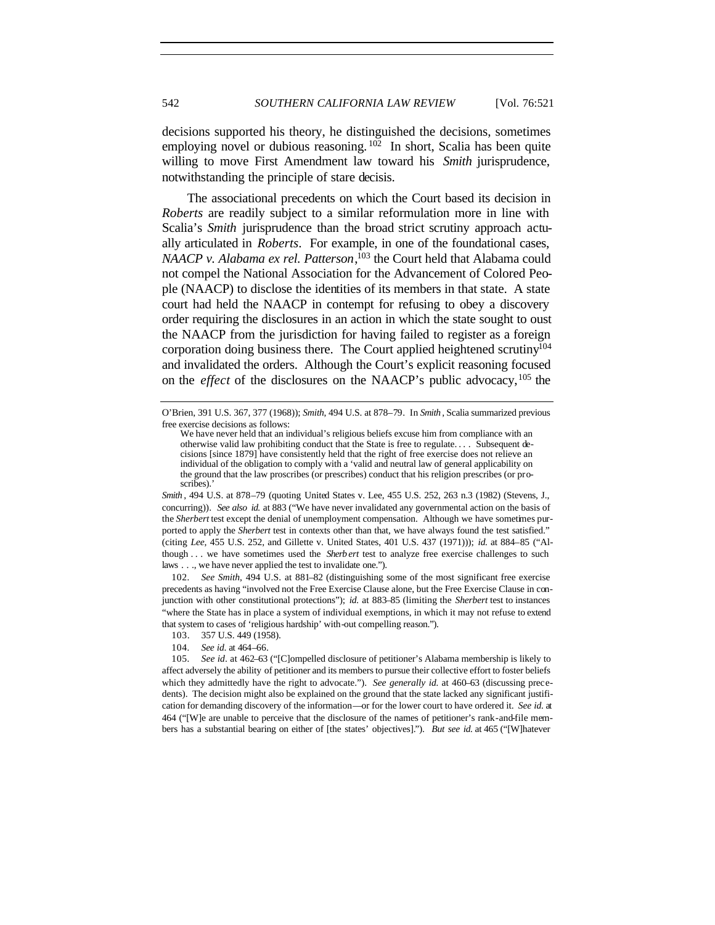decisions supported his theory, he distinguished the decisions, sometimes employing novel or dubious reasoning.  $102$  In short, Scalia has been quite willing to move First Amendment law toward his *Smith* jurisprudence, notwithstanding the principle of stare decisis.

The associational precedents on which the Court based its decision in *Roberts* are readily subject to a similar reformulation more in line with Scalia's *Smith* jurisprudence than the broad strict scrutiny approach actually articulated in *Roberts*. For example, in one of the foundational cases, *NAACP v. Alabama ex rel. Patterson*, <sup>103</sup> the Court held that Alabama could not compel the National Association for the Advancement of Colored People (NAACP) to disclose the identities of its members in that state. A state court had held the NAACP in contempt for refusing to obey a discovery order requiring the disclosures in an action in which the state sought to oust the NAACP from the jurisdiction for having failed to register as a foreign corporation doing business there. The Court applied heightened scrutiny<sup>104</sup> and invalidated the orders. Although the Court's explicit reasoning focused on the *effect* of the disclosures on the NAACP's public advocacy, <sup>105</sup> the

*Smith* , 494 U.S. at 878–79 (quoting United States v. Lee, 455 U.S. 252, 263 n.3 (1982) (Stevens, J., concurring)). *See also id.* at 883 ("We have never invalidated any governmental action on the basis of the *Sherbert* test except the denial of unemployment compensation. Although we have sometimes purported to apply the *Sherbert* test in contexts other than that, we have always found the test satisfied." (citing *Lee,* 455 U.S. 252, and Gillette v. United States, 401 U.S. 437 (1971))); *id.* at 884–85 ("Although . . . we have sometimes used the *Sherb ert* test to analyze free exercise challenges to such laws . . ., we have never applied the test to invalidate one.").

102*. See Smith*, 494 U.S. at 881–82 (distinguishing some of the most significant free exercise precedents as having "involved not the Free Exercise Clause alone, but the Free Exercise Clause in conjunction with other constitutional protections"); *id.* at 883–85 (limiting the *Sherbert* test to instances "where the State has in place a system of individual exemptions, in which it may not refuse to extend that system to cases of 'religious hardship' with-out compelling reason.").

O'Brien, 391 U.S. 367, 377 (1968)); *Smith*, 494 U.S. at 878–79. In *Smith* , Scalia summarized previous free exercise decisions as follows:

We have never held that an individual's religious beliefs excuse him from compliance with an otherwise valid law prohibiting conduct that the State is free to regulate. . . . Subsequent decisions [since 1879] have consistently held that the right of free exercise does not relieve an individual of the obligation to comply with a 'valid and neutral law of general applicability on the ground that the law proscribes (or prescribes) conduct that his religion prescribes (or proscribes).

<sup>103.</sup> 357 U.S. 449 (1958).

<sup>104</sup>*. See id*. at 464–66.

<sup>105</sup>*. See id*. at 462–63 ("[C]ompelled disclosure of petitioner's Alabama membership is likely to affect adversely the ability of petitioner and its members to pursue their collective effort to foster beliefs which they admittedly have the right to advocate."). *See generally id.* at 460–63 (discussing precedents). The decision might also be explained on the ground that the state lacked any significant justification for demanding discovery of the information—or for the lower court to have ordered it. *See id.* at 464 ("[W]e are unable to perceive that the disclosure of the names of petitioner's rank-and-file members has a substantial bearing on either of [the states' objectives]."). *But see id.* at 465 ("[W]hatever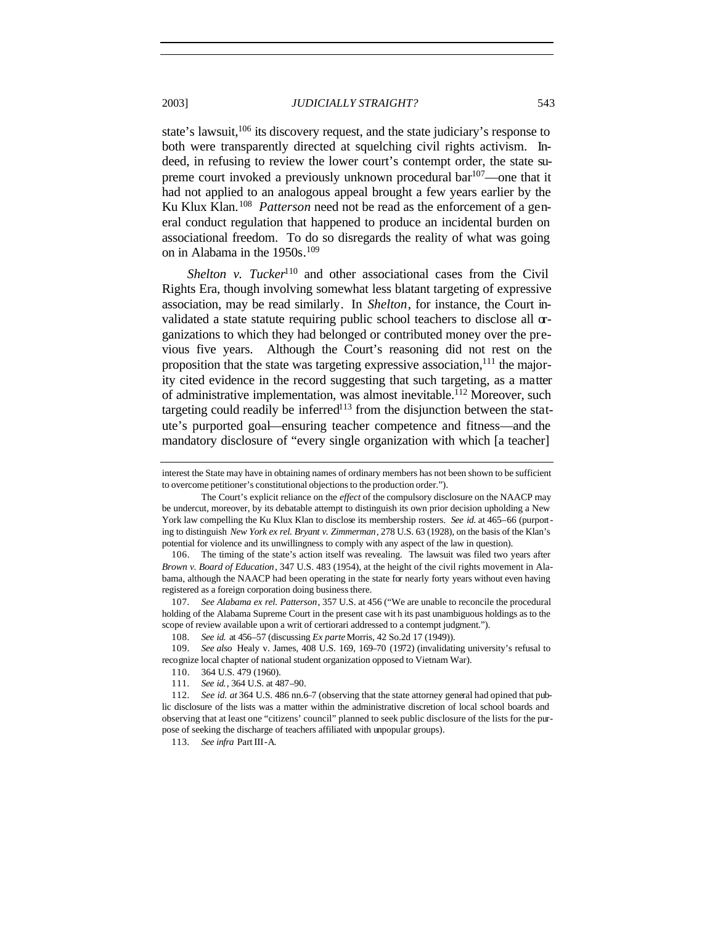state's lawsuit,<sup>106</sup> its discovery request, and the state judiciary's response to both were transparently directed at squelching civil rights activism. Indeed, in refusing to review the lower court's contempt order, the state supreme court invoked a previously unknown procedural bar<sup>107</sup>—one that it had not applied to an analogous appeal brought a few years earlier by the Ku Klux Klan.<sup>108</sup> Patterson need not be read as the enforcement of a general conduct regulation that happened to produce an incidental burden on associational freedom. To do so disregards the reality of what was going on in Alabama in the 1950s.<sup>109</sup>

*Shelton v. Tucker*<sup>110</sup> and other associational cases from the Civil Rights Era, though involving somewhat less blatant targeting of expressive association, may be read similarly. In *Shelton*, for instance, the Court invalidated a state statute requiring public school teachers to disclose all organizations to which they had belonged or contributed money over the previous five years. Although the Court's reasoning did not rest on the proposition that the state was targeting expressive association,  $11$  the majority cited evidence in the record suggesting that such targeting, as a matter of administrative implementation, was almost inevitable.<sup>112</sup> Moreover, such targeting could readily be inferred<sup>113</sup> from the disjunction between the statute's purported goal—ensuring teacher competence and fitness—and the mandatory disclosure of "every single organization with which [a teacher]

107*. See Alabama ex rel. Patterson*, 357 U.S. at 456 ("We are unable to reconcile the procedural holding of the Alabama Supreme Court in the present case wit h its past unambiguous holdings as to the scope of review available upon a writ of certiorari addressed to a contempt judgment.").

108*. See id.* at 456–57 (discussing *Ex parte* Morris, 42 So.2d 17 (1949)).

109*. See also* Healy v. James, 408 U.S. 169, 169–70 (1972) (invalidating university's refusal to recognize local chapter of national student organization opposed to Vietnam War).

111*. See id.*, 364 U.S. at 487–90.

112*. See id. at* 364 U.S. 486 nn.6–7 (observing that the state attorney general had opined that public disclosure of the lists was a matter within the administrative discretion of local school boards and observing that at least one "citizens' council" planned to seek public disclosure of the lists for the purpose of seeking the discharge of teachers affiliated with unpopular groups).

113*. See infra* Part III-A.

interest the State may have in obtaining names of ordinary members has not been shown to be sufficient to overcome petitioner's constitutional objections to the production order.").

The Court's explicit reliance on the *effect* of the compulsory disclosure on the NAACP may be undercut, moreover, by its debatable attempt to distinguish its own prior decision upholding a New York law compelling the Ku Klux Klan to disclose its membership rosters. *See id*. at 465–66 (purporting to distinguish *New York ex rel. Bryant v. Zimmerman*, 278 U.S. 63 (1928), on the basis of the Klan's potential for violence and its unwillingness to comply with any aspect of the law in question).

<sup>106.</sup> The timing of the state's action itself was revealing. The lawsuit was filed two years after *Brown v. Board of Education*, 347 U.S. 483 (1954), at the height of the civil rights movement in Alabama, although the NAACP had been operating in the state for nearly forty years without even having registered as a foreign corporation doing business there.

<sup>110.</sup> 364 U.S. 479 (1960).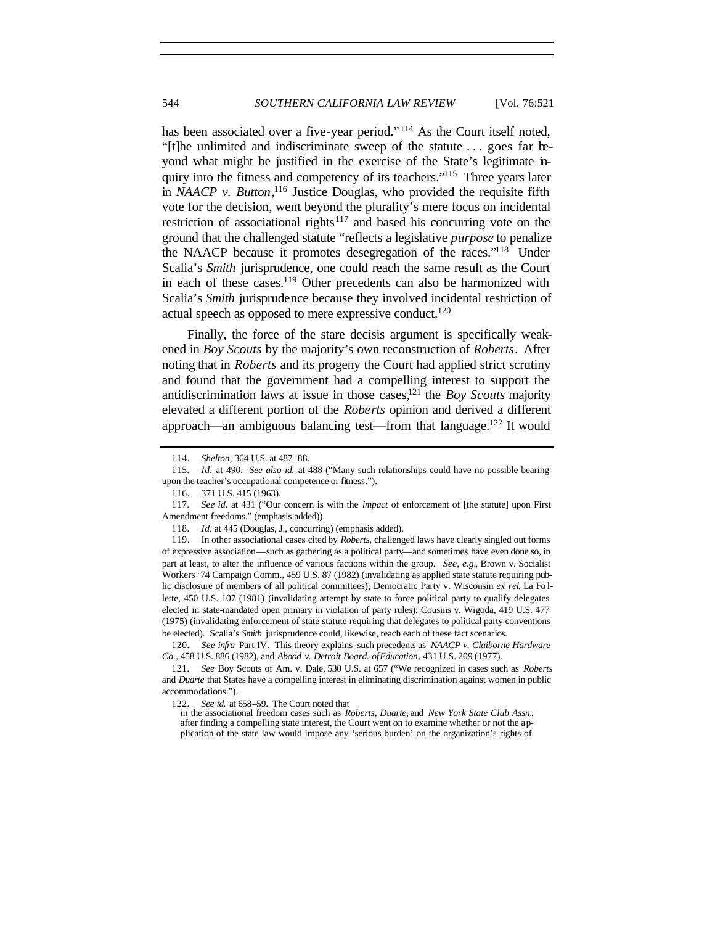has been associated over a five-year period."<sup>114</sup> As the Court itself noted, "[t]he unlimited and indiscriminate sweep of the statute . . . goes far beyond what might be justified in the exercise of the State's legitimate inquiry into the fitness and competency of its teachers."<sup>115</sup> Three years later in *NAACP v. Button*,<sup>116</sup> Justice Douglas, who provided the requisite fifth vote for the decision, went beyond the plurality's mere focus on incidental restriction of associational rights<sup>117</sup> and based his concurring vote on the ground that the challenged statute "reflects a legislative *purpose* to penalize the NAACP because it promotes desegregation of the races."<sup>118</sup> Under Scalia's *Smith* jurisprudence, one could reach the same result as the Court in each of these cases.<sup>119</sup> Other precedents can also be harmonized with Scalia's *Smith* jurisprudence because they involved incidental restriction of actual speech as opposed to mere expressive conduct.<sup>120</sup>

Finally, the force of the stare decisis argument is specifically weakened in *Boy Scouts* by the majority's own reconstruction of *Roberts*. After noting that in *Roberts* and its progeny the Court had applied strict scrutiny and found that the government had a compelling interest to support the antidiscrimination laws at issue in those cases,<sup>121</sup> the *Boy Scouts* majority elevated a different portion of the *Roberts* opinion and derived a different approach—an ambiguous balancing test—from that language.<sup>122</sup> It would

120*. See infra* Part IV. This theory explains such precedents as *NAACP v. Claiborne Hardware Co.*, 458 U.S. 886 (1982), and *Abood v. Detroit Board. ofEducation*, 431 U.S. 209 (1977).

<sup>114</sup>*. Shelton,* 364 U.S. at 487–88.

<sup>115</sup>*. Id.* at 490. *See also id.* at 488 ("Many such relationships could have no possible bearing upon the teacher's occupational competence or fitness.").

<sup>116.</sup> 371 U.S. 415 (1963).

<sup>117</sup>*. See id.* at 431 ("Our concern is with the *impact* of enforcement of [the statute] upon First Amendment freedoms." (emphasis added)).

<sup>118</sup>*. Id.* at 445 (Douglas, J., concurring) (emphasis added).

<sup>119.</sup> In other associational cases cited by *Roberts*, challenged laws have clearly singled out forms of expressive association—such as gathering as a political party—and sometimes have even done so, in part at least, to alter the influence of various factions within the group. *See, e.g.*, Brown v. Socialist Workers '74 Campaign Comm., 459 U.S. 87 (1982) (invalidating as applied state statute requiring public disclosure of members of all political committees); Democratic Party v. Wisconsin *ex rel*. La Fo llette, 450 U.S. 107 (1981) (invalidating attempt by state to force political party to qualify delegates elected in state-mandated open primary in violation of party rules); Cousins v. Wigoda, 419 U.S. 477 (1975) (invalidating enforcement of state statute requiring that delegates to political party conventions be elected). Scalia's *Smith* jurisprudence could, likewise, reach each of these fact scenarios.

<sup>121</sup>*. See* Boy Scouts of Am. v. Dale*,* 530 U.S. at 657 ("We recognized in cases such as *Roberts* and *Duarte* that States have a compelling interest in eliminating discrimination against women in public accommodations.").

<sup>122</sup>*. See id.* at 658–59. The Court noted that

in the associational freedom cases such as *Roberts*, *Duarte*, and *New York State Club Assn.*, after finding a compelling state interest, the Court went on to examine whether or not the application of the state law would impose any 'serious burden' on the organization's rights of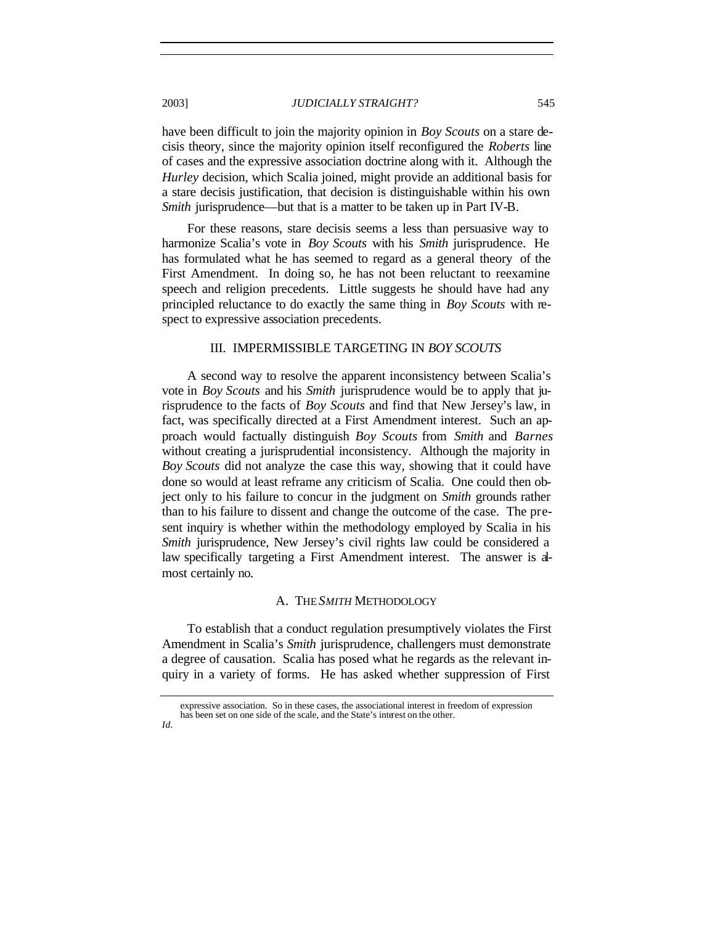have been difficult to join the majority opinion in *Boy Scouts* on a stare decisis theory, since the majority opinion itself reconfigured the *Roberts* line of cases and the expressive association doctrine along with it. Although the *Hurley* decision, which Scalia joined, might provide an additional basis for a stare decisis justification, that decision is distinguishable within his own *Smith* jurisprudence—but that is a matter to be taken up in Part IV-B.

For these reasons, stare decisis seems a less than persuasive way to harmonize Scalia's vote in *Boy Scouts* with his *Smith* jurisprudence. He has formulated what he has seemed to regard as a general theory of the First Amendment. In doing so, he has not been reluctant to reexamine speech and religion precedents. Little suggests he should have had any principled reluctance to do exactly the same thing in *Boy Scouts* with respect to expressive association precedents.

## III. IMPERMISSIBLE TARGETING IN *BOY SCOUTS*

A second way to resolve the apparent inconsistency between Scalia's vote in *Boy Scouts* and his *Smith* jurisprudence would be to apply that jurisprudence to the facts of *Boy Scouts* and find that New Jersey's law, in fact, was specifically directed at a First Amendment interest. Such an approach would factually distinguish *Boy Scouts* from *Smith* and *Barnes* without creating a jurisprudential inconsistency. Although the majority in *Boy Scouts* did not analyze the case this way, showing that it could have done so would at least reframe any criticism of Scalia. One could then object only to his failure to concur in the judgment on *Smith* grounds rather than to his failure to dissent and change the outcome of the case. The present inquiry is whether within the methodology employed by Scalia in his *Smith* jurisprudence, New Jersey's civil rights law could be considered a law specifically targeting a First Amendment interest. The answer is almost certainly no.

#### A. THE *SMITH* METHODOLOGY

To establish that a conduct regulation presumptively violates the First Amendment in Scalia's *Smith* jurisprudence, challengers must demonstrate a degree of causation. Scalia has posed what he regards as the relevant inquiry in a variety of forms. He has asked whether suppression of First

*Id.*

expressive association. So in these cases, the associational interest in freedom of expression has been set on one side of the scale, and the State's interest on the other.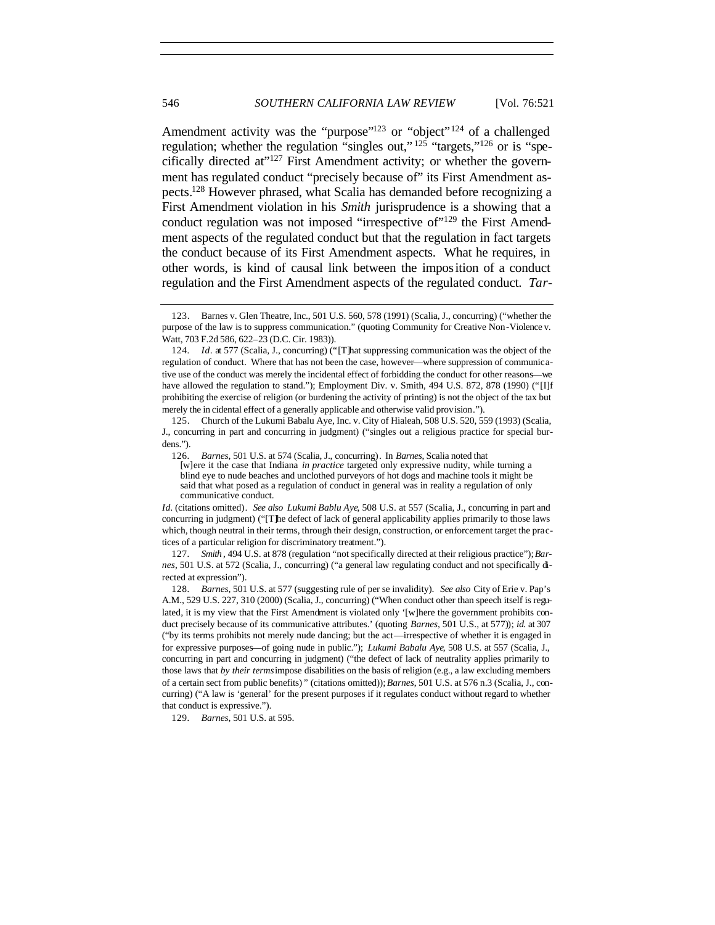Amendment activity was the "purpose"<sup>123</sup> or "object"<sup>124</sup> of a challenged regulation; whether the regulation "singles out,"  $^{125}$  "targets,"<sup>126</sup> or is "specifically directed at" $127$  First Amendment activity; or whether the government has regulated conduct "precisely because of" its First Amendment aspects.<sup>128</sup> However phrased, what Scalia has demanded before recognizing a First Amendment violation in his *Smith* jurisprudence is a showing that a conduct regulation was not imposed "irrespective of  $129$ " the First Amendment aspects of the regulated conduct but that the regulation in fact targets the conduct because of its First Amendment aspects. What he requires, in other words, is kind of causal link between the imposition of a conduct regulation and the First Amendment aspects of the regulated conduct. *Tar-*

127*. Smith* , 494 U.S. at 878 (regulation "not specifically directed at their religious practice"); *Barnes*, 501 U.S. at 572 (Scalia, J., concurring) ("a general law regulating conduct and not specifically directed at expression").

128*. Barnes*, 501 U.S. at 577 (suggesting rule of per se invalidity). *See also* City of Erie v. Pap's A.M., 529 U.S. 227, 310 (2000) (Scalia, J., concurring) ("When conduct other than speech itself is regulated, it is my view that the First Amendment is violated only '[w]here the government prohibits conduct precisely because of its communicative attributes.' (quoting *Barnes*, 501 U.S., at 577)); *id.* at 307 ("by its terms prohibits not merely nude dancing; but the act—irrespective of whether it is engaged in for expressive purposes—of going nude in public."); *Lukumi Babalu Aye*, 508 U.S. at 557 (Scalia, J., concurring in part and concurring in judgment) ("the defect of lack of neutrality applies primarily to those laws that *by their terms* impose disabilities on the basis of religion (e.g., a law excluding members of a certain sect from public benefits) " (citations omitted)); *Barnes*, 501 U.S. at 576 n.3 (Scalia, J., concurring) ("A law is 'general' for the present purposes if it regulates conduct without regard to whether that conduct is expressive.").

129*. Barnes*, 501 U.S. at 595.

<sup>123.</sup> Barnes v. Glen Theatre, Inc., 501 U.S. 560, 578 (1991) (Scalia, J., concurring) ("whether the purpose of the law is to suppress communication." (quoting Community for Creative Non-Violence v. Watt, 703 F.2d 586, 622–23 (D.C. Cir. 1983)).

<sup>124</sup>*. Id*. at 577 (Scalia, J., concurring) ("[T]hat suppressing communication was the object of the regulation of conduct. Where that has not been the case, however—where suppression of communicative use of the conduct was merely the incidental effect of forbidding the conduct for other reasons—we have allowed the regulation to stand."); Employment Div. v. Smith, 494 U.S. 872, 878 (1990) ("[I]f prohibiting the exercise of religion (or burdening the activity of printing) is not the object of the tax but merely the in cidental effect of a generally applicable and otherwise valid provision.").

<sup>125.</sup> Church of the Lukumi Babalu Aye, Inc. v. City of Hialeah, 508 U.S. 520, 559 (1993) (Scalia, J., concurring in part and concurring in judgment) ("singles out a religious practice for special burdens.").

<sup>126</sup>*. Barnes*, 501 U.S. at 574 (Scalia, J., concurring). In *Barnes*, Scalia noted that

<sup>[</sup>w]ere it the case that Indiana *in practice* targeted only expressive nudity, while turning a blind eye to nude beaches and unclothed purveyors of hot dogs and machine tools it might be said that what posed as a regulation of conduct in general was in reality a regulation of only communicative conduct.

*Id.* (citations omitted). *See also Lukumi Bablu Aye*, 508 U.S. at 557 (Scalia, J., concurring in part and concurring in judgment) ("[T]he defect of lack of general applicability applies primarily to those laws which, though neutral in their terms, through their design, construction, or enforcement target the practices of a particular religion for discriminatory treatment.").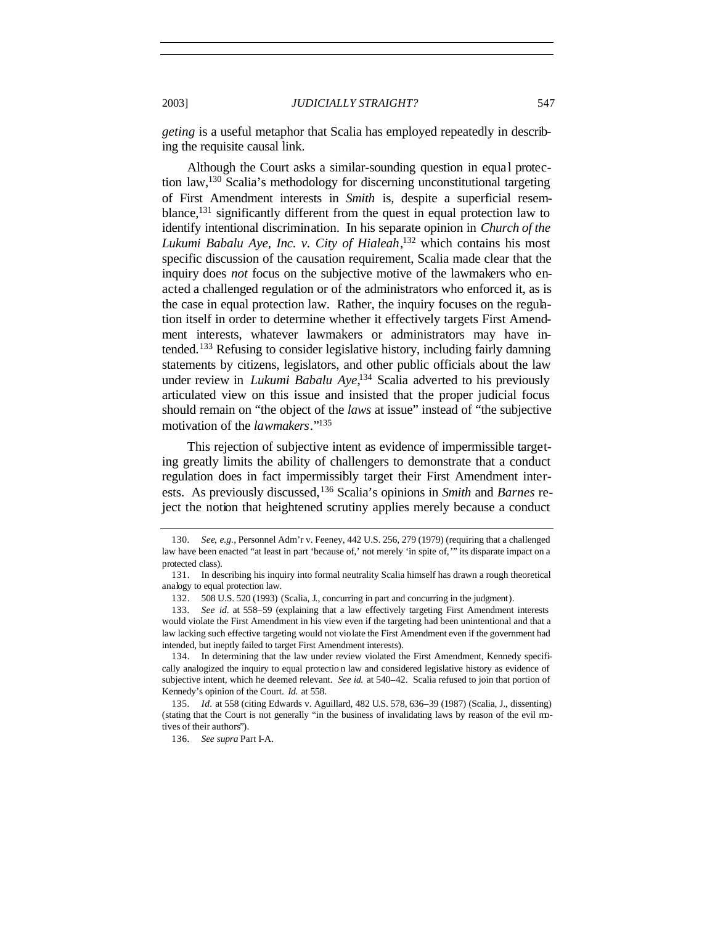*geting* is a useful metaphor that Scalia has employed repeatedly in describing the requisite causal link.

Although the Court asks a similar-sounding question in equal protection law,<sup>130</sup> Scalia's methodology for discerning unconstitutional targeting of First Amendment interests in *Smith* is, despite a superficial resemblance,<sup>131</sup> significantly different from the quest in equal protection law to identify intentional discrimination. In his separate opinion in *Church of the Lukumi Babalu Aye, Inc. v. City of Hialeah*, <sup>132</sup> which contains his most specific discussion of the causation requirement, Scalia made clear that the inquiry does *not* focus on the subjective motive of the lawmakers who enacted a challenged regulation or of the administrators who enforced it, as is the case in equal protection law. Rather, the inquiry focuses on the regulation itself in order to determine whether it effectively targets First Amendment interests, whatever lawmakers or administrators may have intended.<sup>133</sup> Refusing to consider legislative history, including fairly damning statements by citizens, legislators, and other public officials about the law under review in *Lukumi Babalu Aye*, <sup>134</sup> Scalia adverted to his previously articulated view on this issue and insisted that the proper judicial focus should remain on "the object of the *laws* at issue" instead of "the subjective motivation of the *lawmakers*."<sup>135</sup>

This rejection of subjective intent as evidence of impermissible targeting greatly limits the ability of challengers to demonstrate that a conduct regulation does in fact impermissibly target their First Amendment interests. As previously discussed,<sup>136</sup> Scalia's opinions in *Smith* and *Barnes* reject the notion that heightened scrutiny applies merely because a conduct

<sup>130</sup>*. See, e.g.*, Personnel Adm'r v. Feeney, 442 U.S. 256, 279 (1979) (requiring that a challenged law have been enacted "at least in part 'because of,' not merely 'in spite of,'" its disparate impact on a protected class).

<sup>131.</sup> In describing his inquiry into formal neutrality Scalia himself has drawn a rough theoretical analogy to equal protection law.

<sup>132.</sup> 508 U.S. 520 (1993) (Scalia, J., concurring in part and concurring in the judgment).

<sup>133</sup>*. See id.* at 558–59 (explaining that a law effectively targeting First Amendment interests would violate the First Amendment in his view even if the targeting had been unintentional and that a law lacking such effective targeting would not violate the First Amendment even if the government had intended, but ineptly failed to target First Amendment interests).

<sup>134.</sup> In determining that the law under review violated the First Amendment, Kennedy specifically analogized the inquiry to equal protectio n law and considered legislative history as evidence of subjective intent, which he deemed relevant. *See id.* at 540–42. Scalia refused to join that portion of Kennedy's opinion of the Court. *Id.* at 558.

<sup>135</sup>*. Id.* at 558 (citing Edwards v. Aguillard, 482 U.S. 578, 636–39 (1987) (Scalia, J., dissenting) (stating that the Court is not generally "in the business of invalidating laws by reason of the evil motives of their authors").

<sup>136</sup>*. See supra* Part I-A.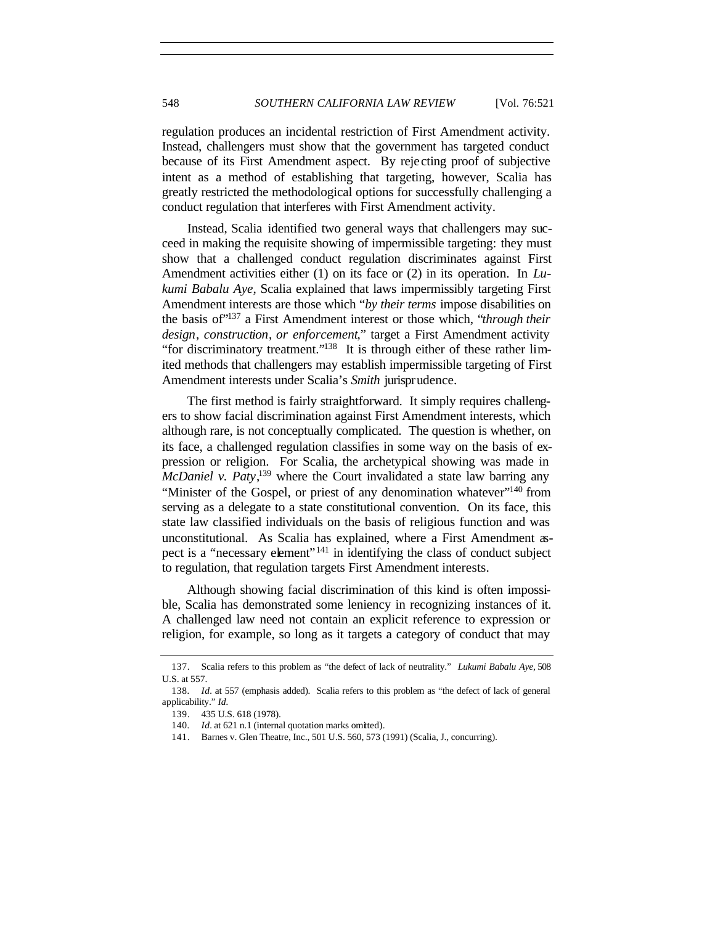regulation produces an incidental restriction of First Amendment activity. Instead, challengers must show that the government has targeted conduct because of its First Amendment aspect. By reje cting proof of subjective intent as a method of establishing that targeting, however, Scalia has greatly restricted the methodological options for successfully challenging a conduct regulation that interferes with First Amendment activity.

Instead, Scalia identified two general ways that challengers may succeed in making the requisite showing of impermissible targeting: they must show that a challenged conduct regulation discriminates against First Amendment activities either (1) on its face or (2) in its operation. In *Lukumi Babalu Aye*, Scalia explained that laws impermissibly targeting First Amendment interests are those which "*by their terms* impose disabilities on the basis of"<sup>137</sup> a First Amendment interest or those which, "*through their design*, *construction*, *or enforcement*," target a First Amendment activity "for discriminatory treatment."<sup>138</sup> It is through either of these rather limited methods that challengers may establish impermissible targeting of First Amendment interests under Scalia's *Smith* jurisprudence.

The first method is fairly straightforward. It simply requires challengers to show facial discrimination against First Amendment interests, which although rare, is not conceptually complicated. The question is whether, on its face, a challenged regulation classifies in some way on the basis of expression or religion. For Scalia, the archetypical showing was made in *McDaniel v. Paty*, <sup>139</sup> where the Court invalidated a state law barring any "Minister of the Gospel, or priest of any denomination whatever"<sup>140</sup> from serving as a delegate to a state constitutional convention. On its face, this state law classified individuals on the basis of religious function and was unconstitutional. As Scalia has explained, where a First Amendment aspect is a "necessary element"<sup>141</sup> in identifying the class of conduct subject to regulation, that regulation targets First Amendment interests.

Although showing facial discrimination of this kind is often impossible, Scalia has demonstrated some leniency in recognizing instances of it. A challenged law need not contain an explicit reference to expression or religion, for example, so long as it targets a category of conduct that may

<sup>137.</sup> Scalia refers to this problem as "the defect of lack of neutrality." *Lukumi Babalu Aye*, 508 U.S. at 557.

<sup>138</sup>*. Id.* at 557 (emphasis added). Scalia refers to this problem as "the defect of lack of general applicability." *Id.*

<sup>139.</sup> 435 U.S. 618 (1978).

<sup>140</sup>*. Id.* at 621 n.1 (internal quotation marks omitted).

<sup>141.</sup> Barnes v. Glen Theatre, Inc., 501 U.S. 560, 573 (1991) (Scalia, J., concurring).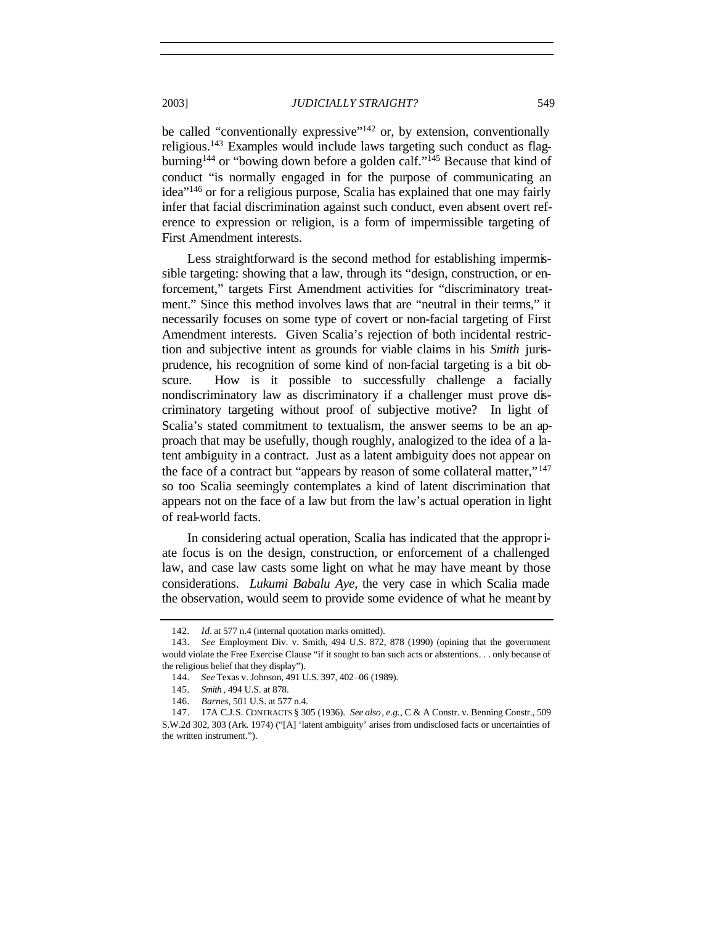be called "conventionally expressive"<sup>142</sup> or, by extension, conventionally religious.<sup>143</sup> Examples would include laws targeting such conduct as flagburning<sup>144</sup> or "bowing down before a golden calf."<sup>145</sup> Because that kind of conduct "is normally engaged in for the purpose of communicating an idea"<sup>146</sup> or for a religious purpose, Scalia has explained that one may fairly infer that facial discrimination against such conduct, even absent overt reference to expression or religion, is a form of impermissible targeting of First Amendment interests.

Less straightforward is the second method for establishing impermissible targeting: showing that a law, through its "design, construction, or enforcement," targets First Amendment activities for "discriminatory treatment." Since this method involves laws that are "neutral in their terms," it necessarily focuses on some type of covert or non-facial targeting of First Amendment interests. Given Scalia's rejection of both incidental restriction and subjective intent as grounds for viable claims in his *Smith* jurisprudence, his recognition of some kind of non-facial targeting is a bit obscure. How is it possible to successfully challenge a facially nondiscriminatory law as discriminatory if a challenger must prove discriminatory targeting without proof of subjective motive? In light of Scalia's stated commitment to textualism, the answer seems to be an approach that may be usefully, though roughly, analogized to the idea of a latent ambiguity in a contract. Just as a latent ambiguity does not appear on the face of a contract but "appears by reason of some collateral matter," $147$ so too Scalia seemingly contemplates a kind of latent discrimination that appears not on the face of a law but from the law's actual operation in light of real-world facts.

In considering actual operation, Scalia has indicated that the appropriate focus is on the design, construction, or enforcement of a challenged law, and case law casts some light on what he may have meant by those considerations. *Lukumi Babalu Aye*, the very case in which Scalia made the observation, would seem to provide some evidence of what he meant by

<sup>142</sup>*. Id.* at 577 n.4 (internal quotation marks omitted).

<sup>143</sup>*. See* Employment Div. v. Smith, 494 U.S. 872, 878 (1990) (opining that the government would violate the Free Exercise Clause "if it sought to ban such acts or abstentions. . . only because of the religious belief that they display").

<sup>144</sup>*. See* Texas v. Johnson, 491 U.S. 397, 402–06 (1989).

<sup>145</sup>*. Smith* , 494 U.S. at 878.

<sup>146</sup>*. Barnes*, 501 U.S. at 577 n.4.

<sup>147.</sup> 17A C.J.S. CONTRACTS § 305 (1936). *See also*, *e.g.*, C & A Constr. v. Benning Constr., 509 S.W.2d 302, 303 (Ark. 1974) ("[A] 'latent ambiguity' arises from undisclosed facts or uncertainties of the written instrument.").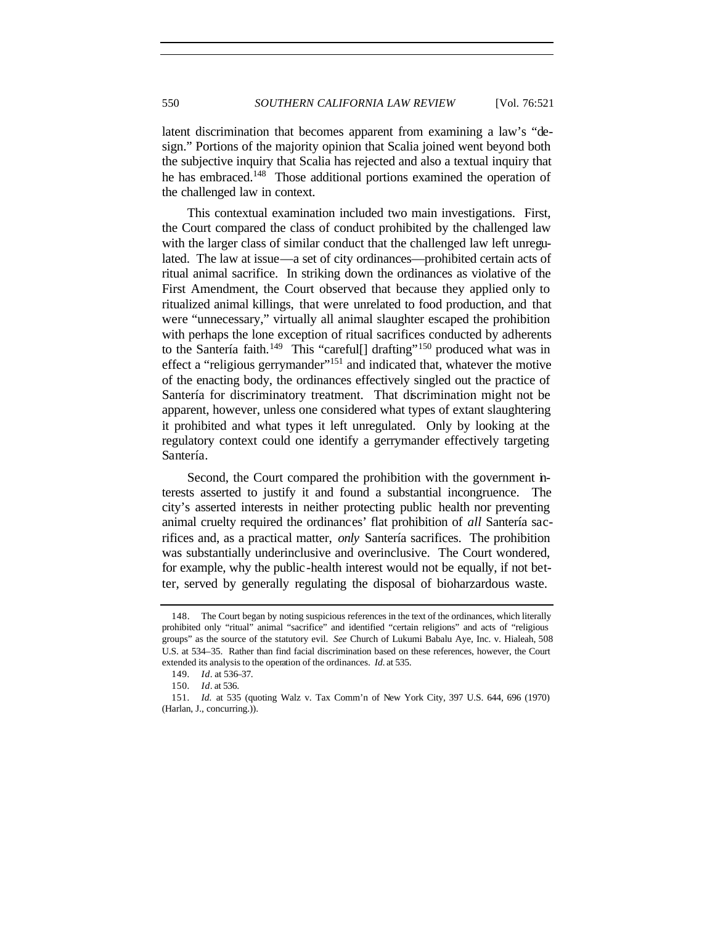latent discrimination that becomes apparent from examining a law's "design." Portions of the majority opinion that Scalia joined went beyond both the subjective inquiry that Scalia has rejected and also a textual inquiry that he has embraced.<sup>148</sup> Those additional portions examined the operation of the challenged law in context.

This contextual examination included two main investigations. First, the Court compared the class of conduct prohibited by the challenged law with the larger class of similar conduct that the challenged law left unregulated. The law at issue—a set of city ordinances—prohibited certain acts of ritual animal sacrifice. In striking down the ordinances as violative of the First Amendment, the Court observed that because they applied only to ritualized animal killings, that were unrelated to food production, and that were "unnecessary," virtually all animal slaughter escaped the prohibition with perhaps the lone exception of ritual sacrifices conducted by adherents to the Santería faith.<sup>149</sup> This "careful[] drafting"<sup>150</sup> produced what was in effect a "religious gerrymander"<sup>151</sup> and indicated that, whatever the motive of the enacting body, the ordinances effectively singled out the practice of Santería for discriminatory treatment. That discrimination might not be apparent, however, unless one considered what types of extant slaughtering it prohibited and what types it left unregulated. Only by looking at the regulatory context could one identify a gerrymander effectively targeting Santería.

Second, the Court compared the prohibition with the government interests asserted to justify it and found a substantial incongruence. The city's asserted interests in neither protecting public health nor preventing animal cruelty required the ordinances' flat prohibition of *all* Santería sacrifices and, as a practical matter, *only* Santería sacrifices. The prohibition was substantially underinclusive and overinclusive. The Court wondered, for example, why the public -health interest would not be equally, if not better, served by generally regulating the disposal of bioharzardous waste.

<sup>148.</sup> The Court began by noting suspicious references in the text of the ordinances, which literally prohibited only "ritual" animal "sacrifice" and identified "certain religions" and acts of "religious groups" as the source of the statutory evil. *See* Church of Lukumi Babalu Aye, Inc. v. Hialeah, 508 U.S. at 534–35. Rather than find facial discrimination based on these references, however, the Court extended its analysis to the operation of the ordinances. *Id.* at 535.

<sup>149</sup>*. Id*. at 536–37.

<sup>150</sup>*. Id*. at 536.

<sup>151</sup>*. Id.* at 535 (quoting Walz v. Tax Comm'n of New York City, 397 U.S. 644, 696 (1970) (Harlan, J., concurring.)).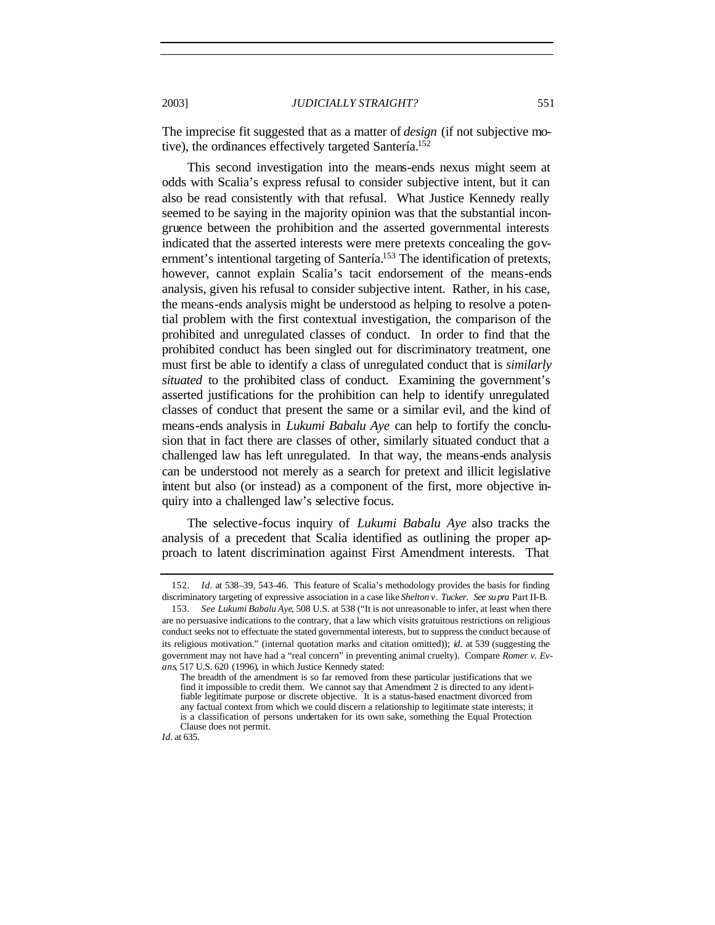The imprecise fit suggested that as a matter of *design* (if not subjective motive), the ordinances effectively targeted Santería.<sup>152</sup>

This second investigation into the means-ends nexus might seem at odds with Scalia's express refusal to consider subjective intent, but it can also be read consistently with that refusal. What Justice Kennedy really seemed to be saying in the majority opinion was that the substantial incongruence between the prohibition and the asserted governmental interests indicated that the asserted interests were mere pretexts concealing the government's intentional targeting of Santería.<sup>153</sup> The identification of pretexts, however, cannot explain Scalia's tacit endorsement of the means-ends analysis, given his refusal to consider subjective intent. Rather, in his case, the means-ends analysis might be understood as helping to resolve a potential problem with the first contextual investigation, the comparison of the prohibited and unregulated classes of conduct. In order to find that the prohibited conduct has been singled out for discriminatory treatment, one must first be able to identify a class of unregulated conduct that is *similarly situated* to the prohibited class of conduct. Examining the government's asserted justifications for the prohibition can help to identify unregulated classes of conduct that present the same or a similar evil, and the kind of means-ends analysis in *Lukumi Babalu Aye* can help to fortify the conclusion that in fact there are classes of other, similarly situated conduct that a challenged law has left unregulated. In that way, the means-ends analysis can be understood not merely as a search for pretext and illicit legislative intent but also (or instead) as a component of the first, more objective inquiry into a challenged law's selective focus.

The selective-focus inquiry of *Lukumi Babalu Aye* also tracks the analysis of a precedent that Scalia identified as outlining the proper approach to latent discrimination against First Amendment interests. That

<sup>152</sup>*. Id*. at 538–39, 543–46. This feature of Scalia's methodology provides the basis for finding discriminatory targeting of expressive association in a case like *Shelton v. Tucker. See su pra* Part II-B.

<sup>153</sup>*. See Lukumi Babalu Aye*, 508 U.S. at 538 ("It is not unreasonable to infer, at least when there are no persuasive indications to the contrary, that a law which visits gratuitous restrictions on religious conduct seeks not to effectuate the stated governmental interests, but to suppress the conduct because of its religious motivation." (internal quotation marks and citation omitted)); *id.* at 539 (suggesting the government may not have had a "real concern" in preventing animal cruelty). Compare *Romer v. Evans*, 517 U.S. 620 (1996), in which Justice Kennedy stated:

The breadth of the amendment is so far removed from these particular justifications that we find it impossible to credit them. We cannot say that Amendment 2 is directed to any identifiable legitimate purpose or discrete objective. It is a status-based enactment divorced from any factual context from which we could discern a relationship to legitimate state interests; it is a classification of persons undertaken for its own sake, something the Equal Protection Clause does not permit.

*Id.* at 635.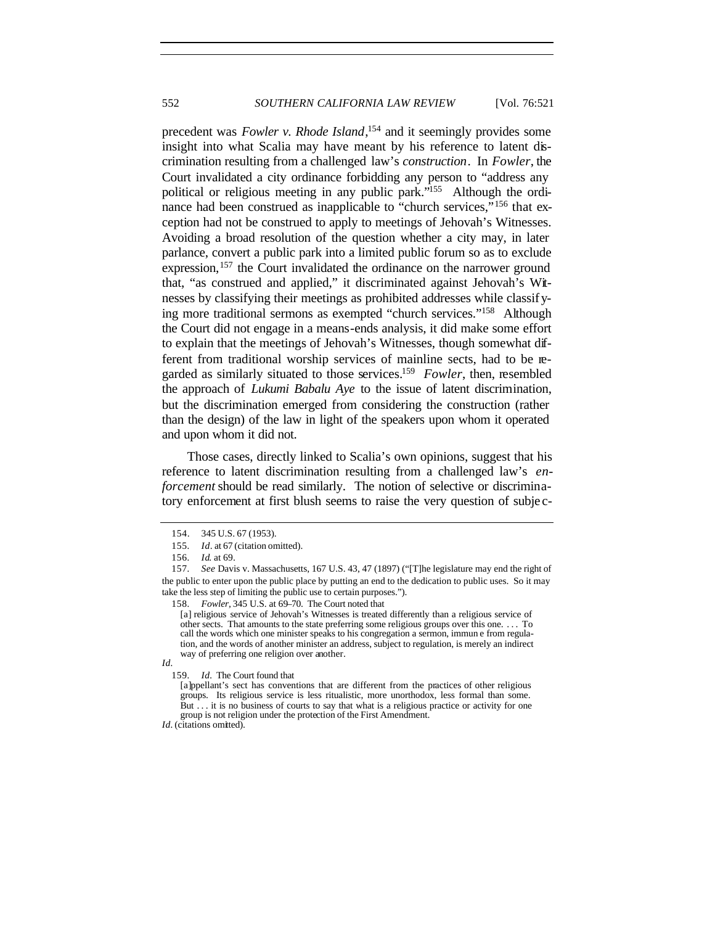precedent was *Fowler v. Rhode Island*, <sup>154</sup> and it seemingly provides some insight into what Scalia may have meant by his reference to latent discrimination resulting from a challenged law's *construction*. In *Fowler*, the Court invalidated a city ordinance forbidding any person to "address any political or religious meeting in any public park."<sup>155</sup> Although the ordinance had been construed as inapplicable to "church services,"<sup>156</sup> that exception had not be construed to apply to meetings of Jehovah's Witnesses. Avoiding a broad resolution of the question whether a city may, in later parlance, convert a public park into a limited public forum so as to exclude expression,<sup>157</sup> the Court invalidated the ordinance on the narrower ground that, "as construed and applied," it discriminated against Jehovah's Witnesses by classifying their meetings as prohibited addresses while classifying more traditional sermons as exempted "church services."<sup>158</sup> Although the Court did not engage in a means-ends analysis, it did make some effort to explain that the meetings of Jehovah's Witnesses, though somewhat different from traditional worship services of mainline sects, had to be regarded as similarly situated to those services.<sup>159</sup> Fowler, then, resembled the approach of *Lukumi Babalu Aye* to the issue of latent discrimination, but the discrimination emerged from considering the construction (rather than the design) of the law in light of the speakers upon whom it operated and upon whom it did not.

Those cases, directly linked to Scalia's own opinions, suggest that his reference to latent discrimination resulting from a challenged law's *enforcement* should be read similarly. The notion of selective or discriminatory enforcement at first blush seems to raise the very question of subje c-

159*. Id.* The Court found that

<sup>154.</sup> 345 U.S. 67 (1953).

<sup>155</sup>*. Id*. at 67 (citation omitted).

<sup>156</sup>*. Id*. at 69.

<sup>157</sup>*. See* Davis v. Massachusetts, 167 U.S. 43, 47 (1897) ("[T]he legislature may end the right of the public to enter upon the public place by putting an end to the dedication to public uses. So it may take the less step of limiting the public use to certain purposes.").

<sup>158</sup>*. Fowler,* 345 U.S. at 69–70. The Court noted that

<sup>[</sup>a] religious service of Jehovah's Witnesses is treated differently than a religious service of other sects. That amounts to the state preferring some religious groups over this one. . . . To call the words which one minister speaks to his congregation a sermon, immun e from regulation, and the words of another minister an address, subject to regulation, is merely an indirect way of preferring one religion over another.

*Id.*

<sup>[</sup>a]ppellant's sect has conventions that are different from the practices of other religious groups. Its religious service is less ritualistic, more unorthodox, less formal than some. But . . . it is no business of courts to say that what is a religious practice or activity for one group is not religion under the protection of the First Amendment.

Id. (citations omitted).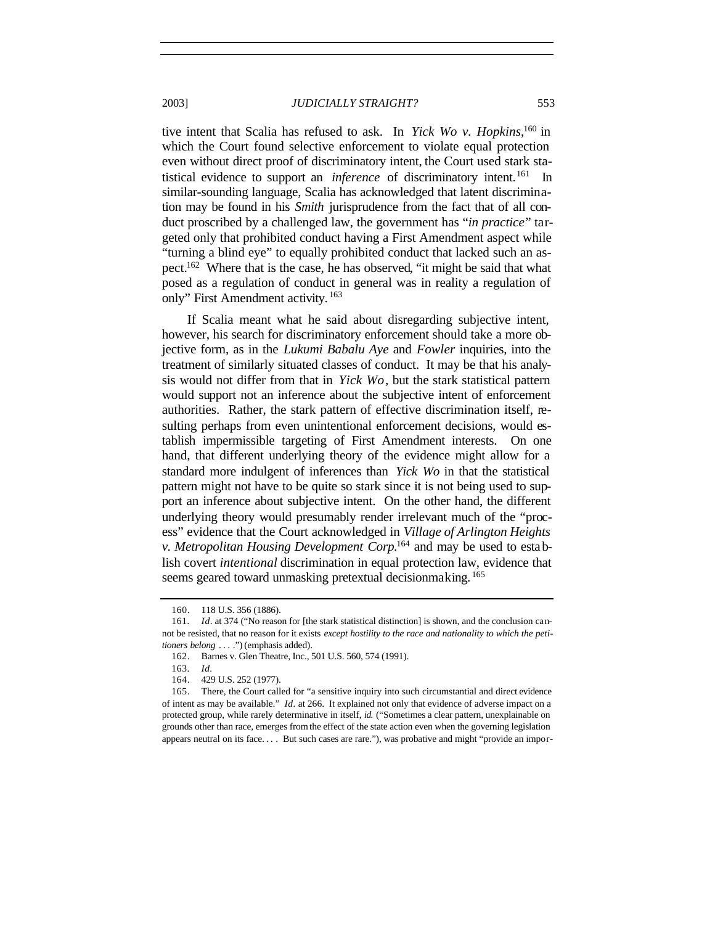tive intent that Scalia has refused to ask. In *Yick Wo v. Hopkins*, <sup>160</sup> in which the Court found selective enforcement to violate equal protection even without direct proof of discriminatory intent, the Court used stark statistical evidence to support an *inference* of discriminatory intent.<sup>161</sup> In similar-sounding language, Scalia has acknowledged that latent discrimination may be found in his *Smith* jurisprudence from the fact that of all conduct proscribed by a challenged law, the government has "*in practice*" targeted only that prohibited conduct having a First Amendment aspect while "turning a blind eye" to equally prohibited conduct that lacked such an as-

pect.<sup>162</sup> Where that is the case, he has observed, "it might be said that what posed as a regulation of conduct in general was in reality a regulation of only" First Amendment activity. <sup>163</sup>

If Scalia meant what he said about disregarding subjective intent, however, his search for discriminatory enforcement should take a more objective form, as in the *Lukumi Babalu Aye* and *Fowler* inquiries, into the treatment of similarly situated classes of conduct. It may be that his analysis would not differ from that in *Yick Wo*, but the stark statistical pattern would support not an inference about the subjective intent of enforcement authorities. Rather, the stark pattern of effective discrimination itself, resulting perhaps from even unintentional enforcement decisions, would establish impermissible targeting of First Amendment interests. On one hand, that different underlying theory of the evidence might allow for a standard more indulgent of inferences than *Yick Wo* in that the statistical pattern might not have to be quite so stark since it is not being used to support an inference about subjective intent. On the other hand, the different underlying theory would presumably render irrelevant much of the "process" evidence that the Court acknowledged in *Village of Arlington Heights v. Metropolitan Housing Development Corp.*<sup>164</sup> and may be used to establish covert *intentional* discrimination in equal protection law, evidence that seems geared toward unmasking pretextual decisionmaking.<sup>165</sup>

<sup>160.</sup> 118 U.S. 356 (1886).

<sup>161</sup>*. Id*. at 374 ("No reason for [the stark statistical distinction] is shown, and the conclusion cannot be resisted, that no reason for it exists *except hostility to the race and nationality to which the petitioners belong* . . . .") (emphasis added).

<sup>162.</sup> Barnes v. Glen Theatre, Inc., 501 U.S. 560, 574 (1991).

<sup>163</sup>*. Id.*

<sup>164.</sup> 429 U.S. 252 (1977).

<sup>165.</sup> There, the Court called for "a sensitive inquiry into such circumstantial and direct evidence of intent as may be available." *Id.* at 266. It explained not only that evidence of adverse impact on a protected group, while rarely determinative in itself, *id.* ("Sometimes a clear pattern, unexplainable on grounds other than race, emerges from the effect of the state action even when the governing legislation appears neutral on its face. . . . But such cases are rare."), was probative and might "provide an impor-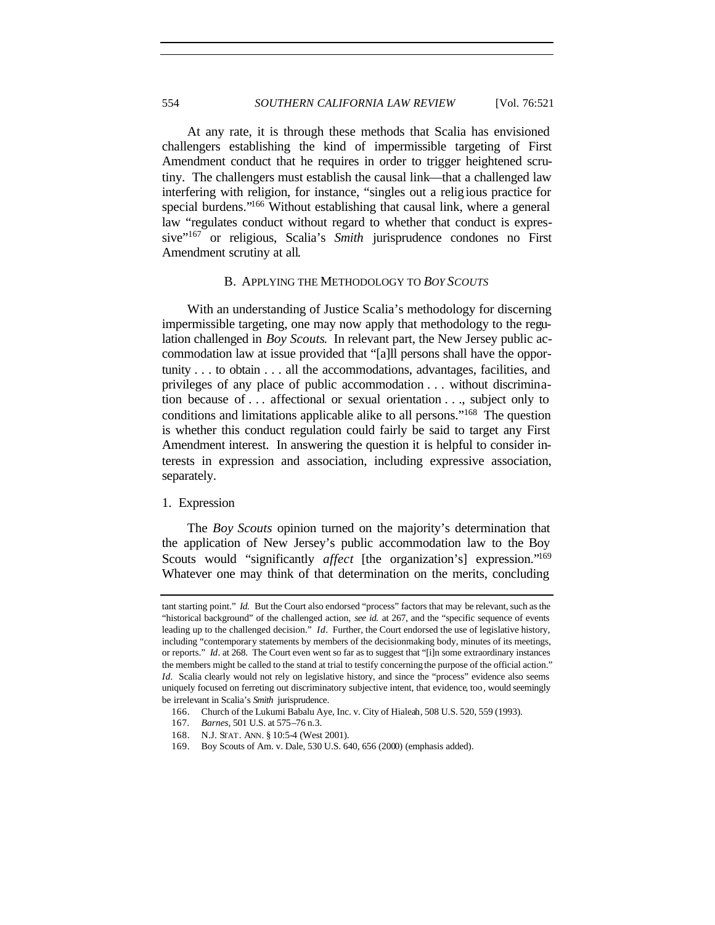At any rate, it is through these methods that Scalia has envisioned challengers establishing the kind of impermissible targeting of First Amendment conduct that he requires in order to trigger heightened scrutiny. The challengers must establish the causal link—that a challenged law interfering with religion, for instance, "singles out a religious practice for special burdens."<sup>166</sup> Without establishing that causal link, where a general law "regulates conduct without regard to whether that conduct is expressive"<sup>167</sup> or religious, Scalia's *Smith* jurisprudence condones no First Amendment scrutiny at all.

## B. APPLYING THE METHODOLOGY TO *BOY SCOUTS*

With an understanding of Justice Scalia's methodology for discerning impermissible targeting, one may now apply that methodology to the regulation challenged in *Boy Scouts*. In relevant part, the New Jersey public accommodation law at issue provided that "[a]ll persons shall have the opportunity . . . to obtain . . . all the accommodations, advantages, facilities, and privileges of any place of public accommodation . . . without discrimination because of . . . affectional or sexual orientation . . ., subject only to conditions and limitations applicable alike to all persons."<sup>168</sup> The question is whether this conduct regulation could fairly be said to target any First Amendment interest. In answering the question it is helpful to consider interests in expression and association, including expressive association, separately.

## 1. Expression

The *Boy Scouts* opinion turned on the majority's determination that the application of New Jersey's public accommodation law to the Boy Scouts would "significantly *affect* [the organization's] expression."<sup>169</sup> Whatever one may think of that determination on the merits, concluding

tant starting point." *Id.* But the Court also endorsed "process" factors that may be relevant, such as the "historical background" of the challenged action, *see id.* at 267, and the "specific sequence of events leading up to the challenged decision." *Id*. Further, the Court endorsed the use of legislative history, including "contemporary statements by members of the decisionmaking body, minutes of its meetings, or reports." *Id*. at 268. The Court even went so far as to suggest that "[i]n some extraordinary instances the members might be called to the stand at trial to testify concerning the purpose of the official action." *Id.* Scalia clearly would not rely on legislative history, and since the "process" evidence also seems uniquely focused on ferreting out discriminatory subjective intent, that evidence, too, would seemingly be irrelevant in Scalia's *Smith* jurisprudence.

<sup>166.</sup> Church of the Lukumi Babalu Aye, Inc. v. City of Hialeah, 508 U.S. 520, 559 (1993).

<sup>167</sup>*. Barnes*, 501 U.S. at 575–76 n.3.

<sup>168.</sup> N.J. STAT. ANN. § 10:5-4 (West 2001).

<sup>169.</sup> Boy Scouts of Am. v. Dale, 530 U.S. 640, 656 (2000) (emphasis added).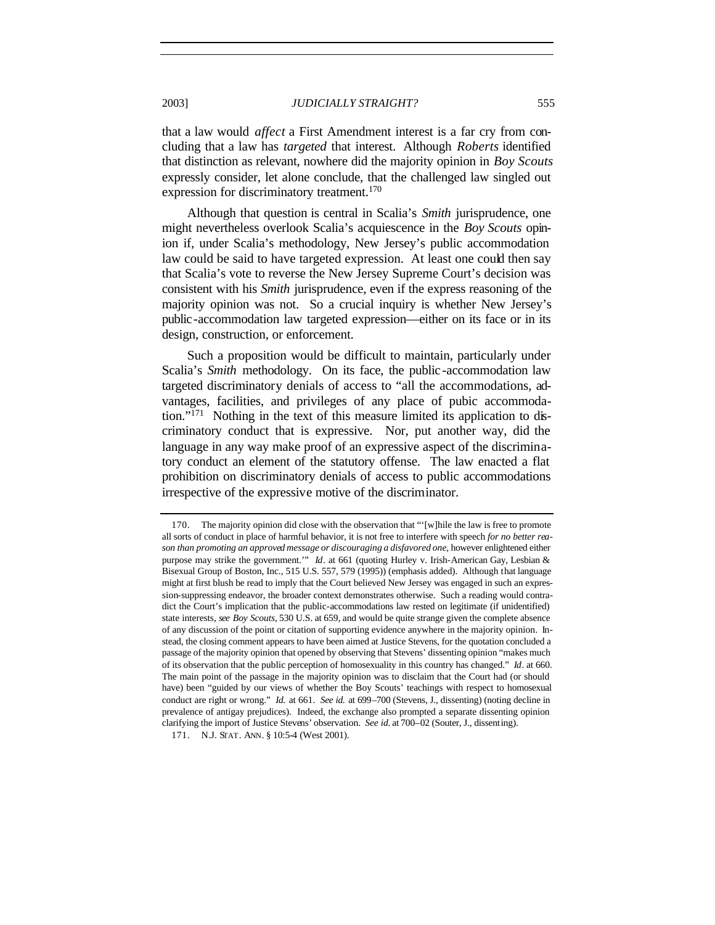that a law would *affect* a First Amendment interest is a far cry from concluding that a law has *targeted* that interest. Although *Roberts* identified that distinction as relevant, nowhere did the majority opinion in *Boy Scouts* expressly consider, let alone conclude, that the challenged law singled out expression for discriminatory treatment.<sup>170</sup>

Although that question is central in Scalia's *Smith* jurisprudence, one might nevertheless overlook Scalia's acquiescence in the *Boy Scouts* opinion if, under Scalia's methodology, New Jersey's public accommodation law could be said to have targeted expression. At least one could then say that Scalia's vote to reverse the New Jersey Supreme Court's decision was consistent with his *Smith* jurisprudence, even if the express reasoning of the majority opinion was not. So a crucial inquiry is whether New Jersey's public-accommodation law targeted expression—either on its face or in its design, construction, or enforcement.

Such a proposition would be difficult to maintain, particularly under Scalia's *Smith* methodology. On its face, the public -accommodation law targeted discriminatory denials of access to "all the accommodations, advantages, facilities, and privileges of any place of pubic accommodation."171 Nothing in the text of this measure limited its application to discriminatory conduct that is expressive. Nor, put another way, did the language in any way make proof of an expressive aspect of the discriminatory conduct an element of the statutory offense. The law enacted a flat prohibition on discriminatory denials of access to public accommodations irrespective of the expressive motive of the discriminator.

<sup>170.</sup> The majority opinion did close with the observation that "'[w]hile the law is free to promote all sorts of conduct in place of harmful behavior, it is not free to interfere with speech *for no better reason than promoting an approved message or discouraging a disfavored one*, however enlightened either purpose may strike the government.'" *Id*. at 661 (quoting Hurley v. Irish-American Gay, Lesbian & Bisexual Group of Boston, Inc., 515 U.S. 557, 579 (1995)) (emphasis added). Although that language might at first blush be read to imply that the Court believed New Jersey was engaged in such an expression-suppressing endeavor, the broader context demonstrates otherwise. Such a reading would contradict the Court's implication that the public-accommodations law rested on legitimate (if unidentified) state interests, *see Boy Scouts*, 530 U.S. at 659, and would be quite strange given the complete absence of any discussion of the point or citation of supporting evidence anywhere in the majority opinion. Instead, the closing comment appears to have been aimed at Justice Stevens, for the quotation concluded a passage of the majority opinion that opened by observing that Stevens' dissenting opinion "makes much of its observation that the public perception of homosexuality in this country has changed." *Id*. at 660. The main point of the passage in the majority opinion was to disclaim that the Court had (or should have) been "guided by our views of whether the Boy Scouts' teachings with respect to homosexual conduct are right or wrong." *Id.* at 661. *See id.* at 699–700 (Stevens, J., dissenting) (noting decline in prevalence of antigay prejudices). Indeed, the exchange also prompted a separate dissenting opinion clarifying the import of Justice Stevens' observation. *See id.* at 700–02 (Souter, J., dissenting).

<sup>171.</sup> N.J. STAT. ANN. § 10:5-4 (West 2001).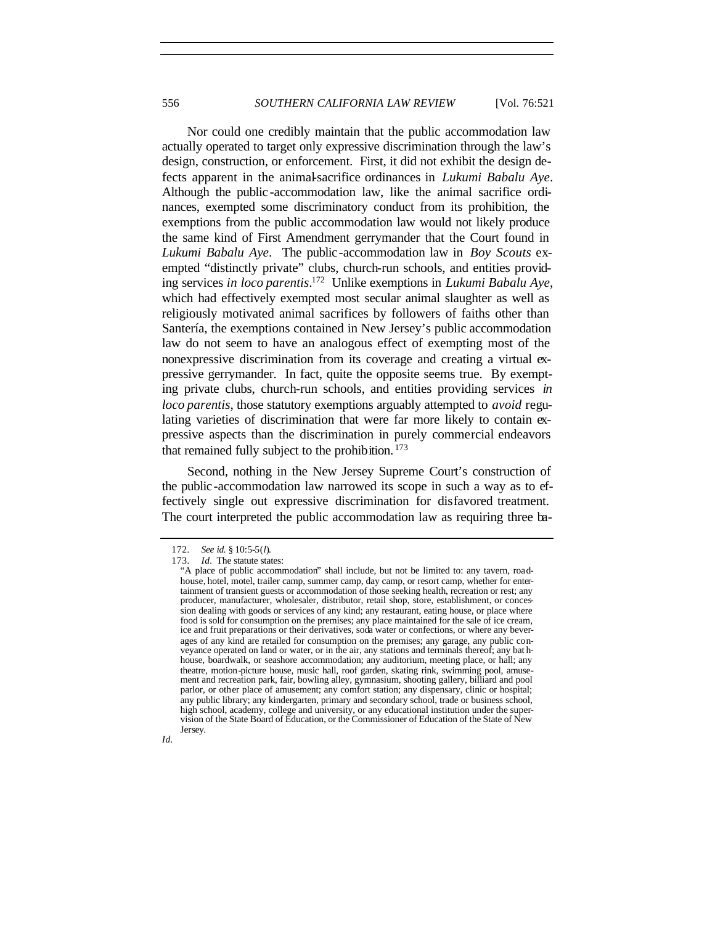Nor could one credibly maintain that the public accommodation law actually operated to target only expressive discrimination through the law's design, construction, or enforcement. First, it did not exhibit the design defects apparent in the animal-sacrifice ordinances in *Lukumi Babalu Aye*. Although the public -accommodation law, like the animal sacrifice ordinances, exempted some discriminatory conduct from its prohibition, the exemptions from the public accommodation law would not likely produce the same kind of First Amendment gerrymander that the Court found in *Lukumi Babalu Aye*. The public-accommodation law in *Boy Scouts* exempted "distinctly private" clubs, church-run schools, and entities providing services *in loco parentis*. <sup>172</sup> Unlike exemptions in *Lukumi Babalu Aye*, which had effectively exempted most secular animal slaughter as well as religiously motivated animal sacrifices by followers of faiths other than Santería, the exemptions contained in New Jersey's public accommodation law do not seem to have an analogous effect of exempting most of the nonexpressive discrimination from its coverage and creating a virtual expressive gerrymander. In fact, quite the opposite seems true. By exempting private clubs, church-run schools, and entities providing services *in loco parentis*, those statutory exemptions arguably attempted to *avoid* regulating varieties of discrimination that were far more likely to contain expressive aspects than the discrimination in purely commercial endeavors that remained fully subject to the prohibition. <sup>173</sup>

Second, nothing in the New Jersey Supreme Court's construction of the public-accommodation law narrowed its scope in such a way as to effectively single out expressive discrimination for disfavored treatment. The court interpreted the public accommodation law as requiring three ba-

<sup>&</sup>quot;A place of public accommodation" shall include, but not be limited to: any tavern, roadhouse, hotel, motel, trailer camp, summer camp, day camp, or resort camp, whether for entertainment of transient guests or accommodation of those seeking health, recreation or rest; any producer, manufacturer, wholesaler, distributor, retail shop, store, establishment, or concession dealing with goods or services of any kind; any restaurant, eating house, or place where food is sold for consumption on the premises; any place maintained for the sale of ice cream, ice and fruit preparations or their derivatives, soda water or confections, or where any beverages of any kind are retailed for consumption on the premises; any garage, any public conveyance operated on land or water, or in the air, any stations and terminals thereof; any bat hhouse, boardwalk, or seashore accommodation; any auditorium, meeting place, or hall; any theatre, motion-picture house, music hall, roof garden, skating rink, swimming pool, amusement and recreation park, fair, bowling alley, gymnasium, shooting gallery, billiard and pool parlor, or other place of amusement; any comfort station; any dispensary, clinic or hospital; any public library; any kindergarten, primary and secondary school, trade or business school, high school, academy, college and university, or any educational institution under the supervision of the State Board of Education, or the Commissioner of Education of the State of New Jersey.



<sup>172</sup>*. See id.* § 10:5-5(*l*).

<sup>173</sup>*. Id.* The statute states: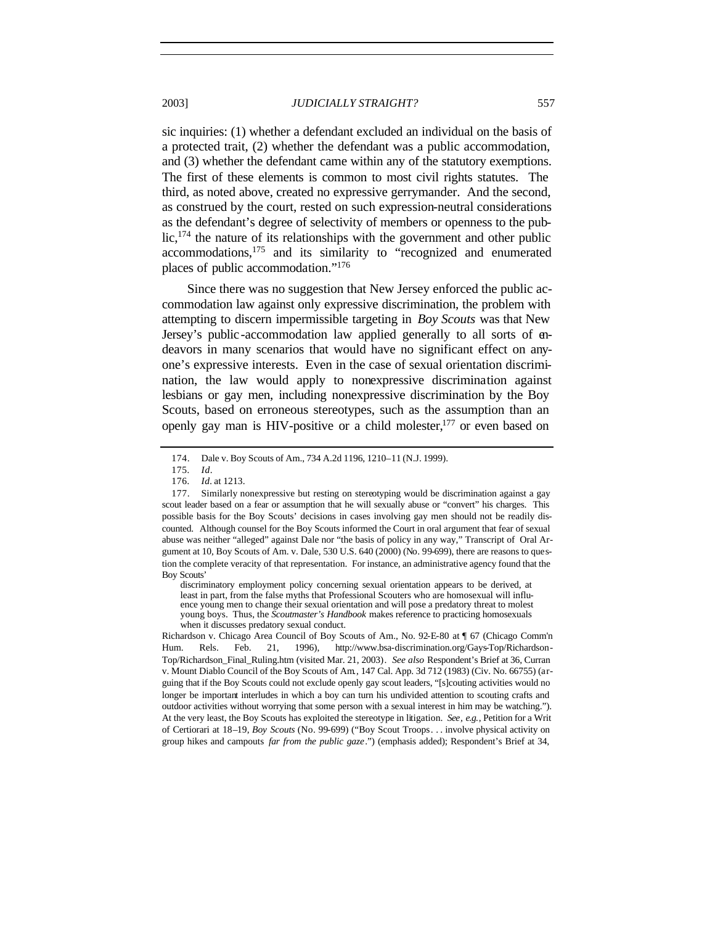sic inquiries: (1) whether a defendant excluded an individual on the basis of a protected trait, (2) whether the defendant was a public accommodation, and (3) whether the defendant came within any of the statutory exemptions. The first of these elements is common to most civil rights statutes. The third, as noted above, created no expressive gerrymander. And the second, as construed by the court, rested on such expression-neutral considerations as the defendant's degree of selectivity of members or openness to the public,<sup>174</sup> the nature of its relationships with the government and other public accommodations,<sup>175</sup> and its similarity to "recognized and enumerated places of public accommodation."<sup>176</sup>

Since there was no suggestion that New Jersey enforced the public accommodation law against only expressive discrimination, the problem with attempting to discern impermissible targeting in *Boy Scouts* was that New Jersey's public-accommodation law applied generally to all sorts of endeavors in many scenarios that would have no significant effect on anyone's expressive interests. Even in the case of sexual orientation discrimination, the law would apply to nonexpressive discrimination against lesbians or gay men, including nonexpressive discrimination by the Boy Scouts, based on erroneous stereotypes, such as the assumption than an openly gay man is HIV-positive or a child molester, $177$  or even based on

<sup>174.</sup> Dale v. Boy Scouts of Am., 734 A.2d 1196, 1210–11 (N.J. 1999).

<sup>175</sup>*. Id*.

<sup>176</sup>*. Id.* at 1213.

<sup>177.</sup> Similarly nonexpressive but resting on stereotyping would be discrimination against a gay scout leader based on a fear or assumption that he will sexually abuse or "convert" his charges. This possible basis for the Boy Scouts' decisions in cases involving gay men should not be readily discounted. Although counsel for the Boy Scouts informed the Court in oral argument that fear of sexual abuse was neither "alleged" against Dale nor "the basis of policy in any way," Transcript of Oral Argument at 10, Boy Scouts of Am. v. Dale, 530 U.S. 640 (2000) (No. 99-699), there are reasons to question the complete veracity of that representation. For instance, an administrative agency found that the Boy Scouts'

discriminatory employment policy concerning sexual orientation appears to be derived, at least in part, from the false myths that Professional Scouters who are homosexual will influence young men to change their sexual orientation and will pose a predatory threat to molest young boys. Thus, the *Scoutmaster's Handbook* makes reference to practicing homosexuals when it discusses predatory sexual conduct.

Richardson v. Chicago Area Council of Boy Scouts of Am., No. 92-E-80 at ¶ 67 (Chicago Comm'n Hum. Rels. Feb. 21, 1996), http://www.bsa-discrimination.org/Gays-Top/Richardson-Top/Richardson\_Final\_Ruling.htm (visited Mar. 21, 2003). *See also* Respondent's Brief at 36, Curran v. Mount Diablo Council of the Boy Scouts of Am*.*, 147 Cal. App. 3d 712 (1983) (Civ. No. 66755) (arguing that if the Boy Scouts could not exclude openly gay scout leaders, "[s]couting activities would no longer be important interludes in which a boy can turn his undivided attention to scouting crafts and outdoor activities without worrying that some person with a sexual interest in him may be watching."). At the very least, the Boy Scouts has exploited the stereotype in litigation. *See, e.g.*, Petition for a Writ of Certiorari at 18–19, *Boy Scouts* (No. 99-699) ("Boy Scout Troops. . . involve physical activity on group hikes and campouts *far from the public gaze*.") (emphasis added); Respondent's Brief at 34,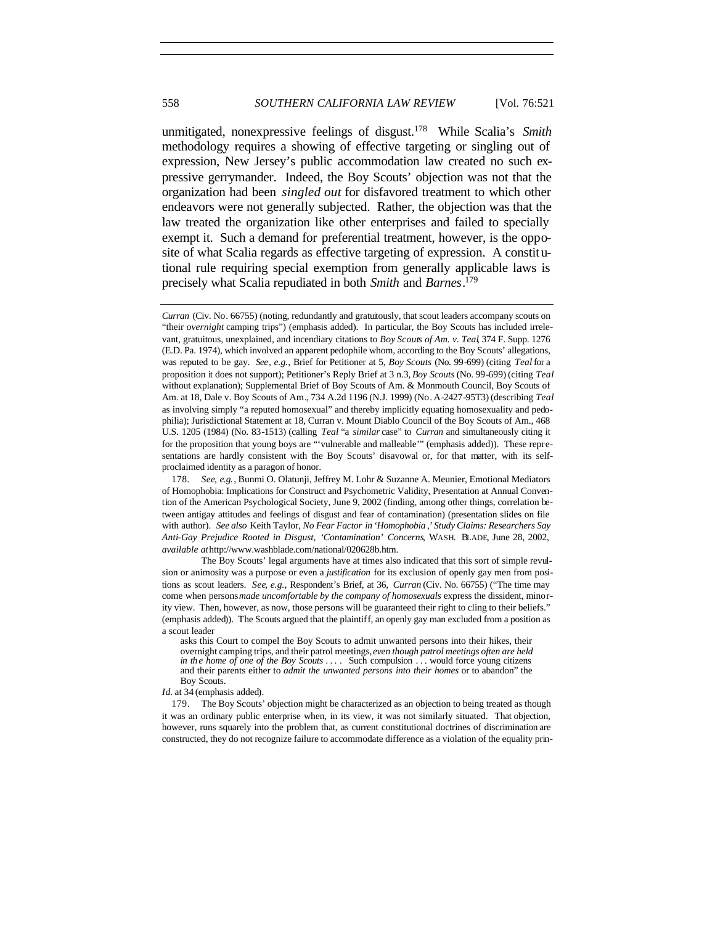unmitigated, nonexpressive feelings of disgust.<sup>178</sup> While Scalia's *Smith* methodology requires a showing of effective targeting or singling out of expression, New Jersey's public accommodation law created no such expressive gerrymander. Indeed, the Boy Scouts' objection was not that the organization had been *singled out* for disfavored treatment to which other endeavors were not generally subjected. Rather, the objection was that the law treated the organization like other enterprises and failed to specially exempt it. Such a demand for preferential treatment, however, is the opposite of what Scalia regards as effective targeting of expression. A constitutional rule requiring special exemption from generally applicable laws is precisely what Scalia repudiated in both *Smith* and *Barnes*. 179

*Id.* at 34 (emphasis added).

179. The Boy Scouts' objection might be characterized as an objection to being treated as though it was an ordinary public enterprise when, in its view, it was not similarly situated. That objection, however, runs squarely into the problem that, as current constitutional doctrines of discrimination are constructed, they do not recognize failure to accommodate difference as a violation of the equality prin-

*Curran* (Civ. No. 66755) (noting, redundantly and gratuitously, that scout leaders accompany scouts on "their *overnight* camping trips") (emphasis added). In particular, the Boy Scouts has included irrelevant, gratuitous, unexplained, and incendiary citations to *Boy Scouts of Am. v. Teal*, 374 F. Supp. 1276 (E.D. Pa. 1974), which involved an apparent pedophile whom, according to the Boy Scouts' allegations, was reputed to be gay. *See, e.g.*, Brief for Petitioner at 5, *Boy Scouts* (No. 99-699) (citing *Teal* for a proposition it does not support); Petitioner's Reply Brief at 3 n.3, *Boy Scouts* (No. 99-699) (citing *Teal* without explanation); Supplemental Brief of Boy Scouts of Am. & Monmouth Council, Boy Scouts of Am. at 18, Dale v. Boy Scouts of Am*.*, 734 A.2d 1196 (N.J. 1999) (No. A-2427-95T3) (describing *Teal* as involving simply "a reputed homosexual" and thereby implicitly equating homosexuality and pedophilia); Jurisdictional Statement at 18, Curran v. Mount Diablo Council of the Boy Scouts of Am., 468 U.S. 1205 (1984) (No. 83-1513) (calling *Teal* "a *similar* case" to *Curran* and simultaneously citing it for the proposition that young boys are "'vulnerable and malleable'" (emphasis added)). These representations are hardly consistent with the Boy Scouts' disavowal or, for that matter, with its selfproclaimed identity as a paragon of honor.

<sup>178</sup>*. See, e.g.*, Bunmi O. Olatunji, Jeffrey M. Lohr & Suzanne A. Meunier, Emotional Mediators of Homophobia: Implications for Construct and Psychometric Validity, Presentation at Annual Convention of the American Psychological Society, June 9, 2002 (finding, among other things, correlation between antigay attitudes and feelings of disgust and fear of contamination) (presentation slides on file with author). *See also* Keith Taylor, *No Fear Factor in 'Homophobia* ,*' Study Claims: Researchers Say Anti-Gay Prejudice Rooted in Disgust*, *'Contamination' Concerns*, WASH. BLADE, June 28, 2002, *available at* http://www.washblade.com/national/020628b.htm.

The Boy Scouts' legal arguments have at times also indicated that this sort of simple revulsion or animosity was a purpose or even a *justification* for its exclusion of openly gay men from positions as scout leaders. *See, e.g.*, Respondent's Brief, at 36, *Curran* (Civ. No. 66755) ("The time may come when persons*made uncomfortable by the company of homosexuals* express the dissident, minority view. Then, however, as now, those persons will be guaranteed their right to cling to their beliefs." (emphasis added)). The Scouts argued that the plaintiff, an openly gay man excluded from a position as a scout leader

asks this Court to compel the Boy Scouts to admit unwanted persons into their hikes, their overnight camping trips, and their patrol meetings, *even though patrol meetings often are held in th e home of one of the Boy Scouts* . . . . Such compulsion . . . would force young citizens and their parents either to *admit the unwanted persons into their homes* or to abandon" the Boy Scouts.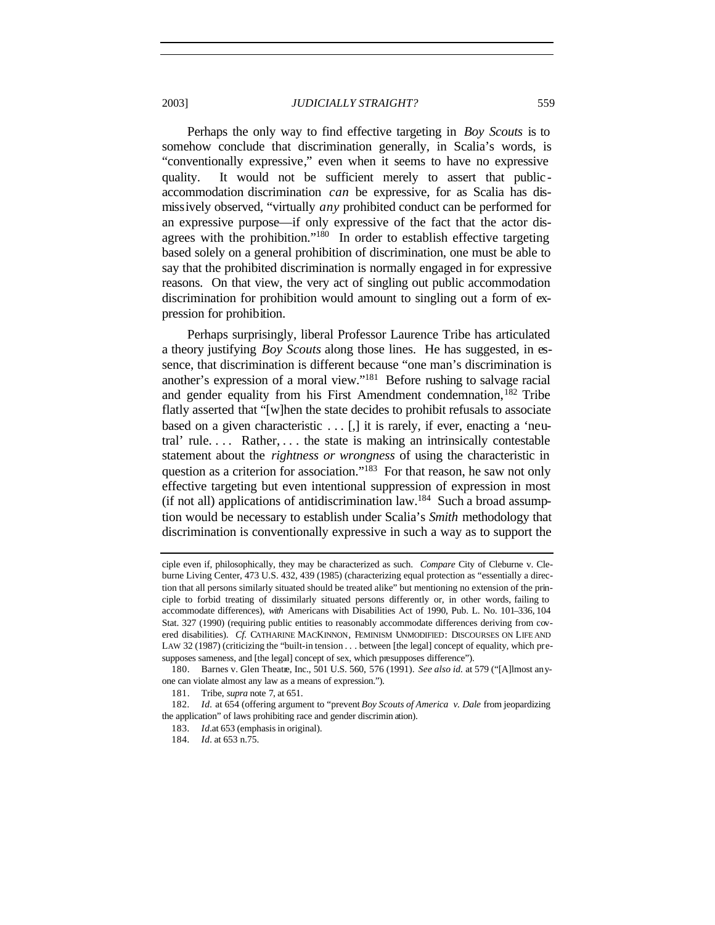Perhaps the only way to find effective targeting in *Boy Scouts* is to somehow conclude that discrimination generally, in Scalia's words, is "conventionally expressive," even when it seems to have no expressive quality. It would not be sufficient merely to assert that publicaccommodation discrimination *can* be expressive, for as Scalia has dismissively observed, "virtually *any* prohibited conduct can be performed for an expressive purpose—if only expressive of the fact that the actor disagrees with the prohibition."<sup>180</sup> In order to establish effective targeting based solely on a general prohibition of discrimination, one must be able to say that the prohibited discrimination is normally engaged in for expressive reasons. On that view, the very act of singling out public accommodation discrimination for prohibition would amount to singling out a form of expression for prohibition.

Perhaps surprisingly, liberal Professor Laurence Tribe has articulated a theory justifying *Boy Scouts* along those lines. He has suggested, in essence, that discrimination is different because "one man's discrimination is another's expression of a moral view."<sup>181</sup> Before rushing to salvage racial and gender equality from his First Amendment condemnation,<sup>182</sup> Tribe flatly asserted that "[w]hen the state decides to prohibit refusals to associate based on a given characteristic  $\dots$  [,] it is rarely, if ever, enacting a 'neutral' rule. . . . Rather, . . . the state is making an intrinsically contestable statement about the *rightness or wrongness* of using the characteristic in question as a criterion for association."<sup>183</sup> For that reason, he saw not only effective targeting but even intentional suppression of expression in most (if not all) applications of antidiscrimination law.<sup>184</sup> Such a broad assumption would be necessary to establish under Scalia's *Smith* methodology that discrimination is conventionally expressive in such a way as to support the

ciple even if, philosophically, they may be characterized as such. *Compare* City of Cleburne v. Cleburne Living Center, 473 U.S. 432, 439 (1985) (characterizing equal protection as "essentially a direction that all persons similarly situated should be treated alike" but mentioning no extension of the principle to forbid treating of dissimilarly situated persons differently or, in other words, failing to accommodate differences), *with* Americans with Disabilities Act of 1990, Pub. L. No. 101–336, 104 Stat. 327 (1990) (requiring public entities to reasonably accommodate differences deriving from covered disabilities). *Cf.* CATHARINE MACKINNON, FEMINISM UNMODIFIED: DISCOURSES ON LIFE AND LAW 32 (1987) (criticizing the "built-in tension . . . between [the legal] concept of equality, which presupposes sameness, and [the legal] concept of sex, which presupposes difference").

<sup>180.</sup> Barnes v. Glen Theatre, Inc., 501 U.S. 560, 576 (1991). *See also id.* at 579 ("[A]lmost anyone can violate almost any law as a means of expression.").

<sup>181.</sup> Tribe, *supra* note 7, at 651.

<sup>182</sup>*. Id.* at 654 (offering argument to "prevent *Boy Scouts of America v. Dale* from jeopardizing the application" of laws prohibiting race and gender discrimin ation).

<sup>183</sup>*. Id.*at 653 (emphasis in original).

<sup>184</sup>*. Id.* at 653 n.75.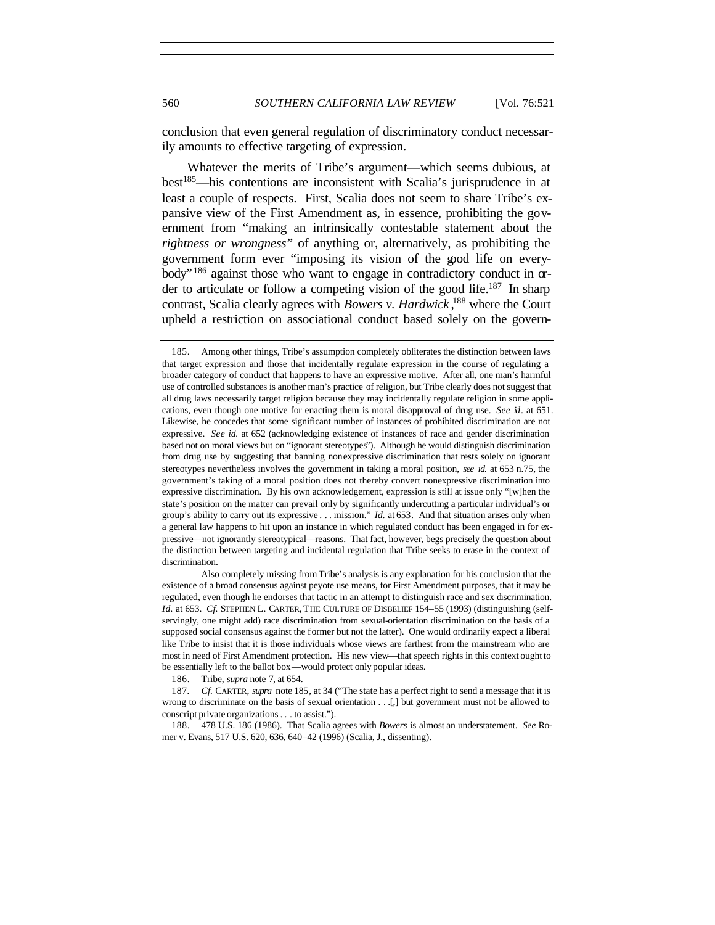conclusion that even general regulation of discriminatory conduct necessarily amounts to effective targeting of expression.

Whatever the merits of Tribe's argument—which seems dubious, at best<sup>185</sup>—his contentions are inconsistent with Scalia's jurisprudence in at least a couple of respects. First, Scalia does not seem to share Tribe's expansive view of the First Amendment as, in essence, prohibiting the government from "making an intrinsically contestable statement about the *rightness or wrongness*" of anything or, alternatively, as prohibiting the government form ever "imposing its vision of the good life on everybody"<sup>186</sup> against those who want to engage in contradictory conduct in  $\alpha$ der to articulate or follow a competing vision of the good life.<sup>187</sup> In sharp contrast, Scalia clearly agrees with *Bowers v. Hardwick* , <sup>188</sup> where the Court upheld a restriction on associational conduct based solely on the govern-

Also completely missing from Tribe's analysis is any explanation for his conclusion that the existence of a broad consensus against peyote use means, for First Amendment purposes, that it may be regulated, even though he endorses that tactic in an attempt to distinguish race and sex discrimination. *Id.* at 653. *Cf.* STEPHEN L. CARTER, THE CULTURE OF DISBELIEF 154–55 (1993) (distinguishing (selfservingly, one might add) race discrimination from sexual-orientation discrimination on the basis of a supposed social consensus against the former but not the latter). One would ordinarily expect a liberal like Tribe to insist that it is those individuals whose views are farthest from the mainstream who are most in need of First Amendment protection. His new view—that speech rights in this context ought to be essentially left to the ballot box—would protect only popular ideas.

186. Tribe, *supra* note 7, at 654.

187*. Cf.* CARTER, *supra* note 185, at 34 ("The state has a perfect right to send a message that it is wrong to discriminate on the basis of sexual orientation . . .[,] but government must not be allowed to conscript private organizations. . . to assist.").

188. 478 U.S. 186 (1986). That Scalia agrees with *Bowers* is almost an understatement. *See* Romer v. Evans, 517 U.S. 620, 636, 640–42 (1996) (Scalia, J., dissenting).

<sup>185.</sup> Among other things, Tribe's assumption completely obliterates the distinction between laws that target expression and those that incidentally regulate expression in the course of regulating a broader category of conduct that happens to have an expressive motive. After all, one man's harmful use of controlled substances is another man's practice of religion, but Tribe clearly does not suggest that all drug laws necessarily target religion because they may incidentally regulate religion in some applications, even though one motive for enacting them is moral disapproval of drug use. *See id*. at 651. Likewise, he concedes that some significant number of instances of prohibited discrimination are not expressive. *See id.* at 652 (acknowledging existence of instances of race and gender discrimination based not on moral views but on "ignorant stereotypes"). Although he would distinguish discrimination from drug use by suggesting that banning nonexpressive discrimination that rests solely on ignorant stereotypes nevertheless involves the government in taking a moral position, *see id.* at 653 n.75, the government's taking of a moral position does not thereby convert nonexpressive discrimination into expressive discrimination. By his own acknowledgement, expression is still at issue only "[w]hen the state's position on the matter can prevail only by significantly undercutting a particular individual's or group's ability to carry out its expressive . . . mission." *Id.* at 653*.* And that situation arises only when a general law happens to hit upon an instance in which regulated conduct has been engaged in for expressive—not ignorantly stereotypical—reasons. That fact, however, begs precisely the question about the distinction between targeting and incidental regulation that Tribe seeks to erase in the context of discrimination.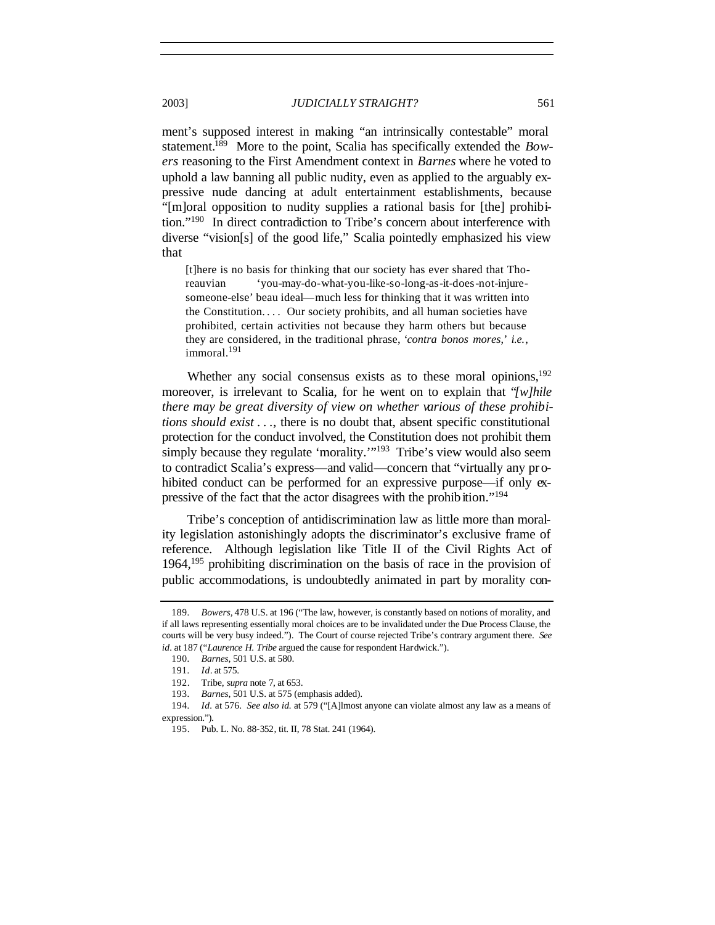ment's supposed interest in making "an intrinsically contestable" moral statement.<sup>189</sup> More to the point, Scalia has specifically extended the *Bowers* reasoning to the First Amendment context in *Barnes* where he voted to uphold a law banning all public nudity, even as applied to the arguably expressive nude dancing at adult entertainment establishments, because "[m]oral opposition to nudity supplies a rational basis for [the] prohibition."<sup>190</sup> In direct contradiction to Tribe's concern about interference with diverse "vision[s] of the good life," Scalia pointedly emphasized his view that

[t]here is no basis for thinking that our society has ever shared that Thoreauvian 'you-may-do-what-you-like-so-long-as-it-does-not-injuresomeone-else' beau ideal—much less for thinking that it was written into the Constitution.... Our society prohibits, and all human societies have prohibited, certain activities not because they harm others but because they are considered, in the traditional phrase, '*contra bonos mores*,' *i.e.*, immoral.<sup>191</sup>

Whether any social consensus exists as to these moral opinions, $192$ moreover, is irrelevant to Scalia, for he went on to explain that "*[w]hile there may be great diversity of view on whether various of these prohibitions should exist . . .*, there is no doubt that, absent specific constitutional protection for the conduct involved, the Constitution does not prohibit them simply because they regulate 'morality.'"<sup>193</sup> Tribe's view would also seem to contradict Scalia's express—and valid—concern that "virtually any prohibited conduct can be performed for an expressive purpose—if only expressive of the fact that the actor disagrees with the prohibition."<sup>194</sup>

Tribe's conception of antidiscrimination law as little more than morality legislation astonishingly adopts the discriminator's exclusive frame of reference. Although legislation like Title II of the Civil Rights Act of 1964,<sup>195</sup> prohibiting discrimination on the basis of race in the provision of public accommodations, is undoubtedly animated in part by morality con-

<sup>189</sup>*. Bowers,* 478 U.S. at 196 ("The law, however, is constantly based on notions of morality, and if all laws representing essentially moral choices are to be invalidated under the Due Process Clause, the courts will be very busy indeed."). The Court of course rejected Tribe's contrary argument there. *See id.* at 187 ("*Laurence H. Tribe* argued the cause for respondent Hardwick.").

<sup>190</sup>*. Barnes*, 501 U.S. at 580.

<sup>191</sup>*. Id*. at 575.

<sup>192.</sup> Tribe, *supra* note 7, at 653.

<sup>193</sup>*. Barnes*, 501 U.S. at 575 (emphasis added).

<sup>194</sup>*. Id.* at 576. *See also id.* at 579 ("[A]lmost anyone can violate almost any law as a means of expression.").

<sup>195.</sup> Pub. L. No. 88-352, tit. II, 78 Stat. 241 (1964).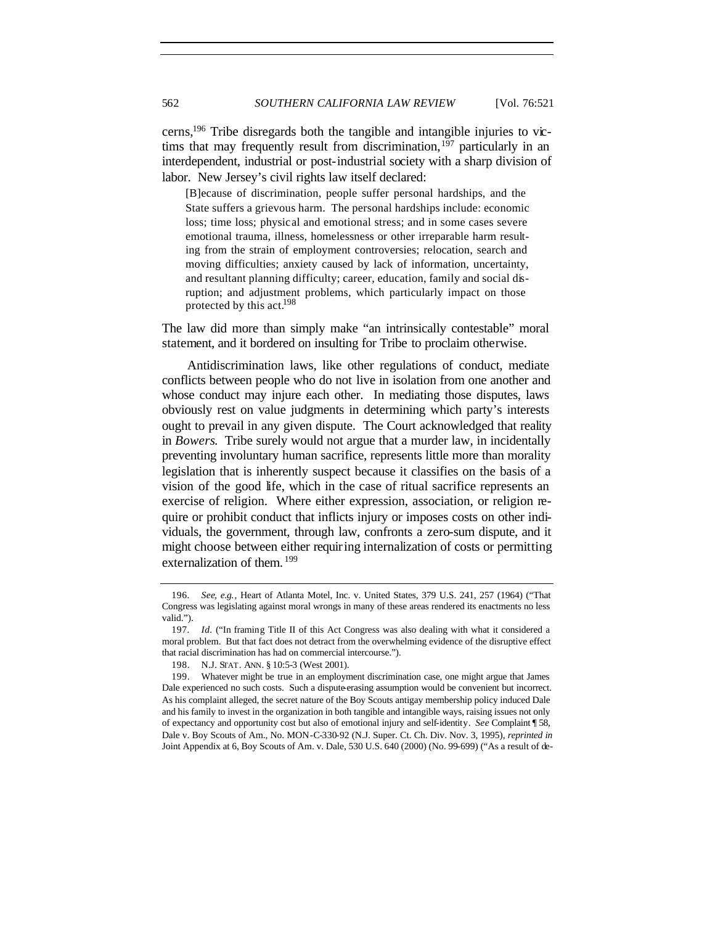cerns,<sup>196</sup> Tribe disregards both the tangible and intangible injuries to victims that may frequently result from discrimination,<sup>197</sup> particularly in an interdependent, industrial or post-industrial society with a sharp division of labor. New Jersey's civil rights law itself declared:

[B]ecause of discrimination, people suffer personal hardships, and the State suffers a grievous harm. The personal hardships include: economic loss; time loss; physical and emotional stress; and in some cases severe emotional trauma, illness, homelessness or other irreparable harm resulting from the strain of employment controversies; relocation, search and moving difficulties; anxiety caused by lack of information, uncertainty, and resultant planning difficulty; career, education, family and social disruption; and adjustment problems, which particularly impact on those protected by this act.<sup>198</sup>

The law did more than simply make "an intrinsically contestable" moral statement, and it bordered on insulting for Tribe to proclaim otherwise.

Antidiscrimination laws, like other regulations of conduct, mediate conflicts between people who do not live in isolation from one another and whose conduct may injure each other. In mediating those disputes, laws obviously rest on value judgments in determining which party's interests ought to prevail in any given dispute. The Court acknowledged that reality in *Bowers*. Tribe surely would not argue that a murder law, in incidentally preventing involuntary human sacrifice, represents little more than morality legislation that is inherently suspect because it classifies on the basis of a vision of the good life, which in the case of ritual sacrifice represents an exercise of religion. Where either expression, association, or religion require or prohibit conduct that inflicts injury or imposes costs on other individuals, the government, through law, confronts a zero-sum dispute, and it might choose between either requiring internalization of costs or permitting externalization of them. <sup>199</sup>

<sup>196</sup>*. See, e.g.*, Heart of Atlanta Motel, Inc. v. United States, 379 U.S. 241, 257 (1964) ("That Congress was legislating against moral wrongs in many of these areas rendered its enactments no less valid.").

<sup>197</sup>*. Id.* ("In framing Title II of this Act Congress was also dealing with what it considered a moral problem. But that fact does not detract from the overwhelming evidence of the disruptive effect that racial discrimination has had on commercial intercourse.").

<sup>198.</sup> N.J. STAT. ANN. § 10:5-3 (West 2001).

<sup>199.</sup> Whatever might be true in an employment discrimination case, one might argue that James Dale experienced no such costs. Such a dispute-erasing assumption would be convenient but incorrect. As his complaint alleged, the secret nature of the Boy Scouts antigay membership policy induced Dale and his family to invest in the organization in both tangible and intangible ways, raising issues not only of expectancy and opportunity cost but also of emotional injury and self-identity. *See* Complaint ¶ 58, Dale v. Boy Scouts of Am., No. MON-C-330-92 (N.J. Super. Ct. Ch. Div. Nov. 3, 1995), *reprinted in* Joint Appendix at 6, Boy Scouts of Am. v. Dale, 530 U.S. 640 (2000) (No. 99-699) ("As a result of de-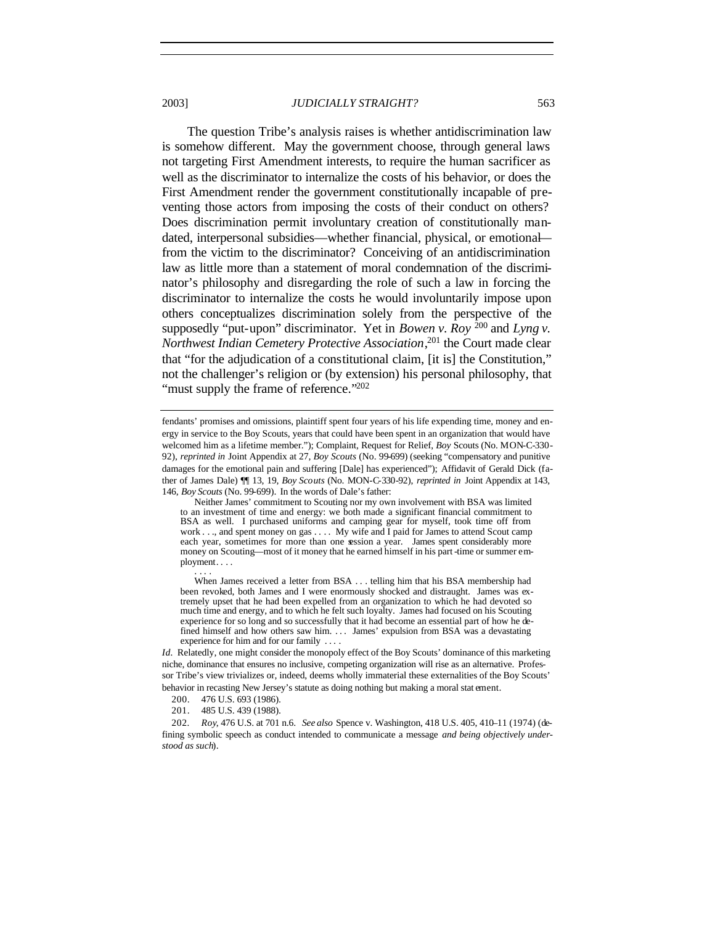The question Tribe's analysis raises is whether antidiscrimination law is somehow different. May the government choose, through general laws not targeting First Amendment interests, to require the human sacrificer as well as the discriminator to internalize the costs of his behavior, or does the First Amendment render the government constitutionally incapable of preventing those actors from imposing the costs of their conduct on others? Does discrimination permit involuntary creation of constitutionally mandated, interpersonal subsidies—whether financial, physical, or emotional from the victim to the discriminator? Conceiving of an antidiscrimination law as little more than a statement of moral condemnation of the discriminator's philosophy and disregarding the role of such a law in forcing the discriminator to internalize the costs he would involuntarily impose upon others conceptualizes discrimination solely from the perspective of the supposedly "put-upon" discriminator. Yet in *Bowen v. Roy*  $^{200}$  and *Lyng v. Northwest Indian Cemetery Protective Association*, <sup>201</sup> the Court made clear that "for the adjudication of a constitutional claim, [it is] the Constitution," not the challenger's religion or (by extension) his personal philosophy, that "must supply the frame of reference."<sup>202</sup>

fendants' promises and omissions, plaintiff spent four years of his life expending time, money and energy in service to the Boy Scouts, years that could have been spent in an organization that would have welcomed him as a lifetime member."); Complaint, Request for Relief, *Boy* Scouts (No. MON-C-330- 92), *reprinted in* Joint Appendix at 27, *Boy Scouts* (No. 99-699) (seeking "compensatory and punitive damages for the emotional pain and suffering [Dale] has experienced"); Affidavit of Gerald Dick (father of James Dale) ¶¶ 13, 19, *Boy Scouts* (No. MON-C-330-92), *reprinted in* Joint Appendix at 143, 146, *Boy Scouts* (No. 99-699). In the words of Dale's father:

Neither James' commitment to Scouting nor my own involvement with BSA was limited to an investment of time and energy: we both made a significant financial commitment to BSA as well. I purchased uniforms and camping gear for myself, took time off from work . . ., and spent money on gas . . . . My wife and I paid for James to attend Scout camp each year, sometimes for more than one session a year. James spent considerably more money on Scouting—most of it money that he earned himself in his part -time or summer employment. . . . . . . .

When James received a letter from BSA . . . telling him that his BSA membership had been revoked, both James and I were enormously shocked and distraught. James was extremely upset that he had been expelled from an organization to which he had devoted so much time and energy, and to which he felt such loyalty. James had focused on his Scouting experience for so long and so successfully that it had become an essential part of how he defined himself and how others saw him. . . . James' expulsion from BSA was a devastating experience for him and for our family ...

*Id.* Relatedly, one might consider the monopoly effect of the Boy Scouts' dominance of this marketing niche, dominance that ensures no inclusive, competing organization will rise as an alternative. Professor Tribe's view trivializes or, indeed, deems wholly immaterial these externalities of the Boy Scouts' behavior in recasting New Jersey's statute as doing nothing but making a moral stat ement.

202*. Roy*, 476 U.S. at 701 n.6. *See also* Spence v. Washington, 418 U.S. 405, 410–11 (1974) (defining symbolic speech as conduct intended to communicate a message *and being objectively understood as such*).

<sup>200.</sup> 476 U.S. 693 (1986).

<sup>201.</sup> 485 U.S. 439 (1988).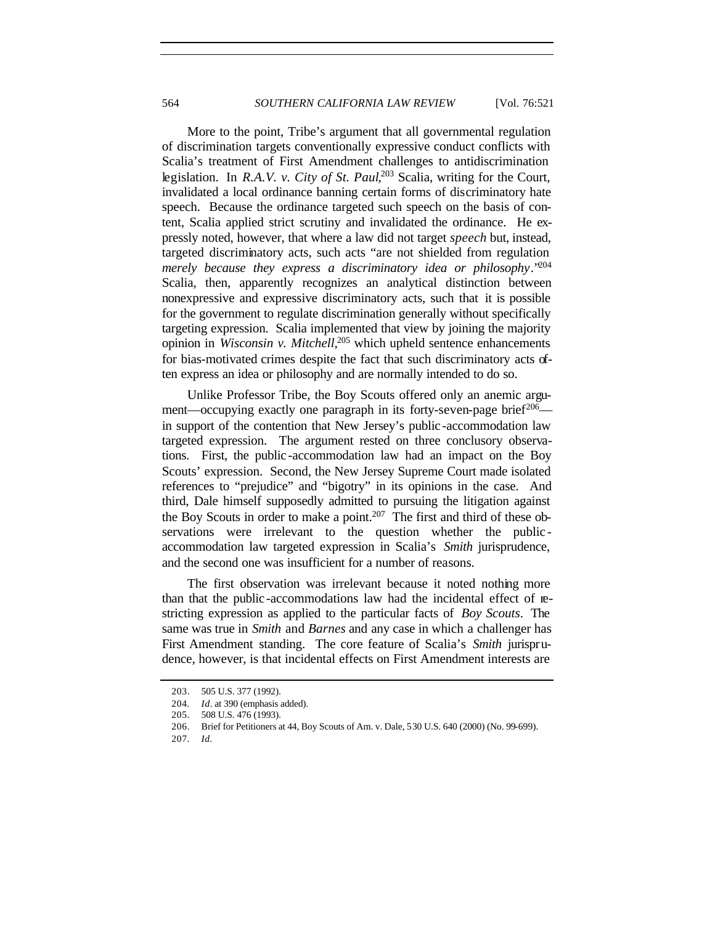More to the point, Tribe's argument that all governmental regulation of discrimination targets conventionally expressive conduct conflicts with Scalia's treatment of First Amendment challenges to antidiscrimination legislation. In *R.A.V. v. City of St. Paul*, <sup>203</sup> Scalia, writing for the Court, invalidated a local ordinance banning certain forms of discriminatory hate speech. Because the ordinance targeted such speech on the basis of content, Scalia applied strict scrutiny and invalidated the ordinance. He expressly noted, however, that where a law did not target *speech* but, instead, targeted discriminatory acts, such acts "are not shielded from regulation *merely because they express a discriminatory idea or philosophy*."<sup>204</sup> Scalia, then, apparently recognizes an analytical distinction between nonexpressive and expressive discriminatory acts, such that it is possible for the government to regulate discrimination generally without specifically targeting expression. Scalia implemented that view by joining the majority opinion in *Wisconsin v. Mitchell*, <sup>205</sup> which upheld sentence enhancements for bias-motivated crimes despite the fact that such discriminatory acts often express an idea or philosophy and are normally intended to do so.

Unlike Professor Tribe, the Boy Scouts offered only an anemic argument—occupying exactly one paragraph in its forty-seven-page brief<sup>206</sup> in support of the contention that New Jersey's public -accommodation law targeted expression. The argument rested on three conclusory observations. First, the public -accommodation law had an impact on the Boy Scouts' expression. Second, the New Jersey Supreme Court made isolated references to "prejudice" and "bigotry" in its opinions in the case. And third, Dale himself supposedly admitted to pursuing the litigation against the Boy Scouts in order to make a point.<sup>207</sup> The first and third of these observations were irrelevant to the question whether the public accommodation law targeted expression in Scalia's *Smith* jurisprudence, and the second one was insufficient for a number of reasons.

The first observation was irrelevant because it noted nothing more than that the public -accommodations law had the incidental effect of restricting expression as applied to the particular facts of *Boy Scouts*. The same was true in *Smith* and *Barnes* and any case in which a challenger has First Amendment standing. The core feature of Scalia's *Smith* jurisprudence, however, is that incidental effects on First Amendment interests are

<sup>203.</sup> 505 U.S. 377 (1992).

<sup>204</sup>*. Id*. at 390 (emphasis added).

<sup>205.</sup> 508 U.S. 476 (1993).

<sup>206.</sup> Brief for Petitioners at 44, Boy Scouts of Am. v. Dale, 530 U.S. 640 (2000) (No. 99-699).

<sup>207</sup>*. Id.*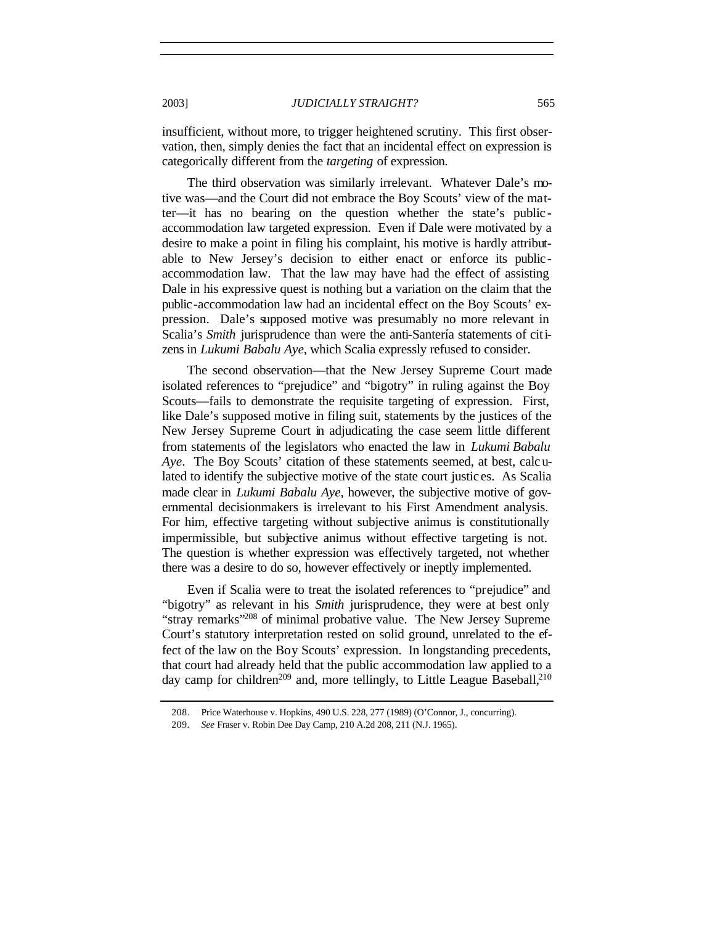insufficient, without more, to trigger heightened scrutiny. This first observation, then, simply denies the fact that an incidental effect on expression is categorically different from the *targeting* of expression.

The third observation was similarly irrelevant. Whatever Dale's motive was—and the Court did not embrace the Boy Scouts' view of the matter—it has no bearing on the question whether the state's public accommodation law targeted expression. Even if Dale were motivated by a desire to make a point in filing his complaint, his motive is hardly attributable to New Jersey's decision to either enact or enforce its publicaccommodation law. That the law may have had the effect of assisting Dale in his expressive quest is nothing but a variation on the claim that the public-accommodation law had an incidental effect on the Boy Scouts' expression. Dale's supposed motive was presumably no more relevant in Scalia's *Smith* jurisprudence than were the anti-Santería statements of citizens in *Lukumi Babalu Aye*, which Scalia expressly refused to consider.

The second observation—that the New Jersey Supreme Court made isolated references to "prejudice" and "bigotry" in ruling against the Boy Scouts—fails to demonstrate the requisite targeting of expression. First, like Dale's supposed motive in filing suit, statements by the justices of the New Jersey Supreme Court in adjudicating the case seem little different from statements of the legislators who enacted the law in *Lukumi Babalu Aye*. The Boy Scouts' citation of these statements seemed, at best, calculated to identify the subjective motive of the state court justic es. As Scalia made clear in *Lukumi Babalu Aye*, however, the subjective motive of governmental decisionmakers is irrelevant to his First Amendment analysis. For him, effective targeting without subjective animus is constitutionally impermissible, but subjective animus without effective targeting is not. The question is whether expression was effectively targeted, not whether there was a desire to do so, however effectively or ineptly implemented.

Even if Scalia were to treat the isolated references to "prejudice" and "bigotry" as relevant in his *Smith* jurisprudence, they were at best only "stray remarks"<sup>208</sup> of minimal probative value. The New Jersey Supreme Court's statutory interpretation rested on solid ground, unrelated to the effect of the law on the Boy Scouts' expression. In longstanding precedents, that court had already held that the public accommodation law applied to a day camp for children<sup>209</sup> and, more tellingly, to Little League Baseball,<sup>210</sup>

<sup>208.</sup> Price Waterhouse v. Hopkins, 490 U.S. 228, 277 (1989) (O'Connor, J., concurring).

<sup>209</sup>*. See* Fraser v. Robin Dee Day Camp, 210 A.2d 208, 211 (N.J. 1965).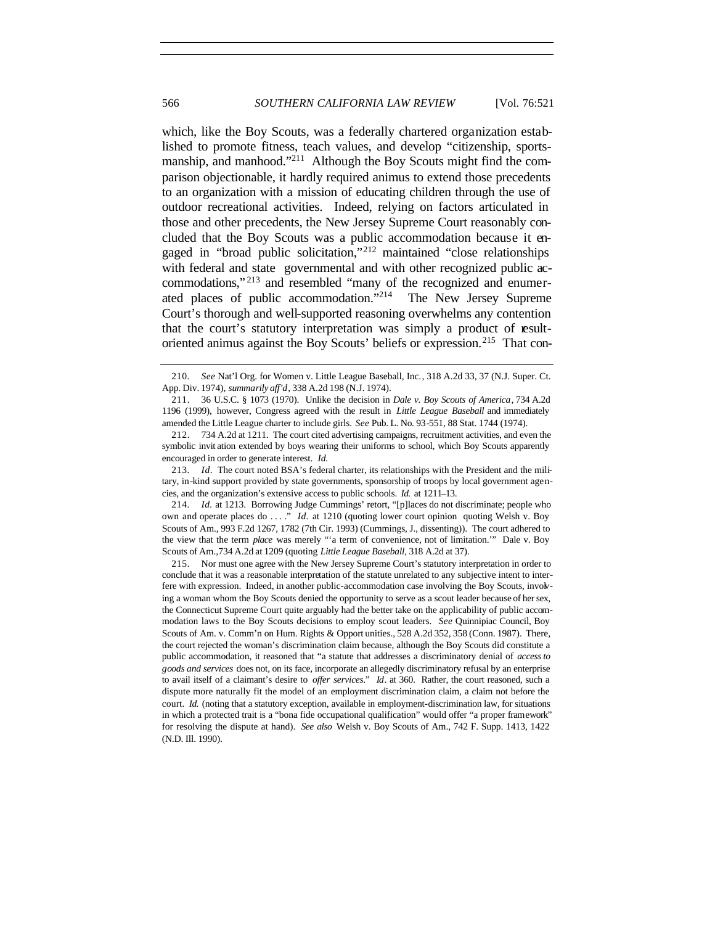which, like the Boy Scouts, was a federally chartered organization established to promote fitness, teach values, and develop "citizenship, sportsmanship, and manhood."<sup>211</sup> Although the Boy Scouts might find the comparison objectionable, it hardly required animus to extend those precedents to an organization with a mission of educating children through the use of outdoor recreational activities. Indeed, relying on factors articulated in those and other precedents, the New Jersey Supreme Court reasonably concluded that the Boy Scouts was a public accommodation because it engaged in "broad public solicitation,"<sup>212</sup> maintained "close relationships with federal and state governmental and with other recognized public accommodations,"<sup>213</sup> and resembled "many of the recognized and enumerated places of public accommodation."<sup>214</sup> The New Jersey Supreme Court's thorough and well-supported reasoning overwhelms any contention that the court's statutory interpretation was simply a product of resultoriented animus against the Boy Scouts' beliefs or expression.<sup>215</sup> That con-

<sup>210</sup>*. See* Nat'l Org. for Women v. Little League Baseball, Inc., 318 A.2d 33, 37 (N.J. Super. Ct. App. Div. 1974), *summarily aff'd*, 338 A.2d 198 (N.J. 1974).

<sup>211.</sup> 36 U.S.C. § 1073 (1970). Unlike the decision in *Dale v. Boy Scouts of America*, 734 A.2d 1196 (1999), however, Congress agreed with the result in *Little League Baseball* and immediately amended the Little League charter to include girls. *See* Pub. L. No. 93-551, 88 Stat. 1744 (1974).

<sup>212.</sup> 734 A.2d at 1211. The court cited advertising campaigns, recruitment activities, and even the symbolic invit ation extended by boys wearing their uniforms to school, which Boy Scouts apparently encouraged in order to generate interest. *Id.*

<sup>213</sup>*. Id*. The court noted BSA's federal charter, its relationships with the President and the military, in-kind support provided by state governments, sponsorship of troops by local government agencies, and the organization's extensive access to public schools. *Id.* at 1211–13.

<sup>214</sup>*. Id.* at 1213. Borrowing Judge Cummings' retort, "[p]laces do not discriminate; people who own and operate places do . . . ." *Id.* at 1210 (quoting lower court opinion quoting Welsh v. Boy Scouts of Am., 993 F.2d 1267, 1782 (7th Cir. 1993) (Cummings, J., dissenting)). The court adhered to the view that the term *place* was merely "'a term of convenience, not of limitation.'" Dale v. Boy Scouts of Am.,734 A.2d at 1209 (quoting *Little League Baseball*, 318 A.2d at 37).

<sup>215.</sup> Nor must one agree with the New Jersey Supreme Court's statutory interpretation in order to conclude that it was a reasonable interpretation of the statute unrelated to any subjective intent to interfere with expression. Indeed, in another public-accommodation case involving the Boy Scouts, involving a woman whom the Boy Scouts denied the opportunity to serve as a scout leader because of her sex, the Connecticut Supreme Court quite arguably had the better take on the applicability of public accommodation laws to the Boy Scouts decisions to employ scout leaders. *See* Quinnipiac Council, Boy Scouts of Am. v. Comm'n on Hum. Rights & Opport unities., 528 A.2d 352, 358 (Conn. 1987). There, the court rejected the woman's discrimination claim because, although the Boy Scouts did constitute a public accommodation, it reasoned that "a statute that addresses a discriminatory denial of *access to goods and services* does not, on its face, incorporate an allegedly discriminatory refusal by an enterprise to avail itself of a claimant's desire to *offer services*." *Id*. at 360. Rather, the court reasoned, such a dispute more naturally fit the model of an employment discrimination claim, a claim not before the court. *Id.* (noting that a statutory exception, available in employment-discrimination law, for situations in which a protected trait is a "bona fide occupational qualification" would offer "a proper framework" for resolving the dispute at hand). *See also* Welsh v. Boy Scouts of Am., 742 F. Supp. 1413, 1422 (N.D. Ill. 1990).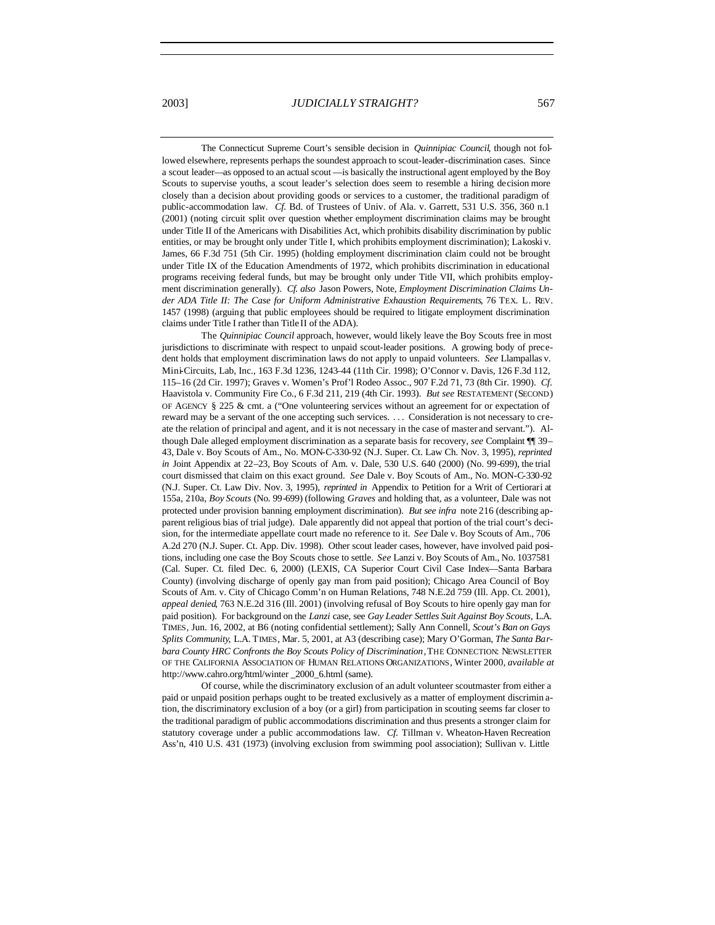The Connecticut Supreme Court's sensible decision in *Quinnipiac Council*, though not followed elsewhere, represents perhaps the soundest approach to scout-leader-discrimination cases. Since a scout leader—as opposed to an actual scout —is basically the instructional agent employed by the Boy Scouts to supervise youths, a scout leader's selection does seem to resemble a hiring decision more closely than a decision about providing goods or services to a customer, the traditional paradigm of public-accommodation law. *Cf.* Bd. of Trustees of Univ. of Ala. v. Garrett, 531 U.S. 356, 360 n.1 (2001) (noting circuit split over question whether employment discrimination claims may be brought under Title II of the Americans with Disabilities Act, which prohibits disability discrimination by public entities, or may be brought only under Title I, which prohibits employment discrimination); Lakoski v. James, 66 F.3d 751 (5th Cir. 1995) (holding employment discrimination claim could not be brought under Title IX of the Education Amendments of 1972, which prohibits discrimination in educational programs receiving federal funds, but may be brought only under Title VII, which prohibits employment discrimination generally). *Cf. also* Jason Powers, Note, *Employment Discrimination Claims Under ADA Title II: The Case for Uniform Administrative Exhaustion Requirements*, 76 TEX. L. REV. 1457 (1998) (arguing that public employees should be required to litigate employment discrimination claims under Title I rather than Title II of the ADA).

The *Quinnipiac Council* approach, however, would likely leave the Boy Scouts free in most jurisdictions to discriminate with respect to unpaid scout-leader positions. A growing body of precedent holds that employment discrimination laws do not apply to unpaid volunteers. *See* Llampallas v. Mini-Circuits, Lab, Inc., 163 F.3d 1236, 1243–44 (11th Cir. 1998); O'Connor v. Davis, 126 F.3d 112, 115–16 (2d Cir. 1997); Graves v. Women's Prof'l Rodeo Assoc., 907 F.2d 71, 73 (8th Cir. 1990). *Cf*. Haavistola v. Community Fire Co., 6 F.3d 211, 219 (4th Cir. 1993). *But see* RESTATEMENT (SECOND) OF AGENCY § 225 & cmt. a ("One volunteering services without an agreement for or expectation of reward may be a servant of the one accepting such services. . . . Consideration is not necessary to create the relation of principal and agent, and it is not necessary in the case of master and servant."). Although Dale alleged employment discrimination as a separate basis for recovery, *see* Complaint ¶¶ 39– 43, Dale v. Boy Scouts of Am., No. MON-C-330-92 (N.J. Super. Ct. Law Ch. Nov. 3, 1995), *reprinted in* Joint Appendix at 22–23, Boy Scouts of Am. v. Dale, 530 U.S. 640 (2000) (No. 99-699), the trial court dismissed that claim on this exact ground. *See* Dale v. Boy Scouts of Am., No. MON-C-330-92 (N.J. Super. Ct. Law Div. Nov. 3, 1995), *reprinted in* Appendix to Petition for a Writ of Certiorari at 155a, 210a, *Boy Scouts* (No. 99-699) (following *Graves* and holding that, as a volunteer, Dale was not protected under provision banning employment discrimination). *But see infra* note 216 (describing apparent religious bias of trial judge). Dale apparently did not appeal that portion of the trial court's decision, for the intermediate appellate court made no reference to it. *See* Dale v. Boy Scouts of Am., 706 A.2d 270 (N.J. Super. Ct. App. Div. 1998). Other scout leader cases, however, have involved paid positions, including one case the Boy Scouts chose to settle. *See* Lanzi v. Boy Scouts of Am., No. 1037581 (Cal. Super. Ct. filed Dec. 6, 2000) (LEXIS, CA Superior Court Civil Case Index—Santa Barbara County) (involving discharge of openly gay man from paid position); Chicago Area Council of Boy Scouts of Am. v. City of Chicago Comm'n on Human Relations, 748 N.E.2d 759 (Ill. App. Ct. 2001), *appeal denied*, 763 N.E.2d 316 (Ill. 2001) (involving refusal of Boy Scouts to hire openly gay man for paid position). For background on the *Lanzi* case, see *Gay Leader Settles Suit Against Boy Scouts*, L.A. TIMES, Jun. 16, 2002, at B6 (noting confidential settlement); Sally Ann Connell, *Scout's Ban on Gays Splits Community*, L.A. TIMES, Mar. 5, 2001, at A3 (describing case); Mary O'Gorman, *The Santa Barbara County HRC Confronts the Boy Scouts Policy of Discrimination*, THE CONNECTION: NEWSLETTER OF THE CALIFORNIA ASSOCIATION OF HUMAN RELATIONS ORGANIZATIONS, Winter 2000, *available at* http://www.cahro.org/html/winter \_2000\_6.html (same).

Of course, while the discriminatory exclusion of an adult volunteer scoutmaster from either a paid or unpaid position perhaps ought to be treated exclusively as a matter of employment discrimin ation, the discriminatory exclusion of a boy (or a girl) from participation in scouting seems far closer to the traditional paradigm of public accommodations discrimination and thus presents a stronger claim for statutory coverage under a public accommodations law. *Cf.* Tillman v. Wheaton-Haven Recreation Ass'n, 410 U.S. 431 (1973) (involving exclusion from swimming pool association); Sullivan v. Little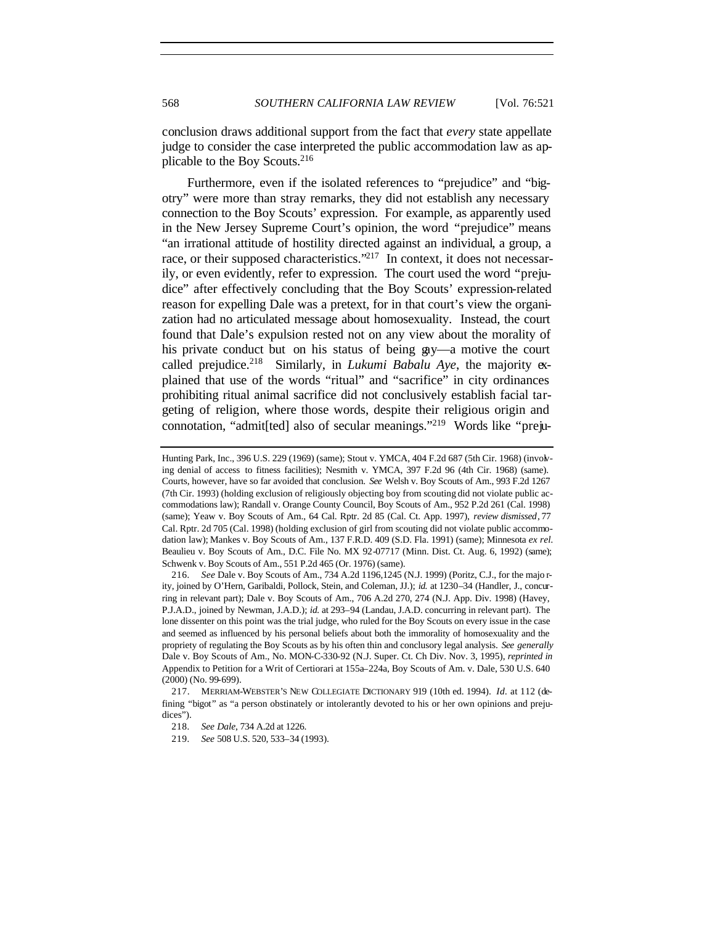conclusion draws additional support from the fact that *every* state appellate judge to consider the case interpreted the public accommodation law as applicable to the Boy Scouts.<sup>216</sup>

Furthermore, even if the isolated references to "prejudice" and "bigotry" were more than stray remarks, they did not establish any necessary connection to the Boy Scouts' expression. For example, as apparently used in the New Jersey Supreme Court's opinion, the word "prejudice" means "an irrational attitude of hostility directed against an individual, a group, a race, or their supposed characteristics."<sup>217</sup> In context, it does not necessarily, or even evidently, refer to expression. The court used the word "prejudice" after effectively concluding that the Boy Scouts' expression-related reason for expelling Dale was a pretext, for in that court's view the organization had no articulated message about homosexuality. Instead, the court found that Dale's expulsion rested not on any view about the morality of his private conduct but on his status of being gay—a motive the court called prejudice.<sup>218</sup> Similarly, in *Lukumi Babalu Aye*, the majority explained that use of the words "ritual" and "sacrifice" in city ordinances prohibiting ritual animal sacrifice did not conclusively establish facial targeting of religion, where those words, despite their religious origin and connotation, "admit[ted] also of secular meanings."219 Words like "preju-

Hunting Park, Inc., 396 U.S. 229 (1969) (same); Stout v. YMCA, 404 F.2d 687 (5th Cir. 1968) (involving denial of access to fitness facilities); Nesmith v. YMCA, 397 F.2d 96 (4th Cir. 1968) (same). Courts, however, have so far avoided that conclusion. *See* Welsh v. Boy Scouts of Am., 993 F.2d 1267 (7th Cir. 1993) (holding exclusion of religiously objecting boy from scouting did not violate public accommodations law); Randall v. Orange County Council, Boy Scouts of Am., 952 P.2d 261 (Cal. 1998) (same); Yeaw v. Boy Scouts of Am., 64 Cal. Rptr. 2d 85 (Cal. Ct. App. 1997), *review dismissed*, 77 Cal. Rptr. 2d 705 (Cal. 1998) (holding exclusion of girl from scouting did not violate public accommodation law); Mankes v. Boy Scouts of Am., 137 F.R.D. 409 (S.D. Fla. 1991) (same); Minnesota *ex rel.* Beaulieu v. Boy Scouts of Am., D.C. File No. MX 92-07717 (Minn. Dist. Ct. Aug. 6, 1992) (same); Schwenk v. Boy Scouts of Am., 551 P.2d 465 (Or. 1976) (same).

<sup>216</sup>*. See* Dale v. Boy Scouts of Am., 734 A.2d 1196,1245 (N.J. 1999) (Poritz, C.J., for the majo rity, joined by O'Hern, Garibaldi, Pollock, Stein, and Coleman, JJ.); *id.* at 1230–34 (Handler, J., concurring in relevant part); Dale v. Boy Scouts of Am., 706 A.2d 270, 274 (N.J. App. Div. 1998) (Havey, P.J.A.D., joined by Newman, J.A.D.); *id.* at 293–94 (Landau, J.A.D. concurring in relevant part). The lone dissenter on this point was the trial judge, who ruled for the Boy Scouts on every issue in the case and seemed as influenced by his personal beliefs about both the immorality of homosexuality and the propriety of regulating the Boy Scouts as by his often thin and conclusory legal analysis. *See generally* Dale v. Boy Scouts of Am., No. MON-C-330-92 (N.J. Super. Ct. Ch Div. Nov. 3, 1995), *reprinted in* Appendix to Petition for a Writ of Certiorari at 155a–224a, Boy Scouts of Am. v. Dale, 530 U.S. 640 (2000) (No. 99-699).

<sup>217.</sup> MERRIAM-WEBSTER'S NEW COLLEGIATE DICTIONARY 919 (10th ed. 1994). *Id.* at 112 (defining "bigot" as "a person obstinately or intolerantly devoted to his or her own opinions and prejudices").

<sup>218</sup>*. See Dale*, 734 A.2d at 1226.

<sup>219</sup>*. See* 508 U.S. 520, 533–34 (1993).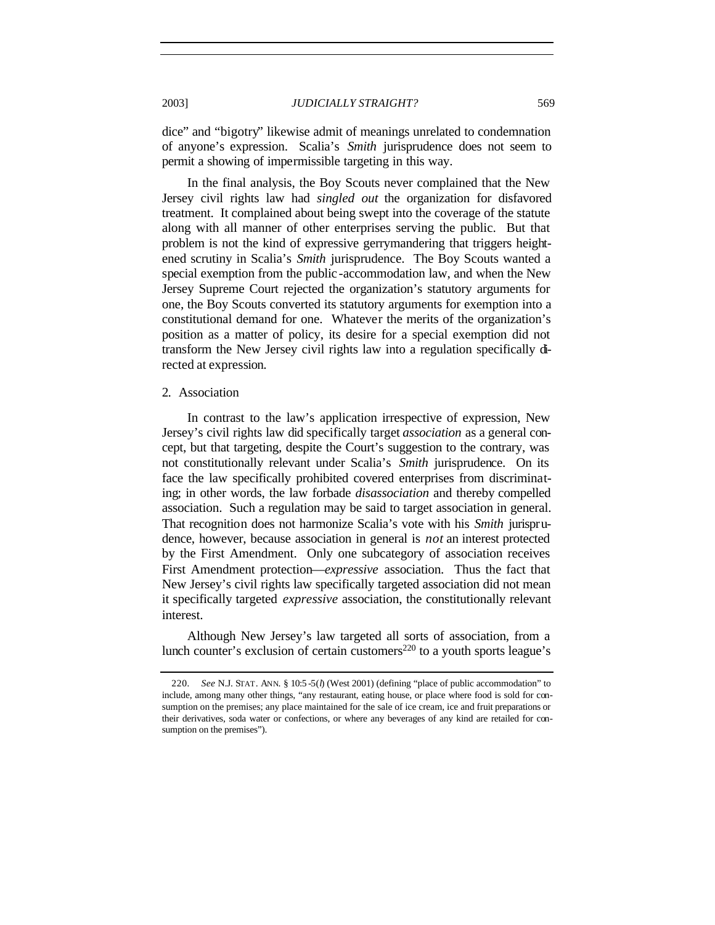dice" and "bigotry" likewise admit of meanings unrelated to condemnation of anyone's expression. Scalia's *Smith* jurisprudence does not seem to permit a showing of impermissible targeting in this way.

In the final analysis, the Boy Scouts never complained that the New Jersey civil rights law had *singled out* the organization for disfavored treatment. It complained about being swept into the coverage of the statute along with all manner of other enterprises serving the public. But that problem is not the kind of expressive gerrymandering that triggers heightened scrutiny in Scalia's *Smith* jurisprudence. The Boy Scouts wanted a special exemption from the public -accommodation law, and when the New Jersey Supreme Court rejected the organization's statutory arguments for one, the Boy Scouts converted its statutory arguments for exemption into a constitutional demand for one. Whatever the merits of the organization's position as a matter of policy, its desire for a special exemption did not transform the New Jersey civil rights law into a regulation specifically directed at expression.

### 2. Association

In contrast to the law's application irrespective of expression, New Jersey's civil rights law did specifically target *association* as a general concept, but that targeting, despite the Court's suggestion to the contrary, was not constitutionally relevant under Scalia's *Smith* jurisprudence. On its face the law specifically prohibited covered enterprises from discriminating; in other words, the law forbade *disassociation* and thereby compelled association. Such a regulation may be said to target association in general. That recognition does not harmonize Scalia's vote with his *Smith* jurisprudence, however, because association in general is *not* an interest protected by the First Amendment. Only one subcategory of association receives First Amendment protection—*expressive* association. Thus the fact that New Jersey's civil rights law specifically targeted association did not mean it specifically targeted *expressive* association, the constitutionally relevant interest.

Although New Jersey's law targeted all sorts of association, from a lunch counter's exclusion of certain customers<sup>220</sup> to a youth sports league's

<sup>220</sup>*. See* N.J. STAT. ANN. § 10:5 -5(*l*) (West 2001) (defining "place of public accommodation" to include, among many other things, "any restaurant, eating house, or place where food is sold for consumption on the premises; any place maintained for the sale of ice cream, ice and fruit preparations or their derivatives, soda water or confections, or where any beverages of any kind are retailed for consumption on the premises").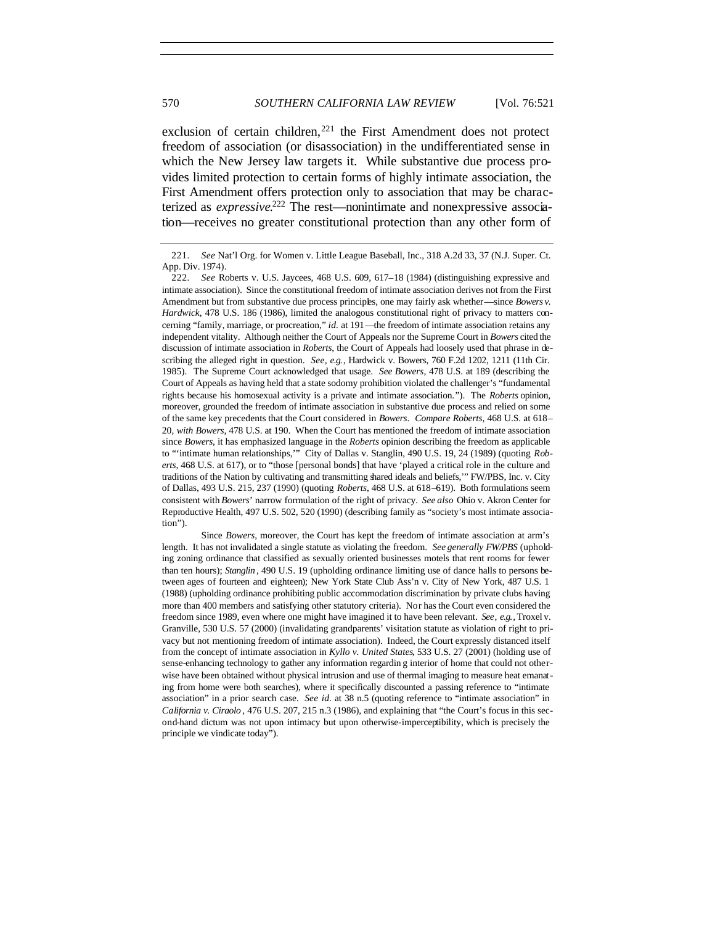exclusion of certain children, $^{221}$  the First Amendment does not protect freedom of association (or disassociation) in the undifferentiated sense in which the New Jersey law targets it. While substantive due process provides limited protection to certain forms of highly intimate association, the First Amendment offers protection only to association that may be characterized as *expressive*. 222 The rest—nonintimate and nonexpressive association—receives no greater constitutional protection than any other form of

Since *Bowers*, moreover, the Court has kept the freedom of intimate association at arm's length. It has not invalidated a single statute as violating the freedom. *See generally FW/PBS* (upholding zoning ordinance that classified as sexually oriented businesses motels that rent rooms for fewer than ten hours); *Stanglin* , 490 U.S. 19 (upholding ordinance limiting use of dance halls to persons between ages of fourteen and eighteen); New York State Club Ass'n v. City of New York, 487 U.S. 1 (1988) (upholding ordinance prohibiting public accommodation discrimination by private clubs having more than 400 members and satisfying other statutory criteria). Nor has the Court even considered the freedom since 1989, even where one might have imagined it to have been relevant. *See, e.g.*, Troxel v. Granville, 530 U.S. 57 (2000) (invalidating grandparents' visitation statute as violation of right to privacy but not mentioning freedom of intimate association). Indeed, the Court expressly distanced itself from the concept of intimate association in *Kyllo v. United States*, 533 U.S. 27 (2001) (holding use of sense-enhancing technology to gather any information regardin g interior of home that could not otherwise have been obtained without physical intrusion and use of thermal imaging to measure heat emanating from home were both searches), where it specifically discounted a passing reference to "intimate association" in a prior search case. *See id.* at 38 n.5 (quoting reference to "intimate association" in *California v. Ciraolo* , 476 U.S. 207, 215 n.3 (1986), and explaining that "the Court's focus in this second-hand dictum was not upon intimacy but upon otherwise-imperceptibility, which is precisely the principle we vindicate today").

<sup>221</sup>*. See* Nat'l Org. for Women v. Little League Baseball, Inc., 318 A.2d 33, 37 (N.J. Super. Ct. App. Div. 1974).

<sup>222</sup>*. See* Roberts v. U.S. Jaycees, 468 U.S. 609, 617–18 (1984) (distinguishing expressive and intimate association). Since the constitutional freedom of intimate association derives not from the First Amendment but from substantive due process principles, one may fairly ask whether—since *Bowers v. Hardwick*, 478 U.S. 186 (1986), limited the analogous constitutional right of privacy to matters concerning "family, marriage, or procreation," *id.* at 191—the freedom of intimate association retains any independent vitality. Although neither the Court of Appeals nor the Supreme Court in *Bowers* cited the discussion of intimate association in *Roberts*, the Court of Appeals had loosely used that phrase in describing the alleged right in question. *See, e.g.*, Hardwick v. Bowers, 760 F.2d 1202, 1211 (11th Cir. 1985). The Supreme Court acknowledged that usage. *See Bowers*, 478 U.S. at 189 (describing the Court of Appeals as having held that a state sodomy prohibition violated the challenger's "fundamental rights because his homosexual activity is a private and intimate association."). The *Roberts* opinion, moreover, grounded the freedom of intimate association in substantive due process and relied on some of the same key precedents that the Court considered in *Bowers*. *Compare Roberts*, 468 U.S. at 618– 20, *with Bowers*, 478 U.S. at 190. When the Court has mentioned the freedom of intimate association since *Bowers*, it has emphasized language in the *Roberts* opinion describing the freedom as applicable to "'intimate human relationships,'" City of Dallas v. Stanglin, 490 U.S. 19, 24 (1989) (quoting *Roberts*, 468 U.S. at 617), or to "those [personal bonds] that have 'played a critical role in the culture and traditions of the Nation by cultivating and transmitting shared ideals and beliefs,'" FW/PBS, Inc. v. City of Dallas, 493 U.S. 215, 237 (1990) (quoting *Roberts*, 468 U.S. at 618–619). Both formulations seem consistent with *Bowers*' narrow formulation of the right of privacy. *See also* Ohio v. Akron Center for Reproductive Health, 497 U.S. 502, 520 (1990) (describing family as "society's most intimate association").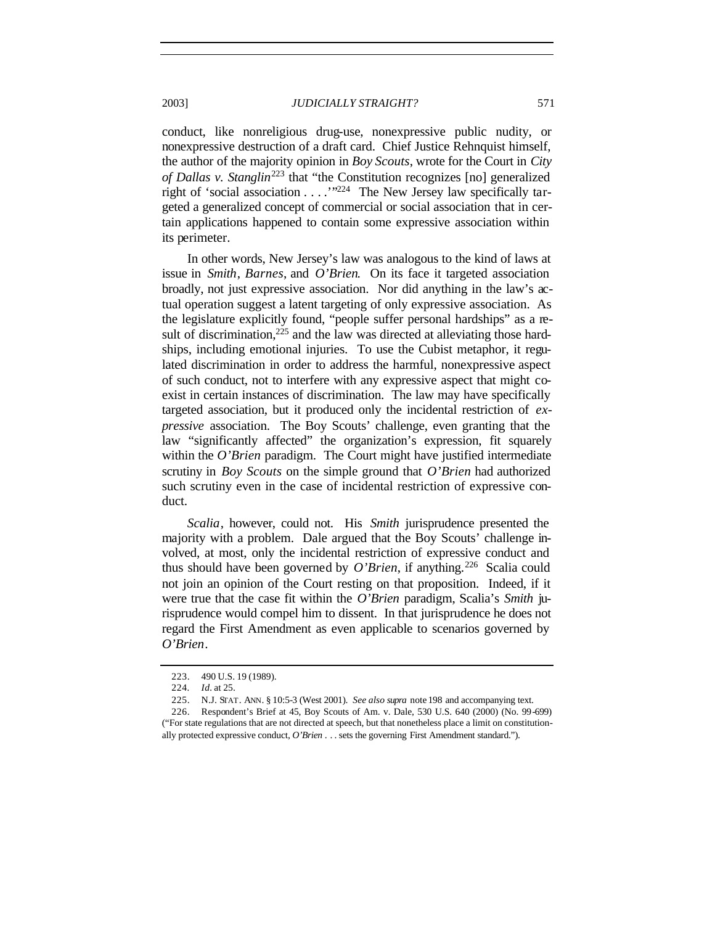conduct, like nonreligious drug-use, nonexpressive public nudity, or nonexpressive destruction of a draft card. Chief Justice Rehnquist himself, the author of the majority opinion in *Boy Scouts*, wrote for the Court in *City of Dallas v. Stanglin*<sup>223</sup> that "the Constitution recognizes [no] generalized right of 'social association  $\dots$ . . . . . . . . . . . The New Jersey law specifically targeted a generalized concept of commercial or social association that in certain applications happened to contain some expressive association within its perimeter.

In other words, New Jersey's law was analogous to the kind of laws at issue in *Smith*, *Barnes*, and *O'Brien*. On its face it targeted association broadly, not just expressive association. Nor did anything in the law's actual operation suggest a latent targeting of only expressive association. As the legislature explicitly found, "people suffer personal hardships" as a result of discrimination,  $225$  and the law was directed at alleviating those hardships, including emotional injuries. To use the Cubist metaphor, it regulated discrimination in order to address the harmful, nonexpressive aspect of such conduct, not to interfere with any expressive aspect that might coexist in certain instances of discrimination. The law may have specifically targeted association, but it produced only the incidental restriction of *expressive* association. The Boy Scouts' challenge, even granting that the law "significantly affected" the organization's expression, fit squarely within the *O'Brien* paradigm. The Court might have justified intermediate scrutiny in *Boy Scouts* on the simple ground that *O'Brien* had authorized such scrutiny even in the case of incidental restriction of expressive conduct.

*Scalia*, however, could not. His *Smith* jurisprudence presented the majority with a problem. Dale argued that the Boy Scouts' challenge involved, at most, only the incidental restriction of expressive conduct and thus should have been governed by  $O'Brien$ , if anything.<sup>226</sup> Scalia could not join an opinion of the Court resting on that proposition. Indeed, if it were true that the case fit within the *O'Brien* paradigm, Scalia's *Smith* jurisprudence would compel him to dissent. In that jurisprudence he does not regard the First Amendment as even applicable to scenarios governed by *O'Brien*.

<sup>223.</sup> 490 U.S. 19 (1989).

<sup>224</sup>*. Id.* at 25.

<sup>225.</sup> N.J. STAT. ANN. § 10:5-3 (West 2001). *See also supra* note 198 and accompanying text.

<sup>226.</sup> Respondent's Brief at 45, Boy Scouts of Am. v. Dale, 530 U.S. 640 (2000) (No. 99-699) ("For state regulations that are not directed at speech, but that nonetheless place a limit on constitutionally protected expressive conduct, *O'Brien* . . . sets the governing First Amendment standard.").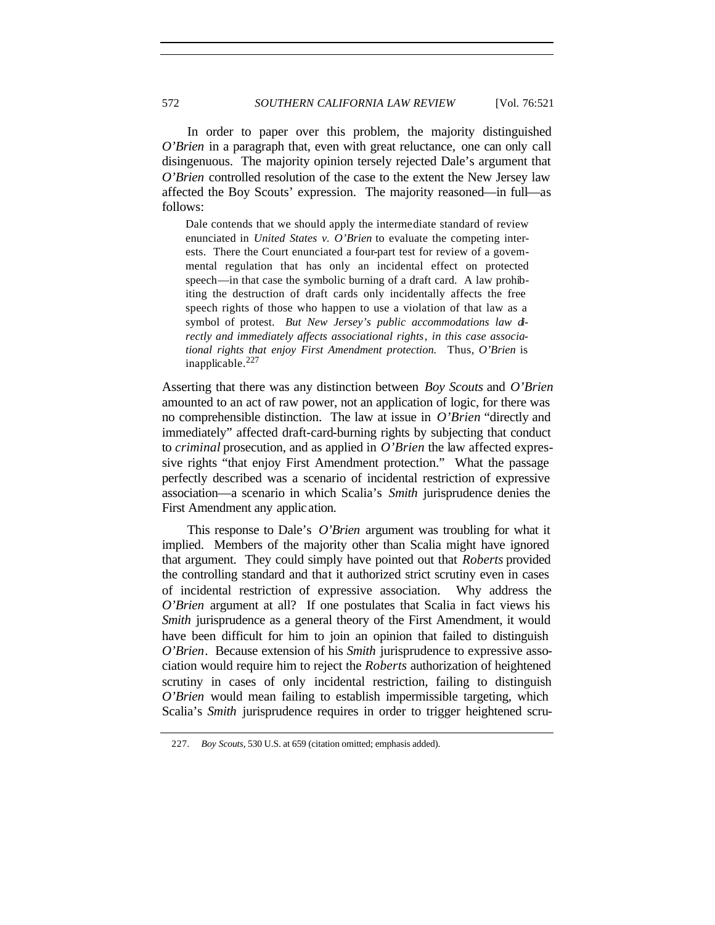In order to paper over this problem, the majority distinguished *O'Brien* in a paragraph that, even with great reluctance, one can only call disingenuous. The majority opinion tersely rejected Dale's argument that *O'Brien* controlled resolution of the case to the extent the New Jersey law affected the Boy Scouts' expression. The majority reasoned—in full—as follows:

Dale contends that we should apply the intermediate standard of review enunciated in *United States v. O'Brien* to evaluate the competing interests. There the Court enunciated a four-part test for review of a governmental regulation that has only an incidental effect on protected speech—in that case the symbolic burning of a draft card. A law prohibiting the destruction of draft cards only incidentally affects the free speech rights of those who happen to use a violation of that law as a symbol of protest. *But New Jersey's public accommodations law directly and immediately affects associational rights*, *in this case associational rights that enjoy First Amendment protection.* Thus, *O'Brien* is inapplicable.<sup>227</sup>

Asserting that there was any distinction between *Boy Scouts* and *O'Brien* amounted to an act of raw power, not an application of logic, for there was no comprehensible distinction. The law at issue in *O'Brien* "directly and immediately" affected draft-card-burning rights by subjecting that conduct to *criminal* prosecution, and as applied in *O'Brien* the law affected expressive rights "that enjoy First Amendment protection." What the passage perfectly described was a scenario of incidental restriction of expressive association—a scenario in which Scalia's *Smith* jurisprudence denies the First Amendment any application.

This response to Dale's *O'Brien* argument was troubling for what it implied. Members of the majority other than Scalia might have ignored that argument. They could simply have pointed out that *Roberts* provided the controlling standard and that it authorized strict scrutiny even in cases of incidental restriction of expressive association. Why address the *O'Brien* argument at all? If one postulates that Scalia in fact views his *Smith* jurisprudence as a general theory of the First Amendment, it would have been difficult for him to join an opinion that failed to distinguish *O'Brien*. Because extension of his *Smith* jurisprudence to expressive association would require him to reject the *Roberts* authorization of heightened scrutiny in cases of only incidental restriction, failing to distinguish *O'Brien* would mean failing to establish impermissible targeting, which Scalia's *Smith* jurisprudence requires in order to trigger heightened scru-

<sup>227</sup>*. Boy Scouts*, 530 U.S. at 659 (citation omitted; emphasis added).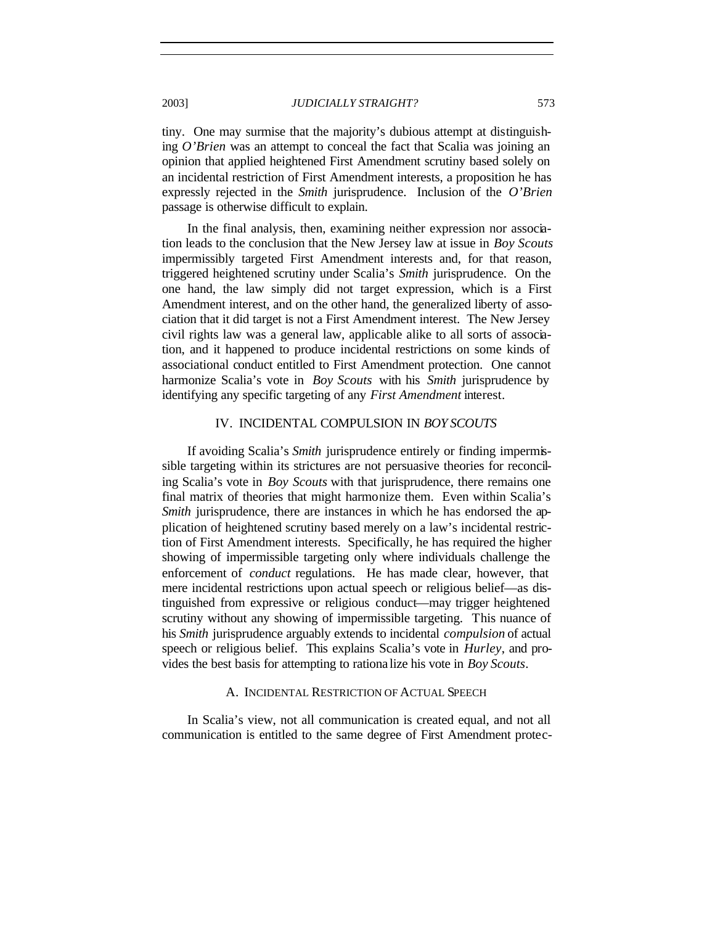tiny. One may surmise that the majority's dubious attempt at distinguishing *O'Brien* was an attempt to conceal the fact that Scalia was joining an opinion that applied heightened First Amendment scrutiny based solely on an incidental restriction of First Amendment interests, a proposition he has expressly rejected in the *Smith* jurisprudence. Inclusion of the *O'Brien* passage is otherwise difficult to explain.

In the final analysis, then, examining neither expression nor association leads to the conclusion that the New Jersey law at issue in *Boy Scouts* impermissibly targeted First Amendment interests and, for that reason, triggered heightened scrutiny under Scalia's *Smith* jurisprudence. On the one hand, the law simply did not target expression, which is a First Amendment interest, and on the other hand, the generalized liberty of association that it did target is not a First Amendment interest. The New Jersey civil rights law was a general law, applicable alike to all sorts of association, and it happened to produce incidental restrictions on some kinds of associational conduct entitled to First Amendment protection. One cannot harmonize Scalia's vote in *Boy Scouts* with his *Smith* jurisprudence by identifying any specific targeting of any *First Amendment* interest.

# IV. INCIDENTAL COMPULSION IN *BOY SCOUTS*

If avoiding Scalia's *Smith* jurisprudence entirely or finding impermissible targeting within its strictures are not persuasive theories for reconciling Scalia's vote in *Boy Scouts* with that jurisprudence, there remains one final matrix of theories that might harmonize them. Even within Scalia's *Smith* jurisprudence, there are instances in which he has endorsed the application of heightened scrutiny based merely on a law's incidental restriction of First Amendment interests. Specifically, he has required the higher showing of impermissible targeting only where individuals challenge the enforcement of *conduct* regulations. He has made clear, however, that mere incidental restrictions upon actual speech or religious belief—as distinguished from expressive or religious conduct—may trigger heightened scrutiny without any showing of impermissible targeting. This nuance of his *Smith* jurisprudence arguably extends to incidental *compulsion* of actual speech or religious belief. This explains Scalia's vote in *Hurley*, and provides the best basis for attempting to rationa lize his vote in *Boy Scouts*.

## A. INCIDENTAL RESTRICTION OF ACTUAL SPEECH

In Scalia's view, not all communication is created equal, and not all communication is entitled to the same degree of First Amendment protec-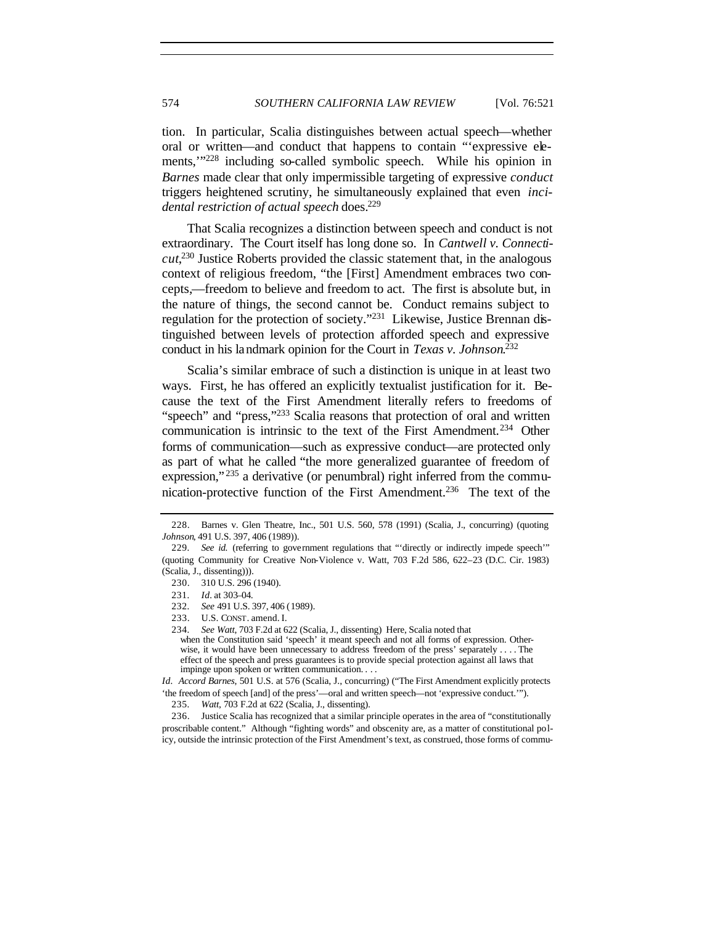tion. In particular, Scalia distinguishes between actual speech—whether oral or written—and conduct that happens to contain "'expressive elements,'"<sup>228</sup> including so-called symbolic speech. While his opinion in *Barnes* made clear that only impermissible targeting of expressive *conduct* triggers heightened scrutiny, he simultaneously explained that even *incidental restriction of actual speech* does. 229

That Scalia recognizes a distinction between speech and conduct is not extraordinary. The Court itself has long done so. In *Cantwell v. Connecticut*, <sup>230</sup> Justice Roberts provided the classic statement that, in the analogous context of religious freedom, "the [First] Amendment embraces two concepts,—freedom to believe and freedom to act. The first is absolute but, in the nature of things, the second cannot be. Conduct remains subject to regulation for the protection of society."<sup>231</sup> Likewise, Justice Brennan distinguished between levels of protection afforded speech and expressive conduct in his landmark opinion for the Court in *Texas v. Johnson*. 232

Scalia's similar embrace of such a distinction is unique in at least two ways. First, he has offered an explicitly textualist justification for it. Because the text of the First Amendment literally refers to freedoms of "speech" and "press,"<sup>233</sup> Scalia reasons that protection of oral and written communication is intrinsic to the text of the First Amendment.<sup>234</sup> Other forms of communication—such as expressive conduct—are protected only as part of what he called "the more generalized guarantee of freedom of expression,"<sup>235</sup> a derivative (or penumbral) right inferred from the communication-protective function of the First Amendment.<sup>236</sup> The text of the

<sup>228.</sup> Barnes v. Glen Theatre, Inc., 501 U.S. 560, 578 (1991) (Scalia, J., concurring) (quoting *Johnson*, 491 U.S. 397, 406 (1989)).

<sup>229</sup>*. See id.* (referring to government regulations that "'directly or indirectly impede speech'" (quoting Community for Creative Non-Violence v. Watt, 703 F.2d 586, 622–23 (D.C. Cir. 1983) (Scalia, J., dissenting))).

<sup>230.</sup> 310 U.S. 296 (1940).

<sup>231</sup>*. Id.* at 303–04.

<sup>232</sup>*. See* 491 U.S. 397, 406 (1989).

<sup>233.</sup> U.S. CONST. amend. I.

<sup>234</sup>*. See Watt*, 703 F.2d at 622 (Scalia, J., dissenting) Here, Scalia noted that

when the Constitution said 'speech' it meant speech and not all forms of expression. Otherwise, it would have been unnecessary to address 'freedom of the press' separately . . . . The effect of the speech and press guarantees is to provide special protection against all laws that impinge upon spoken or written communication. . . .

*Id. Accord Barnes*, 501 U.S. at 576 (Scalia, J., concurring) ("The First Amendment explicitly protects 'the freedom of speech [and] of the press'—oral and written speech—not 'expressive conduct.'").

<sup>235</sup>*. Watt*, 703 F.2d at 622 (Scalia, J., dissenting).

<sup>236.</sup> Justice Scalia has recognized that a similar principle operates in the area of "constitutionally proscribable content." Although "fighting words" and obscenity are, as a matter of constitutional policy, outside the intrinsic protection of the First Amendment's text, as construed, those forms of commu-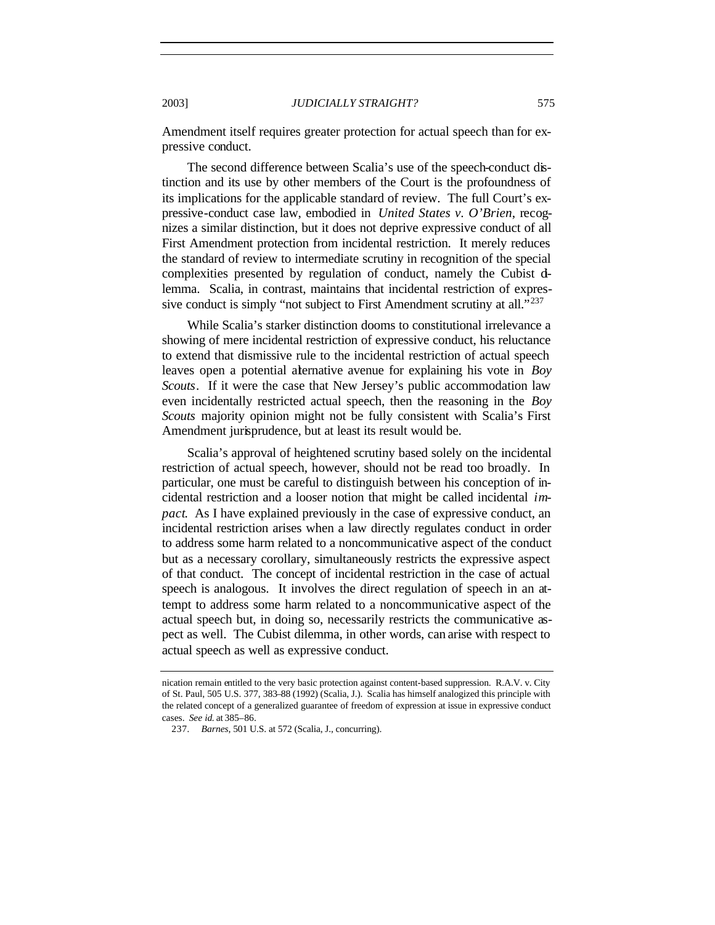Amendment itself requires greater protection for actual speech than for expressive conduct.

The second difference between Scalia's use of the speech-conduct distinction and its use by other members of the Court is the profoundness of its implications for the applicable standard of review. The full Court's expressive-conduct case law, embodied in *United States v. O'Brien*, recognizes a similar distinction, but it does not deprive expressive conduct of all First Amendment protection from incidental restriction. It merely reduces the standard of review to intermediate scrutiny in recognition of the special complexities presented by regulation of conduct, namely the Cubist dlemma. Scalia, in contrast, maintains that incidental restriction of expressive conduct is simply "not subject to First Amendment scrutiny at all."<sup>237</sup>

While Scalia's starker distinction dooms to constitutional irrelevance a showing of mere incidental restriction of expressive conduct, his reluctance to extend that dismissive rule to the incidental restriction of actual speech leaves open a potential alternative avenue for explaining his vote in *Boy Scouts*. If it were the case that New Jersey's public accommodation law even incidentally restricted actual speech, then the reasoning in the *Boy Scouts* majority opinion might not be fully consistent with Scalia's First Amendment jurisprudence, but at least its result would be.

Scalia's approval of heightened scrutiny based solely on the incidental restriction of actual speech, however, should not be read too broadly. In particular, one must be careful to distinguish between his conception of incidental restriction and a looser notion that might be called incidental *impact*. As I have explained previously in the case of expressive conduct, an incidental restriction arises when a law directly regulates conduct in order to address some harm related to a noncommunicative aspect of the conduct but as a necessary corollary, simultaneously restricts the expressive aspect of that conduct. The concept of incidental restriction in the case of actual speech is analogous. It involves the direct regulation of speech in an attempt to address some harm related to a noncommunicative aspect of the actual speech but, in doing so, necessarily restricts the communicative aspect as well. The Cubist dilemma, in other words, can arise with respect to actual speech as well as expressive conduct.

nication remain entitled to the very basic protection against content-based suppression. R.A.V. v. City of St. Paul, 505 U.S. 377, 383–88 (1992) (Scalia, J.). Scalia has himself analogized this principle with the related concept of a generalized guarantee of freedom of expression at issue in expressive conduct cases. *See id.* at 385–86.

<sup>237</sup>*. Barnes*, 501 U.S. at 572 (Scalia, J., concurring).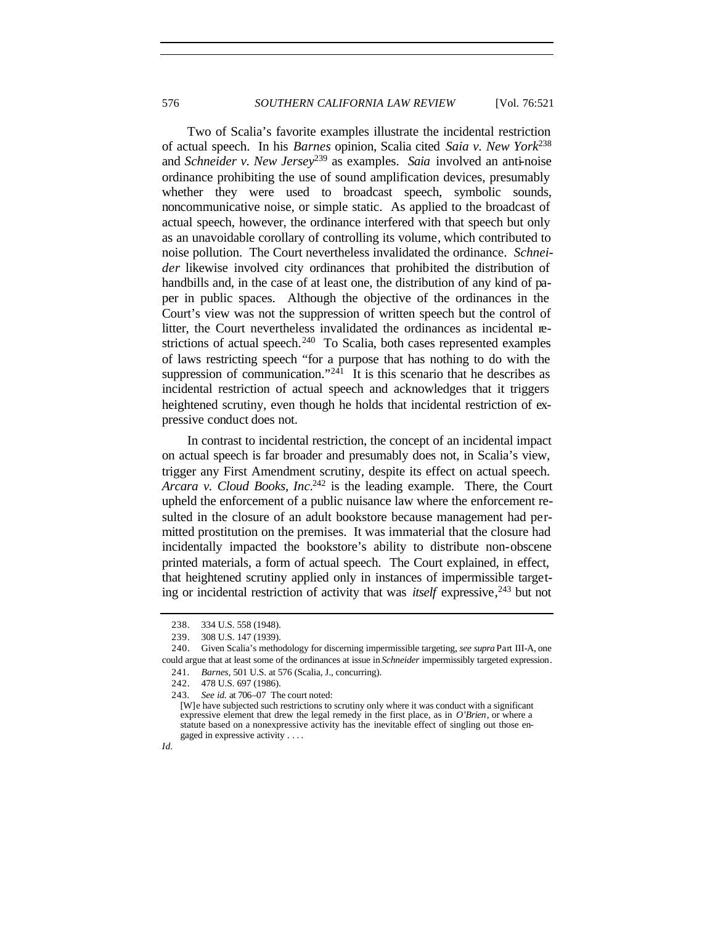Two of Scalia's favorite examples illustrate the incidental restriction of actual speech. In his *Barnes* opinion, Scalia cited *Saia v. New York*<sup>238</sup> and *Schneider v. New Jersey*<sup>239</sup> as examples. *Saia* involved an anti-noise ordinance prohibiting the use of sound amplification devices, presumably whether they were used to broadcast speech, symbolic sounds, noncommunicative noise, or simple static. As applied to the broadcast of actual speech, however, the ordinance interfered with that speech but only as an unavoidable corollary of controlling its volume, which contributed to noise pollution. The Court nevertheless invalidated the ordinance. *Schneider* likewise involved city ordinances that prohibited the distribution of handbills and, in the case of at least one, the distribution of any kind of paper in public spaces. Although the objective of the ordinances in the Court's view was not the suppression of written speech but the control of litter, the Court nevertheless invalidated the ordinances as incidental restrictions of actual speech.<sup>240</sup> To Scalia, both cases represented examples of laws restricting speech "for a purpose that has nothing to do with the suppression of communication."<sup>241</sup> It is this scenario that he describes as incidental restriction of actual speech and acknowledges that it triggers heightened scrutiny, even though he holds that incidental restriction of expressive conduct does not.

In contrast to incidental restriction, the concept of an incidental impact on actual speech is far broader and presumably does not, in Scalia's view, trigger any First Amendment scrutiny, despite its effect on actual speech. *Arcara v. Cloud Books*, *Inc.*<sup>242</sup> is the leading example. There, the Court upheld the enforcement of a public nuisance law where the enforcement resulted in the closure of an adult bookstore because management had permitted prostitution on the premises. It was immaterial that the closure had incidentally impacted the bookstore's ability to distribute non-obscene printed materials, a form of actual speech. The Court explained, in effect, that heightened scrutiny applied only in instances of impermissible targeting or incidental restriction of activity that was *itself* expressive, <sup>243</sup> but not

<sup>238.</sup> 334 U.S. 558 (1948).

<sup>239.</sup> 308 U.S. 147 (1939).

<sup>240.</sup> Given Scalia's methodology for discerning impermissible targeting, *see supra* Part III-A, one could argue that at least some of the ordinances at issue in *Schneider* impermissibly targeted expression.

<sup>241</sup>*. Barnes*, 501 U.S. at 576 (Scalia, J., concurring).

<sup>242.</sup> 478 U.S. 697 (1986).

<sup>243</sup>*. See id.* at 706–07 The court noted:

<sup>[</sup>W]e have subjected such restrictions to scrutiny only where it was conduct with a significant expressive element that drew the legal remedy in the first place, as in *O'Brien*, or where a statute based on a nonexpressive activity has the inevitable effect of singling out those engaged in expressive activity . . . .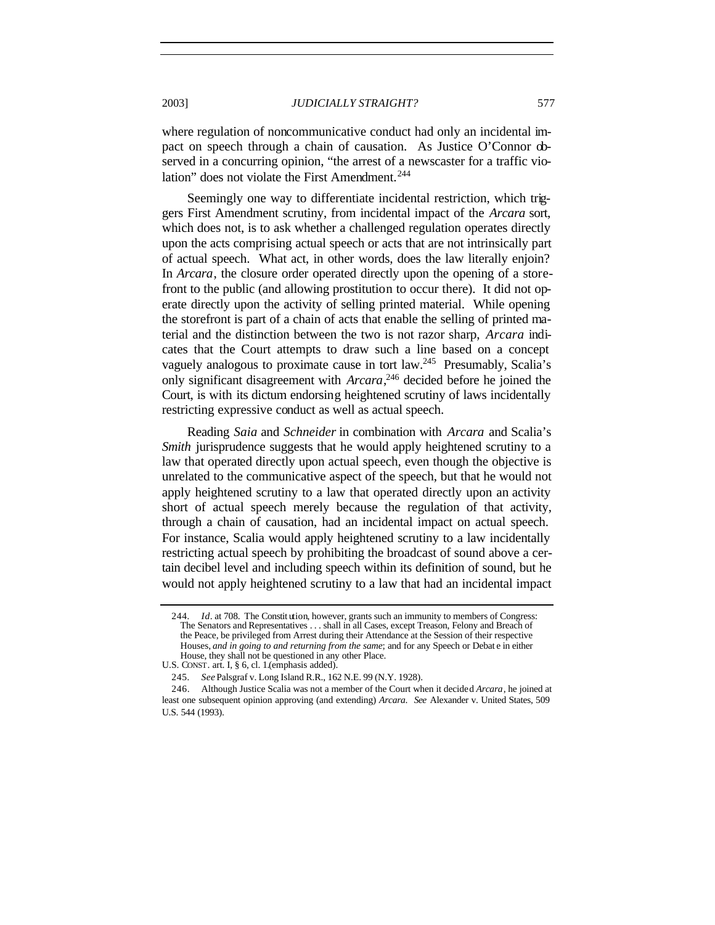where regulation of noncommunicative conduct had only an incidental impact on speech through a chain of causation. As Justice O'Connor observed in a concurring opinion, "the arrest of a newscaster for a traffic violation" does not violate the First Amendment.<sup>244</sup>

Seemingly one way to differentiate incidental restriction, which triggers First Amendment scrutiny, from incidental impact of the *Arcara* sort, which does not, is to ask whether a challenged regulation operates directly upon the acts comprising actual speech or acts that are not intrinsically part of actual speech. What act, in other words, does the law literally enjoin? In *Arcara*, the closure order operated directly upon the opening of a storefront to the public (and allowing prostitution to occur there). It did not operate directly upon the activity of selling printed material. While opening the storefront is part of a chain of acts that enable the selling of printed material and the distinction between the two is not razor sharp, *Arcara* indicates that the Court attempts to draw such a line based on a concept vaguely analogous to proximate cause in tort law.<sup>245</sup> Presumably, Scalia's only significant disagreement with *Arcara*, <sup>246</sup> decided before he joined the Court, is with its dictum endorsing heightened scrutiny of laws incidentally restricting expressive conduct as well as actual speech.

Reading *Saia* and *Schneider* in combination with *Arcara* and Scalia's *Smith* jurisprudence suggests that he would apply heightened scrutiny to a law that operated directly upon actual speech, even though the objective is unrelated to the communicative aspect of the speech, but that he would not apply heightened scrutiny to a law that operated directly upon an activity short of actual speech merely because the regulation of that activity, through a chain of causation, had an incidental impact on actual speech. For instance, Scalia would apply heightened scrutiny to a law incidentally restricting actual speech by prohibiting the broadcast of sound above a certain decibel level and including speech within its definition of sound, but he would not apply heightened scrutiny to a law that had an incidental impact

<sup>244</sup>*. Id*. at 708. The Constit ution, however, grants such an immunity to members of Congress: The Senators and Representatives . . . shall in all Cases, except Treason, Felony and Breach of the Peace, be privileged from Arrest during their Attendance at the Session of their respective Houses, *and in going to and returning from the same*; and for any Speech or Debat e in either House, they shall not be questioned in any other Place.

U.S. CONST. art. I, § 6, cl. 1.(emphasis added).

<sup>245</sup>*. See* Palsgraf v. Long Island R.R., 162 N.E. 99 (N.Y. 1928).

<sup>246.</sup> Although Justice Scalia was not a member of the Court when it decided *Arcara*, he joined at least one subsequent opinion approving (and extending) *Arcara*. *See* Alexander v. United States, 509 U.S. 544 (1993).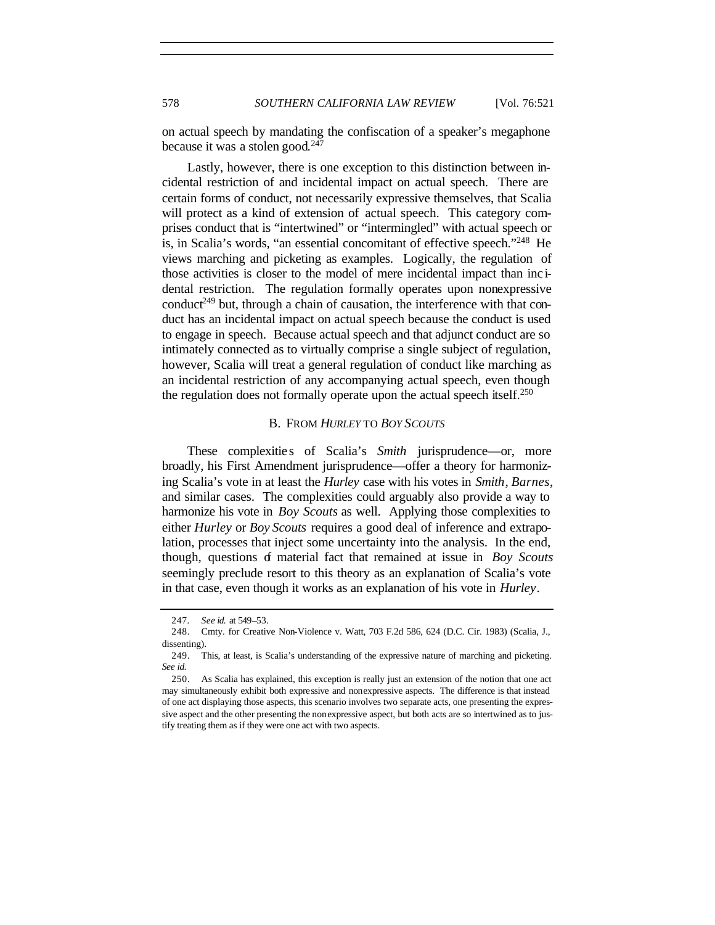on actual speech by mandating the confiscation of a speaker's megaphone because it was a stolen good.<sup>247</sup>

Lastly, however, there is one exception to this distinction between incidental restriction of and incidental impact on actual speech. There are certain forms of conduct, not necessarily expressive themselves, that Scalia will protect as a kind of extension of actual speech. This category comprises conduct that is "intertwined" or "intermingled" with actual speech or is, in Scalia's words, "an essential concomitant of effective speech."<sup>248</sup> He views marching and picketing as examples. Logically, the regulation of those activities is closer to the model of mere incidental impact than inc idental restriction. The regulation formally operates upon nonexpressive conduct<sup>249</sup> but, through a chain of causation, the interference with that conduct has an incidental impact on actual speech because the conduct is used to engage in speech. Because actual speech and that adjunct conduct are so intimately connected as to virtually comprise a single subject of regulation, however, Scalia will treat a general regulation of conduct like marching as an incidental restriction of any accompanying actual speech, even though the regulation does not formally operate upon the actual speech itself.<sup>250</sup>

### B. FROM *HURLEY* TO *BOY SCOUTS*

These complexities of Scalia's *Smith* jurisprudence—or, more broadly, his First Amendment jurisprudence—offer a theory for harmonizing Scalia's vote in at least the *Hurley* case with his votes in *Smith*, *Barnes*, and similar cases. The complexities could arguably also provide a way to harmonize his vote in *Boy Scouts* as well. Applying those complexities to either *Hurley* or *Boy Scouts* requires a good deal of inference and extrapolation, processes that inject some uncertainty into the analysis. In the end, though, questions of material fact that remained at issue in *Boy Scouts* seemingly preclude resort to this theory as an explanation of Scalia's vote in that case, even though it works as an explanation of his vote in *Hurley*.

<sup>247</sup>*. See id.* at 549–53.

<sup>248.</sup> Cmty. for Creative Non-Violence v. Watt, 703 F.2d 586, 624 (D.C. Cir. 1983) (Scalia, J., dissenting).

<sup>249.</sup> This, at least, is Scalia's understanding of the expressive nature of marching and picketing. *See id.*

<sup>250.</sup> As Scalia has explained, this exception is really just an extension of the notion that one act may simultaneously exhibit both expressive and nonexpressive aspects. The difference is that instead of one act displaying those aspects, this scenario involves two separate acts, one presenting the expressive aspect and the other presenting the nonexpressive aspect, but both acts are so intertwined as to justify treating them as if they were one act with two aspects.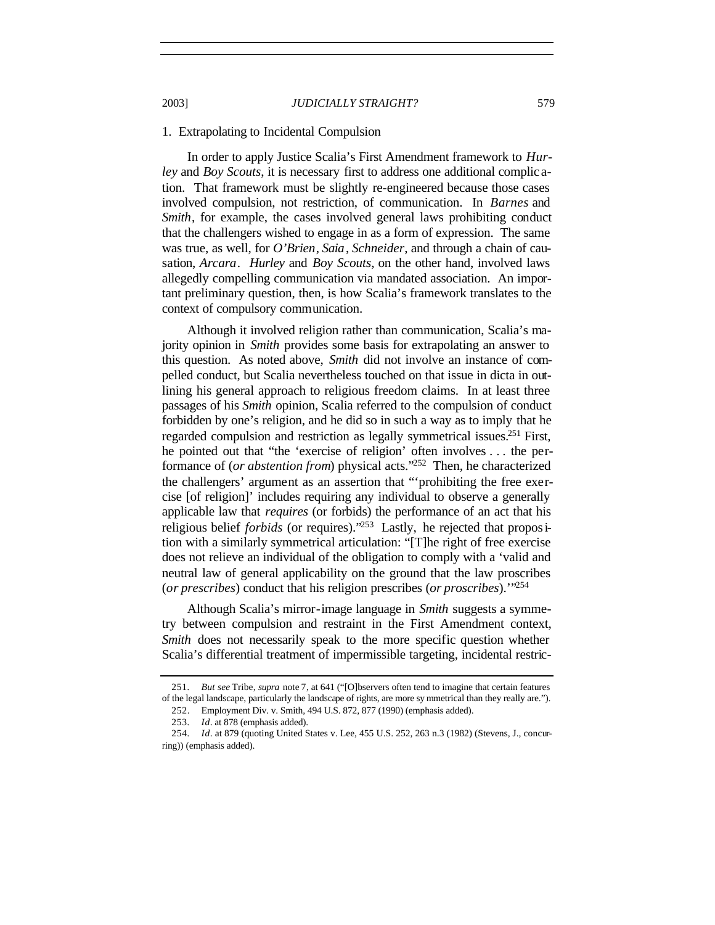#### 1. Extrapolating to Incidental Compulsion

In order to apply Justice Scalia's First Amendment framework to *Hurley* and *Boy Scouts*, it is necessary first to address one additional complic ation. That framework must be slightly re-engineered because those cases involved compulsion, not restriction, of communication. In *Barnes* and *Smith*, for example, the cases involved general laws prohibiting conduct that the challengers wished to engage in as a form of expression. The same was true, as well, for *O'Brien*, *Saia*, *Schneider*, and through a chain of causation, *Arcara*. *Hurley* and *Boy Scouts*, on the other hand, involved laws allegedly compelling communication via mandated association. An important preliminary question, then, is how Scalia's framework translates to the context of compulsory communication.

Although it involved religion rather than communication, Scalia's majority opinion in *Smith* provides some basis for extrapolating an answer to this question. As noted above, *Smith* did not involve an instance of compelled conduct, but Scalia nevertheless touched on that issue in dicta in outlining his general approach to religious freedom claims. In at least three passages of his *Smith* opinion, Scalia referred to the compulsion of conduct forbidden by one's religion, and he did so in such a way as to imply that he regarded compulsion and restriction as legally symmetrical issues.<sup>251</sup> First, he pointed out that "the 'exercise of religion' often involves . . . the performance of (*or abstention from*) physical acts."<sup>252</sup> Then, he characterized the challengers' argument as an assertion that "'prohibiting the free exercise [of religion]' includes requiring any individual to observe a generally applicable law that *requires* (or forbids) the performance of an act that his religious belief *forbids* (or requires)."<sup>253</sup> Lastly, he rejected that proposition with a similarly symmetrical articulation: "[T]he right of free exercise does not relieve an individual of the obligation to comply with a 'valid and neutral law of general applicability on the ground that the law proscribes (*or prescribes*) conduct that his religion prescribes (*or proscribes*).'"<sup>254</sup>

Although Scalia's mirror-image language in *Smith* suggests a symmetry between compulsion and restraint in the First Amendment context, *Smith* does not necessarily speak to the more specific question whether Scalia's differential treatment of impermissible targeting, incidental restric-

<sup>251</sup>*. But see* Tribe, *supra* note 7, at 641 ("[O]bservers often tend to imagine that certain features of the legal landscape, particularly the landscape of rights, are more sy mmetrical than they really are.").

<sup>252.</sup> Employment Div. v. Smith, 494 U.S. 872, 877 (1990) (emphasis added).

<sup>253</sup>*. Id*. at 878 (emphasis added).

<sup>254</sup>*. Id*. at 879 (quoting United States v. Lee, 455 U.S. 252, 263 n.3 (1982) (Stevens, J., concurring)) (emphasis added).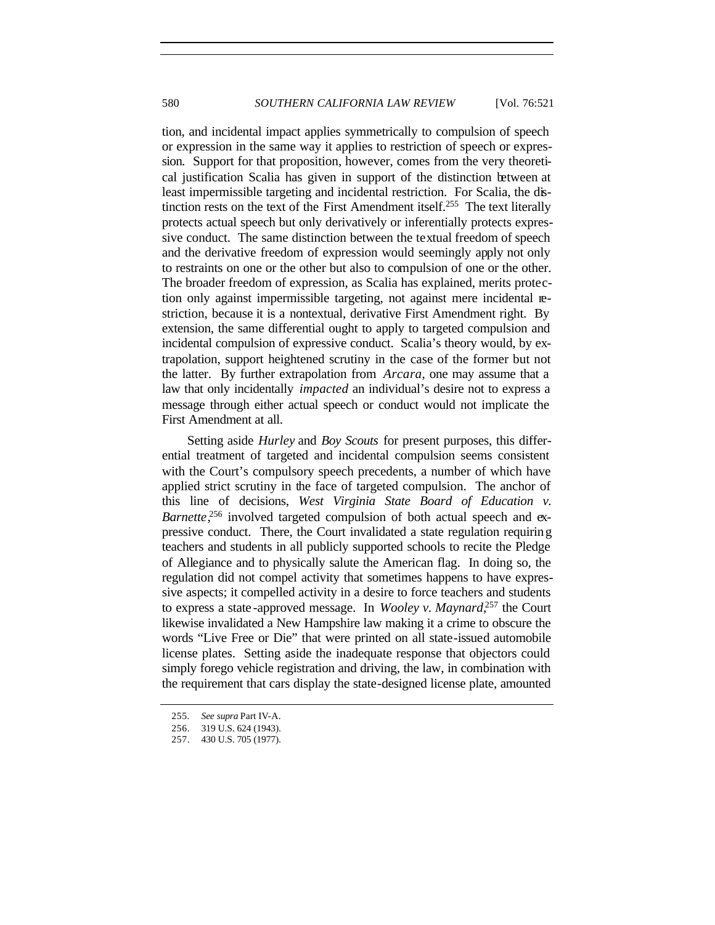tion, and incidental impact applies symmetrically to compulsion of speech or expression in the same way it applies to restriction of speech or expression. Support for that proposition, however, comes from the very theoretical justification Scalia has given in support of the distinction between at least impermissible targeting and incidental restriction. For Scalia, the distinction rests on the text of the First Amendment itself.<sup>255</sup> The text literally protects actual speech but only derivatively or inferentially protects expressive conduct. The same distinction between the textual freedom of speech and the derivative freedom of expression would seemingly apply not only to restraints on one or the other but also to compulsion of one or the other. The broader freedom of expression, as Scalia has explained, merits protection only against impermissible targeting, not against mere incidental restriction, because it is a nontextual, derivative First Amendment right. By extension, the same differential ought to apply to targeted compulsion and incidental compulsion of expressive conduct. Scalia's theory would, by extrapolation, support heightened scrutiny in the case of the former but not the latter. By further extrapolation from *Arcara*, one may assume that a law that only incidentally *impacted* an individual's desire not to express a message through either actual speech or conduct would not implicate the First Amendment at all.

Setting aside *Hurley* and *Boy Scouts* for present purposes, this differential treatment of targeted and incidental compulsion seems consistent with the Court's compulsory speech precedents, a number of which have applied strict scrutiny in the face of targeted compulsion. The anchor of this line of decisions, *West Virginia State Board of Education v.* Barnette<sup>256</sup> involved targeted compulsion of both actual speech and expressive conduct. There, the Court invalidated a state regulation requiring teachers and students in all publicly supported schools to recite the Pledge of Allegiance and to physically salute the American flag. In doing so, the regulation did not compel activity that sometimes happens to have expressive aspects; it compelled activity in a desire to force teachers and students to express a state -approved message. In *Wooley v. Maynard*, <sup>257</sup> the Court likewise invalidated a New Hampshire law making it a crime to obscure the words "Live Free or Die" that were printed on all state-issued automobile license plates. Setting aside the inadequate response that objectors could simply forego vehicle registration and driving, the law, in combination with the requirement that cars display the state-designed license plate, amounted

<sup>255</sup>*. See supra* Part IV-A.

<sup>256.</sup> 319 U.S. 624 (1943).

<sup>257.</sup> 430 U.S. 705 (1977).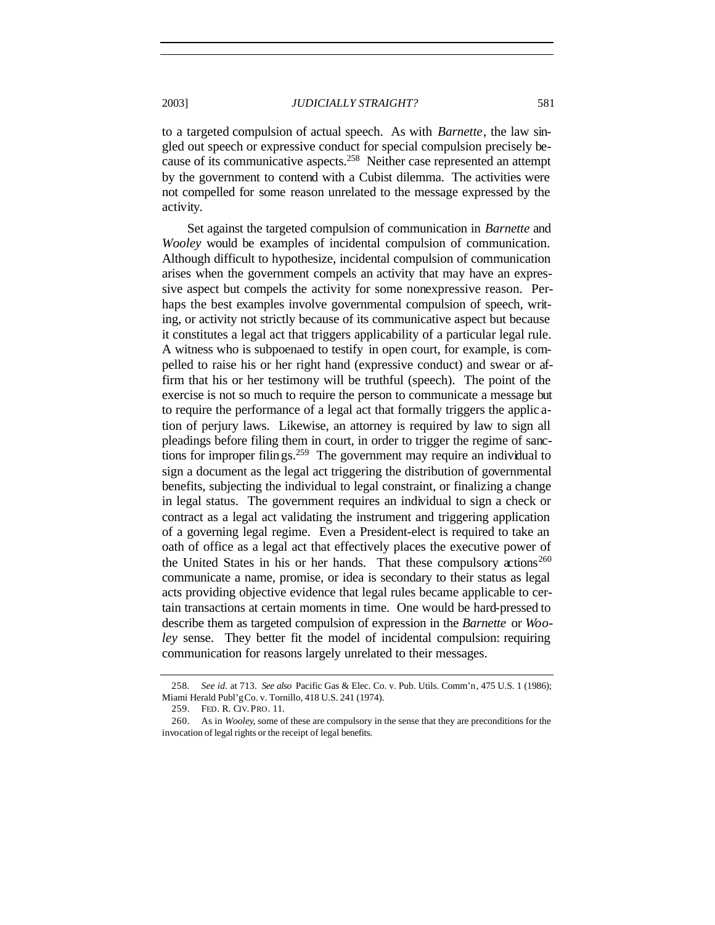to a targeted compulsion of actual speech. As with *Barnette*, the law singled out speech or expressive conduct for special compulsion precisely because of its communicative aspects.<sup>258</sup> Neither case represented an attempt by the government to contend with a Cubist dilemma. The activities were not compelled for some reason unrelated to the message expressed by the activity.

Set against the targeted compulsion of communication in *Barnette* and *Wooley* would be examples of incidental compulsion of communication. Although difficult to hypothesize, incidental compulsion of communication arises when the government compels an activity that may have an expressive aspect but compels the activity for some nonexpressive reason. Perhaps the best examples involve governmental compulsion of speech, writing, or activity not strictly because of its communicative aspect but because it constitutes a legal act that triggers applicability of a particular legal rule. A witness who is subpoenaed to testify in open court, for example, is compelled to raise his or her right hand (expressive conduct) and swear or affirm that his or her testimony will be truthful (speech). The point of the exercise is not so much to require the person to communicate a message but to require the performance of a legal act that formally triggers the applic ation of perjury laws. Likewise, an attorney is required by law to sign all pleadings before filing them in court, in order to trigger the regime of sanctions for improper filings.<sup>259</sup> The government may require an individual to sign a document as the legal act triggering the distribution of governmental benefits, subjecting the individual to legal constraint, or finalizing a change in legal status. The government requires an individual to sign a check or contract as a legal act validating the instrument and triggering application of a governing legal regime. Even a President-elect is required to take an oath of office as a legal act that effectively places the executive power of the United States in his or her hands. That these compulsory  $\alpha$  tions<sup>260</sup> communicate a name, promise, or idea is secondary to their status as legal acts providing objective evidence that legal rules became applicable to certain transactions at certain moments in time. One would be hard-pressed to describe them as targeted compulsion of expression in the *Barnette* or *Wooley* sense. They better fit the model of incidental compulsion: requiring communication for reasons largely unrelated to their messages.

<sup>258</sup>*. See id.* at 713. *See also* Pacific Gas & Elec. Co. v. Pub. Utils. Comm'n, 475 U.S. 1 (1986); Miami Herald Publ'g Co. v. Tornillo, 418 U.S. 241 (1974).

<sup>259.</sup> FED. R. CIV. PRO. 11.

<sup>260.</sup> As in *Wooley*, some of these are compulsory in the sense that they are preconditions for the invocation of legal rights or the receipt of legal benefits.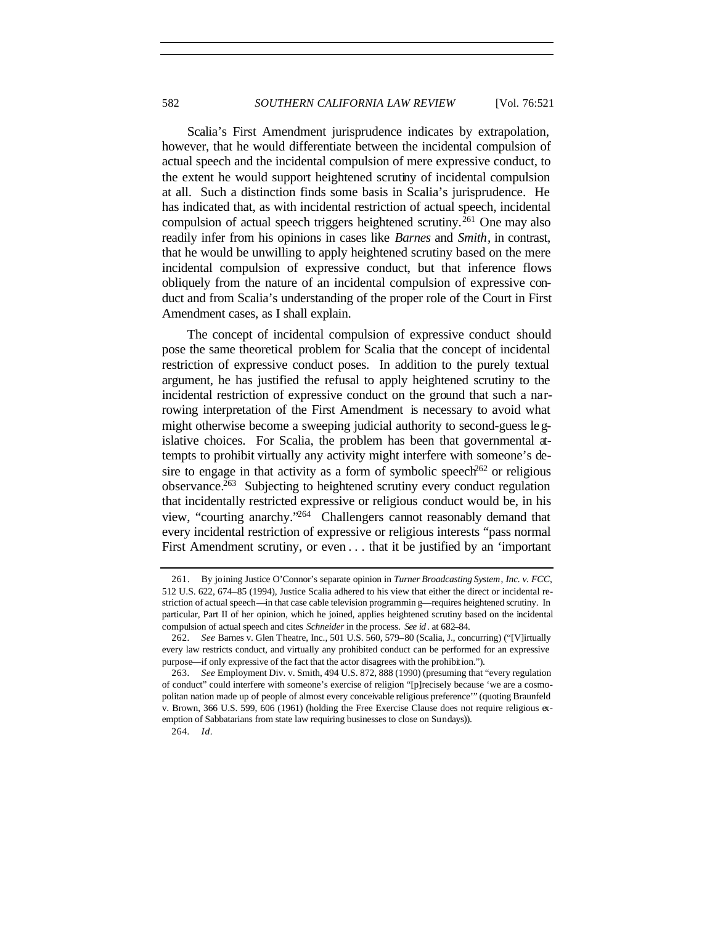Scalia's First Amendment jurisprudence indicates by extrapolation, however, that he would differentiate between the incidental compulsion of actual speech and the incidental compulsion of mere expressive conduct, to the extent he would support heightened scrutiny of incidental compulsion at all. Such a distinction finds some basis in Scalia's jurisprudence. He has indicated that, as with incidental restriction of actual speech, incidental compulsion of actual speech triggers heightened scrutiny.<sup>261</sup> One may also readily infer from his opinions in cases like *Barnes* and *Smith*, in contrast, that he would be unwilling to apply heightened scrutiny based on the mere incidental compulsion of expressive conduct, but that inference flows obliquely from the nature of an incidental compulsion of expressive conduct and from Scalia's understanding of the proper role of the Court in First Amendment cases, as I shall explain.

The concept of incidental compulsion of expressive conduct should pose the same theoretical problem for Scalia that the concept of incidental restriction of expressive conduct poses. In addition to the purely textual argument, he has justified the refusal to apply heightened scrutiny to the incidental restriction of expressive conduct on the ground that such a narrowing interpretation of the First Amendment is necessary to avoid what might otherwise become a sweeping judicial authority to second-guess legislative choices. For Scalia, the problem has been that governmental attempts to prohibit virtually any activity might interfere with someone's desire to engage in that activity as a form of symbolic speech<sup>262</sup> or religious observance.<sup>263</sup> Subjecting to heightened scrutiny every conduct regulation that incidentally restricted expressive or religious conduct would be, in his view, "courting anarchy."<sup>264</sup> Challengers cannot reasonably demand that every incidental restriction of expressive or religious interests "pass normal First Amendment scrutiny, or even . . . that it be justified by an 'important

<sup>261.</sup> By joining Justice O'Connor's separate opinion in *Turner Broadcasting System*, *Inc. v. FCC*, 512 U.S. 622, 674–85 (1994), Justice Scalia adhered to his view that either the direct or incidental restriction of actual speech—in that case cable television programmin g—requires heightened scrutiny. In particular, Part II of her opinion, which he joined, applies heightened scrutiny based on the incidental compulsion of actual speech and cites *Schneider* in the process. *See id* . at 682–84.

<sup>262</sup>*. See* Barnes v. Glen Theatre, Inc., 501 U.S. 560, 579–80 (Scalia, J., concurring) ("[V]irtually every law restricts conduct, and virtually any prohibited conduct can be performed for an expressive purpose—if only expressive of the fact that the actor disagrees with the prohibition.").

<sup>263</sup>*. See* Employment Div. v. Smith, 494 U.S. 872, 888 (1990) (presuming that "every regulation of conduct" could interfere with someone's exercise of religion "[p]recisely because 'we are a cosmopolitan nation made up of people of almost every conceivable religious preference'" (quoting Braunfeld v. Brown, 366 U.S. 599, 606 (1961) (holding the Free Exercise Clause does not require religious exemption of Sabbatarians from state law requiring businesses to close on Sundays)).

<sup>264</sup>*. Id*.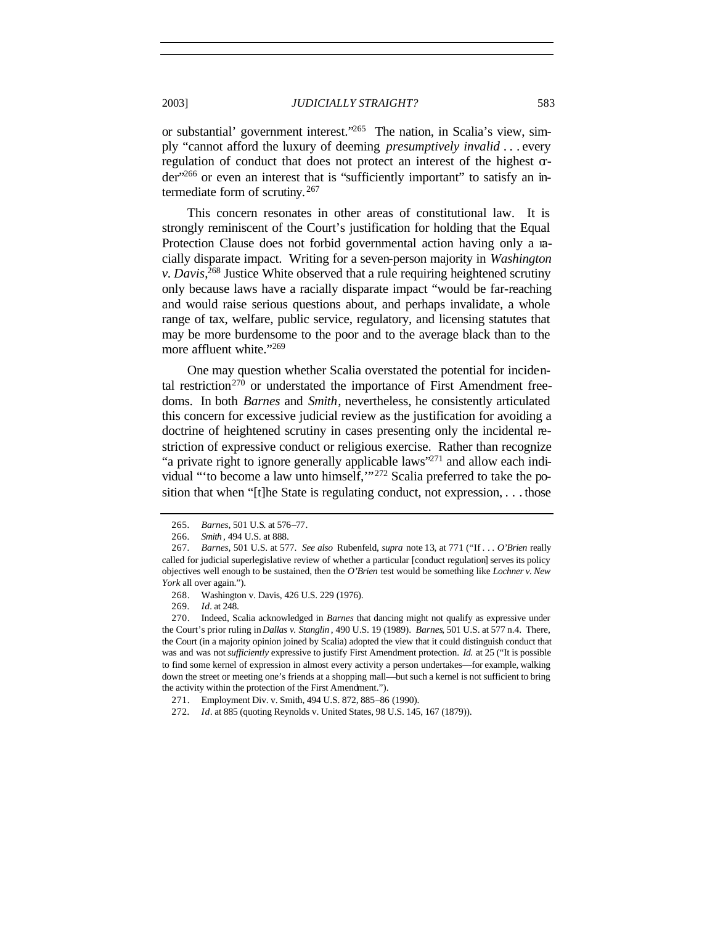or substantial' government interest."265 The nation, in Scalia's view, simply "cannot afford the luxury of deeming *presumptively invalid* . . . every regulation of conduct that does not protect an interest of the highest order"266 or even an interest that is "sufficiently important" to satisfy an intermediate form of scrutiny. <sup>267</sup>

This concern resonates in other areas of constitutional law. It is strongly reminiscent of the Court's justification for holding that the Equal Protection Clause does not forbid governmental action having only a racially disparate impact. Writing for a seven-person majority in *Washington v. Davis*, <sup>268</sup> Justice White observed that a rule requiring heightened scrutiny only because laws have a racially disparate impact "would be far-reaching and would raise serious questions about, and perhaps invalidate, a whole range of tax, welfare, public service, regulatory, and licensing statutes that may be more burdensome to the poor and to the average black than to the more affluent white."269

One may question whether Scalia overstated the potential for incidental restriction<sup>270</sup> or understated the importance of First Amendment freedoms. In both *Barnes* and *Smith*, nevertheless, he consistently articulated this concern for excessive judicial review as the justification for avoiding a doctrine of heightened scrutiny in cases presenting only the incidental restriction of expressive conduct or religious exercise. Rather than recognize "a private right to ignore generally applicable laws"<sup>271</sup> and allow each individual "'to become a law unto himself,'"272 Scalia preferred to take the position that when "[t]he State is regulating conduct, not expression, . . . those

<sup>265</sup>*. Barnes*, 501 U.S. at 576–77.

<sup>266</sup>*. Smith* , 494 U.S. at 888.

<sup>267</sup>*. Barnes*, 501 U.S. at 577. *See also* Rubenfeld, *supra* note 13, at 771 ("If . . . *O'Brien* really called for judicial superlegislative review of whether a particular [conduct regulation] serves its policy objectives well enough to be sustained, then the *O'Brien* test would be something like *Lochner v. New York* all over again.").

<sup>268.</sup> Washington v. Davis, 426 U.S. 229 (1976).

<sup>269</sup>*. Id.* at 248.

<sup>270.</sup> Indeed, Scalia acknowledged in *Barnes* that dancing might not qualify as expressive under the Court's prior ruling in *Dallas v. Stanglin* , 490 U.S. 19 (1989). *Barnes*, 501 U.S. at 577 n.4. There, the Court (in a majority opinion joined by Scalia) adopted the view that it could distinguish conduct that was and was not *sufficiently* expressive to justify First Amendment protection. *Id.* at 25 ("It is possible to find some kernel of expression in almost every activity a person undertakes—for example, walking down the street or meeting one's friends at a shopping mall—but such a kernel is not sufficient to bring the activity within the protection of the First Amendment.").

<sup>271.</sup> Employment Div. v. Smith, 494 U.S. 872, 885–86 (1990).

<sup>272</sup>*. Id*. at 885 (quoting Reynolds v. United States, 98 U.S. 145, 167 (1879)).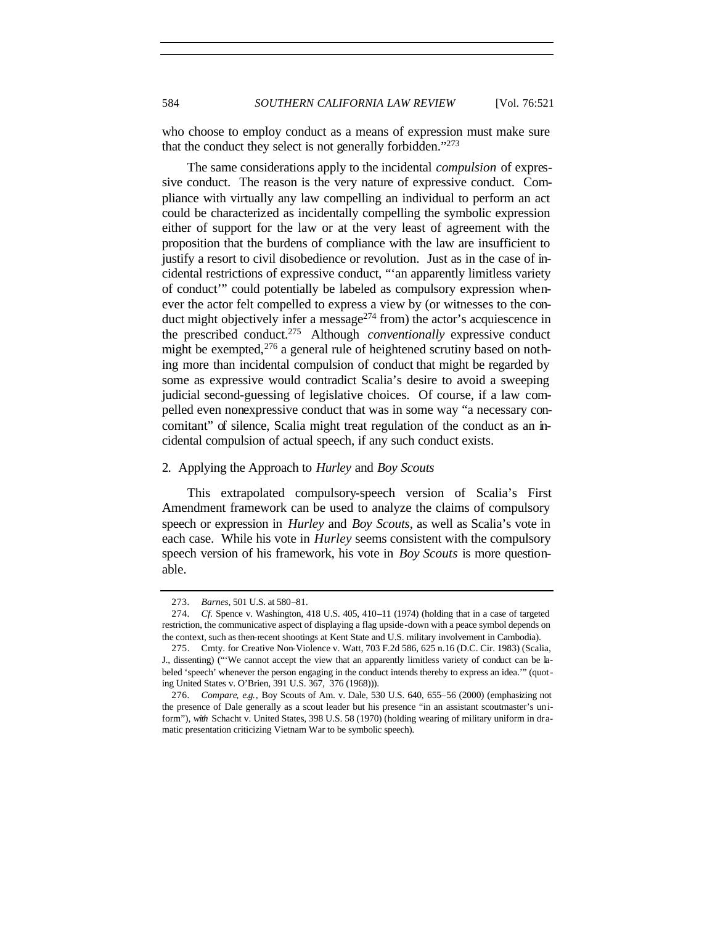who choose to employ conduct as a means of expression must make sure that the conduct they select is not generally forbidden."<sup>273</sup>

The same considerations apply to the incidental *compulsion* of expressive conduct. The reason is the very nature of expressive conduct. Compliance with virtually any law compelling an individual to perform an act could be characterized as incidentally compelling the symbolic expression either of support for the law or at the very least of agreement with the proposition that the burdens of compliance with the law are insufficient to justify a resort to civil disobedience or revolution. Just as in the case of incidental restrictions of expressive conduct, "'an apparently limitless variety of conduct'" could potentially be labeled as compulsory expression whenever the actor felt compelled to express a view by (or witnesses to the conduct might objectively infer a message $^{274}$  from) the actor's acquiescence in the prescribed conduct.<sup>275</sup> Although *conventionally* expressive conduct might be exempted,  $276$  a general rule of heightened scrutiny based on nothing more than incidental compulsion of conduct that might be regarded by some as expressive would contradict Scalia's desire to avoid a sweeping judicial second-guessing of legislative choices. Of course, if a law compelled even nonexpressive conduct that was in some way "a necessary concomitant" of silence, Scalia might treat regulation of the conduct as an incidental compulsion of actual speech, if any such conduct exists.

### 2. Applying the Approach to *Hurley* and *Boy Scouts*

This extrapolated compulsory-speech version of Scalia's First Amendment framework can be used to analyze the claims of compulsory speech or expression in *Hurley* and *Boy Scouts*, as well as Scalia's vote in each case. While his vote in *Hurley* seems consistent with the compulsory speech version of his framework, his vote in *Boy Scouts* is more questionable.

<sup>273</sup>*. Barnes*, 501 U.S. at 580–81.

<sup>274</sup>*. Cf.* Spence v. Washington, 418 U.S. 405, 410–11 (1974) (holding that in a case of targeted restriction, the communicative aspect of displaying a flag upside-down with a peace symbol depends on the context, such as then-recent shootings at Kent State and U.S. military involvement in Cambodia).

<sup>275.</sup> Cmty. for Creative Non-Violence v. Watt, 703 F.2d 586, 625 n.16 (D.C. Cir. 1983) (Scalia, J., dissenting) ("'We cannot accept the view that an apparently limitless variety of conduct can be labeled 'speech' whenever the person engaging in the conduct intends thereby to express an idea.'" (quoting United States v. O'Brien, 391 U.S. 367, 376 (1968))).

<sup>276</sup>*. Compare*, *e.g.*, Boy Scouts of Am. v. Dale, 530 U.S. 640, 655–56 (2000) (emphasizing not the presence of Dale generally as a scout leader but his presence "in an assistant scoutmaster's uniform"), *with* Schacht v. United States, 398 U.S. 58 (1970) (holding wearing of military uniform in dramatic presentation criticizing Vietnam War to be symbolic speech).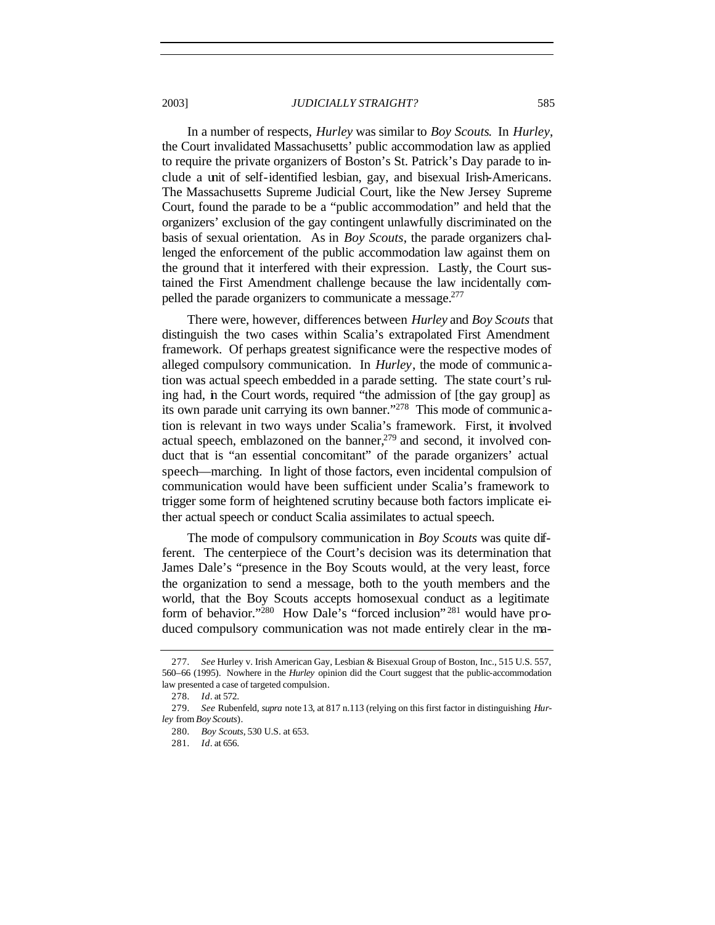In a number of respects, *Hurley* was similar to *Boy Scouts*. In *Hurley*, the Court invalidated Massachusetts' public accommodation law as applied to require the private organizers of Boston's St. Patrick's Day parade to include a unit of self-identified lesbian, gay, and bisexual Irish-Americans. The Massachusetts Supreme Judicial Court, like the New Jersey Supreme Court, found the parade to be a "public accommodation" and held that the organizers' exclusion of the gay contingent unlawfully discriminated on the basis of sexual orientation. As in *Boy Scouts*, the parade organizers challenged the enforcement of the public accommodation law against them on the ground that it interfered with their expression. Lastly, the Court sustained the First Amendment challenge because the law incidentally compelled the parade organizers to communicate a message.<sup>277</sup>

There were, however, differences between *Hurley* and *Boy Scouts* that distinguish the two cases within Scalia's extrapolated First Amendment framework. Of perhaps greatest significance were the respective modes of alleged compulsory communication. In *Hurley*, the mode of communic ation was actual speech embedded in a parade setting. The state court's ruling had, in the Court words, required "the admission of [the gay group] as its own parade unit carrying its own banner."<sup>278</sup> This mode of communic ation is relevant in two ways under Scalia's framework. First, it involved actual speech, emblazoned on the banner, $279$  and second, it involved conduct that is "an essential concomitant" of the parade organizers' actual speech—marching. In light of those factors, even incidental compulsion of communication would have been sufficient under Scalia's framework to trigger some form of heightened scrutiny because both factors implicate either actual speech or conduct Scalia assimilates to actual speech.

The mode of compulsory communication in *Boy Scouts* was quite different. The centerpiece of the Court's decision was its determination that James Dale's "presence in the Boy Scouts would, at the very least, force the organization to send a message, both to the youth members and the world, that the Boy Scouts accepts homosexual conduct as a legitimate form of behavior."<sup>280</sup> How Dale's "forced inclusion"<sup>281</sup> would have produced compulsory communication was not made entirely clear in the ma-

<sup>277</sup>*. See* Hurley v. Irish American Gay, Lesbian & Bisexual Group of Boston, Inc., 515 U.S. 557, 560–66 (1995). Nowhere in the *Hurley* opinion did the Court suggest that the public-accommodation law presented a case of targeted compulsion.

<sup>278</sup>*. Id*. at 572.

<sup>279</sup>*. See* Rubenfeld, *supra* note 13, at 817 n.113 (relying on this first factor in distinguishing *Hurley* from *Boy Scouts*).

<sup>280</sup>*. Boy Scouts*, 530 U.S. at 653.

<sup>281</sup>*. Id*. at 656.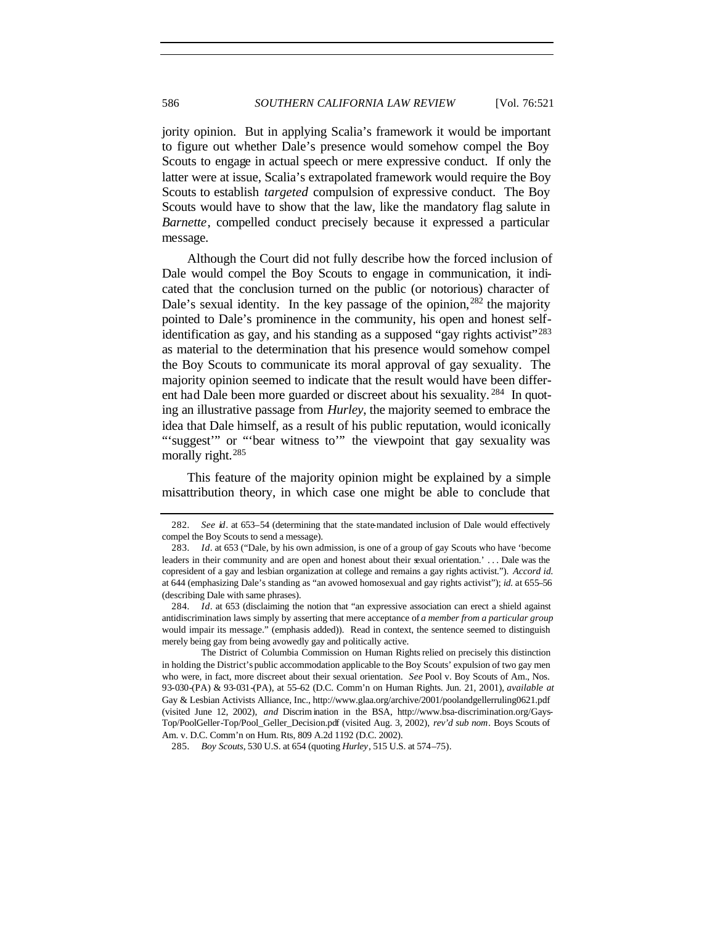jority opinion. But in applying Scalia's framework it would be important to figure out whether Dale's presence would somehow compel the Boy Scouts to engage in actual speech or mere expressive conduct. If only the latter were at issue, Scalia's extrapolated framework would require the Boy Scouts to establish *targeted* compulsion of expressive conduct. The Boy Scouts would have to show that the law, like the mandatory flag salute in *Barnette*, compelled conduct precisely because it expressed a particular message.

Although the Court did not fully describe how the forced inclusion of Dale would compel the Boy Scouts to engage in communication, it indicated that the conclusion turned on the public (or notorious) character of Dale's sexual identity. In the key passage of the opinion,  $282$  the majority pointed to Dale's prominence in the community, his open and honest selfidentification as gay, and his standing as a supposed "gay rights activist"<sup>283</sup> as material to the determination that his presence would somehow compel the Boy Scouts to communicate its moral approval of gay sexuality. The majority opinion seemed to indicate that the result would have been different had Dale been more guarded or discreet about his sexuality.<sup>284</sup> In quoting an illustrative passage from *Hurley*, the majority seemed to embrace the idea that Dale himself, as a result of his public reputation, would iconically "'suggest" or "'bear witness to"' the viewpoint that gay sexuality was morally right.<sup>285</sup>

This feature of the majority opinion might be explained by a simple misattribution theory, in which case one might be able to conclude that

<sup>282</sup>*. See id*. at 653–54 (determining that the state-mandated inclusion of Dale would effectively compel the Boy Scouts to send a message).

<sup>283</sup>*. Id*. at 653 ("Dale, by his own admission, is one of a group of gay Scouts who have 'become leaders in their community and are open and honest about their sexual orientation.' . . . Dale was the copresident of a gay and lesbian organization at college and remains a gay rights activist."). *Accord id.* at 644 (emphasizing Dale's standing as "an avowed homosexual and gay rights activist"); *id.* at 655–56 (describing Dale with same phrases).

<sup>284</sup>*. Id*. at 653 (disclaiming the notion that "an expressive association can erect a shield against antidiscrimination laws simply by asserting that mere acceptance of *a member from a particular group* would impair its message." (emphasis added)). Read in context, the sentence seemed to distinguish merely being gay from being avowedly gay and politically active.

The District of Columbia Commission on Human Rights relied on precisely this distinction in holding the District's public accommodation applicable to the Boy Scouts' expulsion of two gay men who were, in fact, more discreet about their sexual orientation. *See* Pool v. Boy Scouts of Am., Nos. 93-030-(PA) & 93-031-(PA), at 55–62 (D.C. Comm'n on Human Rights. Jun. 21, 2001), *available at* Gay & Lesbian Activists Alliance, Inc., http://www.glaa.org/archive/2001/poolandgellerruling0621.pdf (visited June 12, 2002), *and* Discrimination in the BSA, http://www.bsa-discrimination.org/Gays-Top/PoolGeller-Top/Pool\_Geller\_Decision.pdf (visited Aug. 3, 2002), *rev'd sub nom.* Boys Scouts of Am. v. D.C. Comm'n on Hum. Rts, 809 A.2d 1192 (D.C. 2002).

<sup>285</sup>*. Boy Scouts*, 530 U.S. at 654 (quoting *Hurley*, 515 U.S. at 574–75).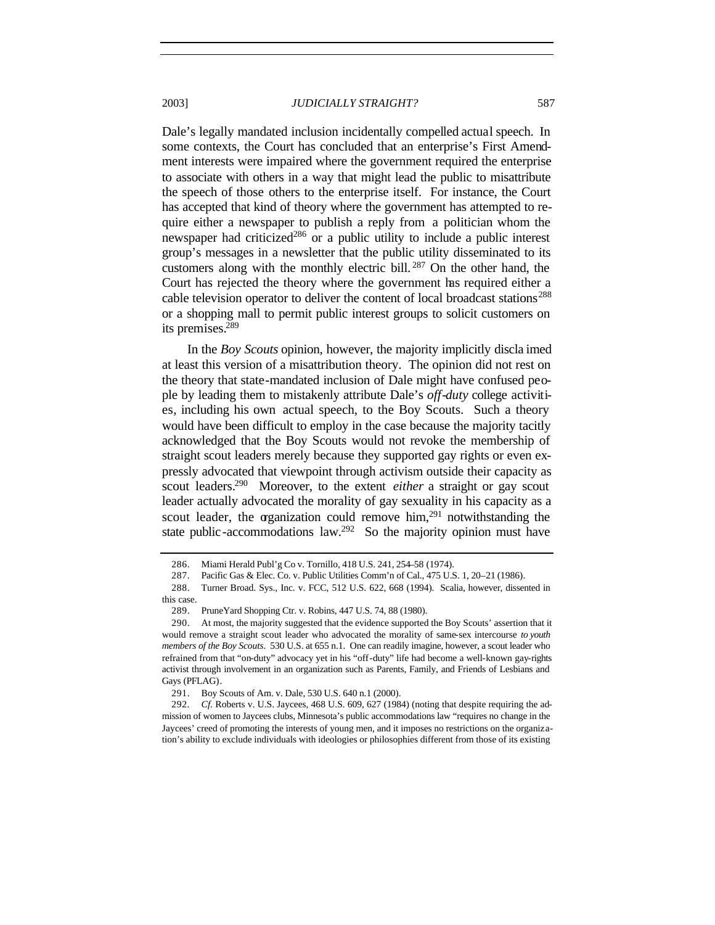Dale's legally mandated inclusion incidentally compelled actual speech. In some contexts, the Court has concluded that an enterprise's First Amendment interests were impaired where the government required the enterprise to associate with others in a way that might lead the public to misattribute the speech of those others to the enterprise itself. For instance, the Court has accepted that kind of theory where the government has attempted to require either a newspaper to publish a reply from a politician whom the newspaper had criticized<sup>286</sup> or a public utility to include a public interest group's messages in a newsletter that the public utility disseminated to its customers along with the monthly electric bill. <sup>287</sup> On the other hand, the Court has rejected the theory where the government has required either a cable television operator to deliver the content of local broadcast stations<sup>288</sup> or a shopping mall to permit public interest groups to solicit customers on its premises.<sup>289</sup>

In the *Boy Scouts* opinion, however, the majority implicitly discla imed at least this version of a misattribution theory. The opinion did not rest on the theory that state-mandated inclusion of Dale might have confused people by leading them to mistakenly attribute Dale's *off-duty* college activities, including his own actual speech, to the Boy Scouts. Such a theory would have been difficult to employ in the case because the majority tacitly acknowledged that the Boy Scouts would not revoke the membership of straight scout leaders merely because they supported gay rights or even expressly advocated that viewpoint through activism outside their capacity as scout leaders.<sup>290</sup> Moreover, to the extent *either* a straight or gay scout leader actually advocated the morality of gay sexuality in his capacity as a scout leader, the organization could remove  $\lim_{n \to \infty}$  notwithstanding the state public-accommodations law.<sup>292</sup> So the majority opinion must have

<sup>286.</sup> Miami Herald Publ'g Co v. Tornillo, 418 U.S. 241, 254–58 (1974).

<sup>287.</sup> Pacific Gas & Elec. Co. v. Public Utilities Comm'n of Cal., 475 U.S. 1, 20–21 (1986).

<sup>288.</sup> Turner Broad. Sys., Inc. v. FCC, 512 U.S. 622, 668 (1994). Scalia, however, dissented in this case.

<sup>289.</sup> PruneYard Shopping Ctr. v. Robins, 447 U.S. 74, 88 (1980).

<sup>290.</sup> At most, the majority suggested that the evidence supported the Boy Scouts' assertion that it would remove a straight scout leader who advocated the morality of same-sex intercourse *to youth members of the Boy Scouts*. 530 U.S. at 655 n.1. One can readily imagine, however, a scout leader who refrained from that "on-duty" advocacy yet in his "off-duty" life had become a well-known gay-rights activist through involvement in an organization such as Parents, Family, and Friends of Lesbians and Gays (PFLAG).

<sup>291.</sup> Boy Scouts of Am. v. Dale, 530 U.S. 640 n.1 (2000).

<sup>292</sup>*. Cf.* Roberts v. U.S. Jaycees, 468 U.S. 609, 627 (1984) (noting that despite requiring the admission of women to Jaycees clubs, Minnesota's public accommodations law "requires no change in the Jaycees' creed of promoting the interests of young men, and it imposes no restrictions on the organization's ability to exclude individuals with ideologies or philosophies different from those of its existing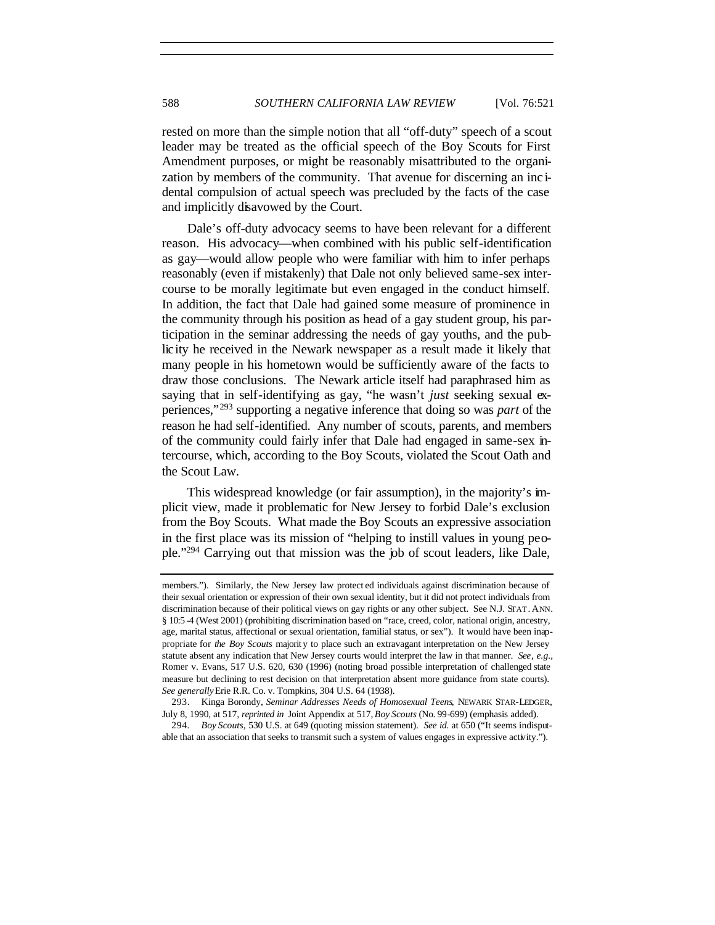rested on more than the simple notion that all "off-duty" speech of a scout leader may be treated as the official speech of the Boy Scouts for First Amendment purposes, or might be reasonably misattributed to the organization by members of the community. That avenue for discerning an inc idental compulsion of actual speech was precluded by the facts of the case and implicitly disavowed by the Court.

Dale's off-duty advocacy seems to have been relevant for a different reason. His advocacy—when combined with his public self-identification as gay—would allow people who were familiar with him to infer perhaps reasonably (even if mistakenly) that Dale not only believed same-sex intercourse to be morally legitimate but even engaged in the conduct himself. In addition, the fact that Dale had gained some measure of prominence in the community through his position as head of a gay student group, his participation in the seminar addressing the needs of gay youths, and the publicity he received in the Newark newspaper as a result made it likely that many people in his hometown would be sufficiently aware of the facts to draw those conclusions. The Newark article itself had paraphrased him as saying that in self-identifying as gay, "he wasn't *just* seeking sexual experiences,"<sup>293</sup> supporting a negative inference that doing so was *part* of the reason he had self-identified. Any number of scouts, parents, and members of the community could fairly infer that Dale had engaged in same-sex intercourse, which, according to the Boy Scouts, violated the Scout Oath and the Scout Law.

This widespread knowledge (or fair assumption), in the majority's implicit view, made it problematic for New Jersey to forbid Dale's exclusion from the Boy Scouts. What made the Boy Scouts an expressive association in the first place was its mission of "helping to instill values in young people."<sup>294</sup> Carrying out that mission was the job of scout leaders, like Dale,

members."). Similarly, the New Jersey law protect ed individuals against discrimination because of their sexual orientation or expression of their own sexual identity, but it did not protect individuals from discrimination because of their political views on gay rights or any other subject. See N.J. STAT. ANN. § 10:5 -4 (West 2001) (prohibiting discrimination based on "race, creed, color, national origin, ancestry, age, marital status, affectional or sexual orientation, familial status, or sex"). It would have been inappropriate for *the Boy Scouts* majorit y to place such an extravagant interpretation on the New Jersey statute absent any indication that New Jersey courts would interpret the law in that manner. *See, e.g.*, Romer v. Evans, 517 U.S. 620, 630 (1996) (noting broad possible interpretation of challenged state measure but declining to rest decision on that interpretation absent more guidance from state courts). *See generally* Erie R.R. Co. v. Tompkins, 304 U.S. 64 (1938).

<sup>293.</sup> Kinga Borondy, *Seminar Addresses Needs of Homosexual Teens*, NEWARK STAR-LEDGER, July 8, 1990, at 517, *reprinted in* Joint Appendix at 517, *Boy Scouts* (No. 99-699) (emphasis added).

<sup>294</sup>*. Boy Scouts*, 530 U.S. at 649 (quoting mission statement). *See id.* at 650 ("It seems indisputable that an association that seeks to transmit such a system of values engages in expressive activity.").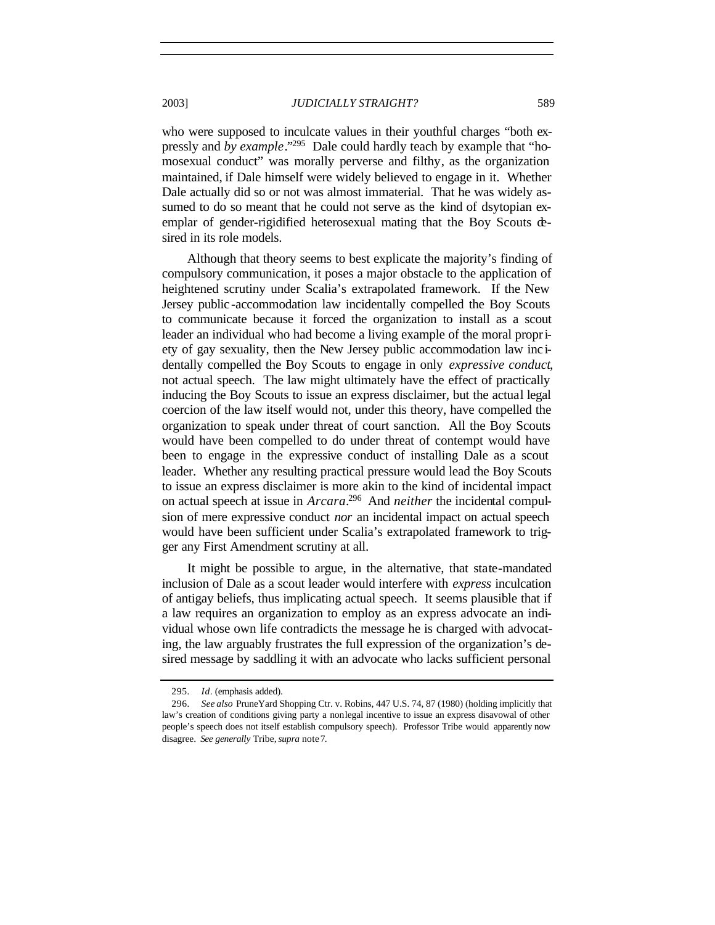who were supposed to inculcate values in their youthful charges "both expressly and *by example*."<sup>295</sup> Dale could hardly teach by example that "homosexual conduct" was morally perverse and filthy, as the organization maintained, if Dale himself were widely believed to engage in it. Whether Dale actually did so or not was almost immaterial. That he was widely assumed to do so meant that he could not serve as the kind of dsytopian exemplar of gender-rigidified heterosexual mating that the Boy Scouts desired in its role models.

Although that theory seems to best explicate the majority's finding of compulsory communication, it poses a major obstacle to the application of heightened scrutiny under Scalia's extrapolated framework. If the New Jersey public -accommodation law incidentally compelled the Boy Scouts to communicate because it forced the organization to install as a scout leader an individual who had become a living example of the moral propriety of gay sexuality, then the New Jersey public accommodation law inc identally compelled the Boy Scouts to engage in only *expressive conduct*, not actual speech. The law might ultimately have the effect of practically inducing the Boy Scouts to issue an express disclaimer, but the actual legal coercion of the law itself would not, under this theory, have compelled the organization to speak under threat of court sanction. All the Boy Scouts would have been compelled to do under threat of contempt would have been to engage in the expressive conduct of installing Dale as a scout leader. Whether any resulting practical pressure would lead the Boy Scouts to issue an express disclaimer is more akin to the kind of incidental impact on actual speech at issue in *Arcara*. <sup>296</sup> And *neither* the incidental compulsion of mere expressive conduct *nor* an incidental impact on actual speech would have been sufficient under Scalia's extrapolated framework to trigger any First Amendment scrutiny at all.

It might be possible to argue, in the alternative, that state-mandated inclusion of Dale as a scout leader would interfere with *express* inculcation of antigay beliefs, thus implicating actual speech. It seems plausible that if a law requires an organization to employ as an express advocate an individual whose own life contradicts the message he is charged with advocating, the law arguably frustrates the full expression of the organization's desired message by saddling it with an advocate who lacks sufficient personal

<sup>295</sup>*. Id*. (emphasis added).

<sup>296</sup>*. See also* PruneYard Shopping Ctr. v. Robins, 447 U.S. 74, 87 (1980) (holding implicitly that law's creation of conditions giving party a nonlegal incentive to issue an express disavowal of other people's speech does not itself establish compulsory speech). Professor Tribe would apparently now disagree. *See generally* Tribe,*supra* note7.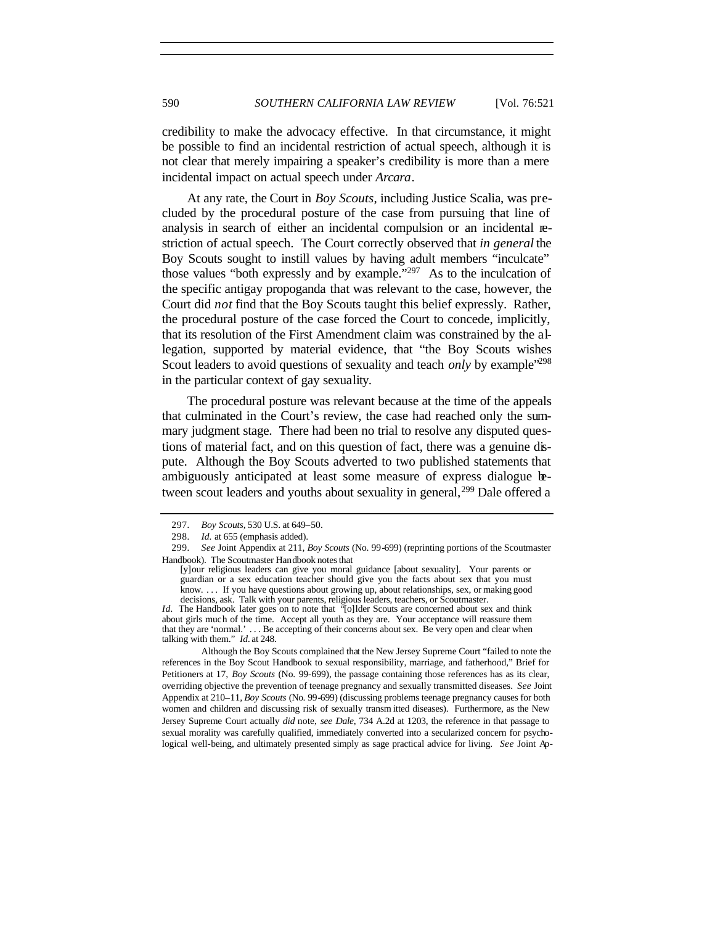credibility to make the advocacy effective. In that circumstance, it might be possible to find an incidental restriction of actual speech, although it is not clear that merely impairing a speaker's credibility is more than a mere incidental impact on actual speech under *Arcara*.

At any rate, the Court in *Boy Scouts*, including Justice Scalia, was precluded by the procedural posture of the case from pursuing that line of analysis in search of either an incidental compulsion or an incidental restriction of actual speech. The Court correctly observed that *in general* the Boy Scouts sought to instill values by having adult members "inculcate" those values "both expressly and by example."<sup>297</sup> As to the inculcation of the specific antigay propoganda that was relevant to the case, however, the Court did *not* find that the Boy Scouts taught this belief expressly. Rather, the procedural posture of the case forced the Court to concede, implicitly, that its resolution of the First Amendment claim was constrained by the allegation, supported by material evidence, that "the Boy Scouts wishes Scout leaders to avoid questions of sexuality and teach *only* by example<sup>'298</sup> in the particular context of gay sexuality.

The procedural posture was relevant because at the time of the appeals that culminated in the Court's review, the case had reached only the summary judgment stage. There had been no trial to resolve any disputed questions of material fact, and on this question of fact, there was a genuine dispute. Although the Boy Scouts adverted to two published statements that ambiguously anticipated at least some measure of express dialogue between scout leaders and youths about sexuality in general,<sup>299</sup> Dale offered a

Although the Boy Scouts complained that the New Jersey Supreme Court "failed to note the references in the Boy Scout Handbook to sexual responsibility, marriage, and fatherhood," Brief for Petitioners at 17, *Boy Scouts* (No. 99-699), the passage containing those references has as its clear, overriding objective the prevention of teenage pregnancy and sexually transmitted diseases. *See* Joint Appendix at 210–11, *Boy Scouts* (No. 99-699) (discussing problems teenage pregnancy causes for both women and children and discussing risk of sexually transm itted diseases). Furthermore, as the New Jersey Supreme Court actually *did* note, *see Dale*, 734 A.2d at 1203, the reference in that passage to sexual morality was carefully qualified, immediately converted into a secularized concern for psychological well-being, and ultimately presented simply as sage practical advice for living. *See* Joint Ap-

<sup>297</sup>*. Boy Scouts*, 530 U.S. at 649–50.

<sup>298</sup>*. Id.* at 655 (emphasis added).

<sup>299</sup>*. See* Joint Appendix at 211, *Boy Scouts* (No. 99-699) (reprinting portions of the Scoutmaster Handbook). The Scoutmaster Handbook notes that

<sup>[</sup>y]our religious leaders can give you moral guidance [about sexuality]. Your parents or guardian or a sex education teacher should give you the facts about sex that you must know. . . . If you have questions about growing up, about relationships, sex, or making good decisions, ask. Talk with your parents, religious leaders, teachers, or Scoutmaster.

*Id.* The Handbook later goes on to note that "[o]lder Scouts are concerned about sex and think about girls much of the time. Accept all youth as they are. Your acceptance will reassure them that they are 'normal.' ... Be accepting of their concerns about sex. Be very open and clear when talking with them." *Id.* at 248.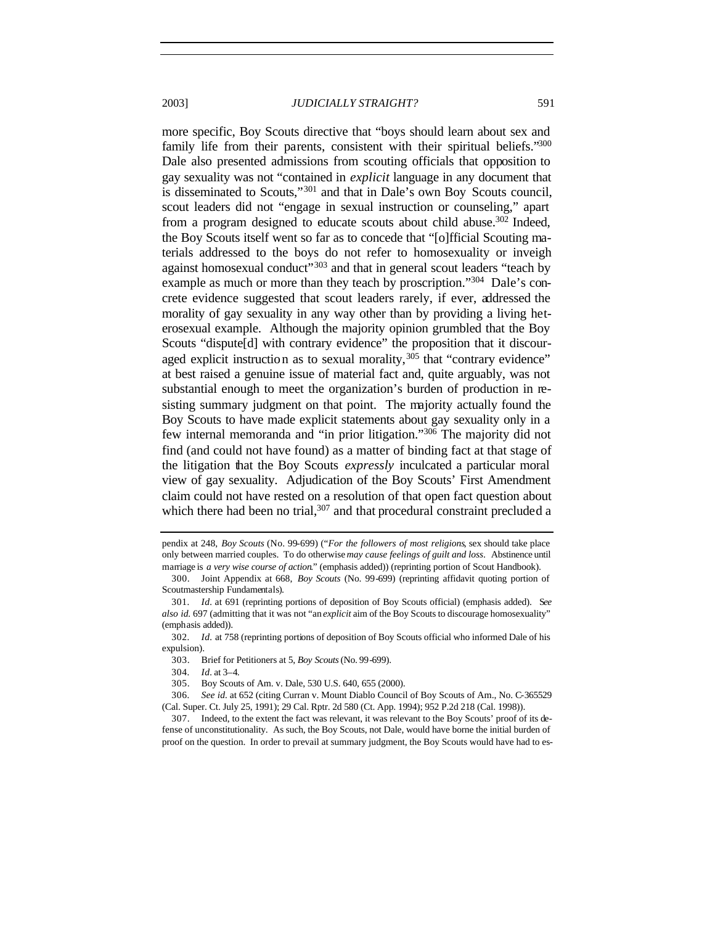more specific, Boy Scouts directive that "boys should learn about sex and family life from their parents, consistent with their spiritual beliefs."300 Dale also presented admissions from scouting officials that opposition to gay sexuality was not "contained in *explicit* language in any document that is disseminated to Scouts,"<sup>301</sup> and that in Dale's own Boy Scouts council, scout leaders did not "engage in sexual instruction or counseling," apart from a program designed to educate scouts about child abuse.<sup>302</sup> Indeed, the Boy Scouts itself went so far as to concede that "[o]fficial Scouting materials addressed to the boys do not refer to homosexuality or inveigh against homosexual conduct<sup>"303</sup> and that in general scout leaders "teach by example as much or more than they teach by proscription."<sup>304</sup> Dale's concrete evidence suggested that scout leaders rarely, if ever, addressed the morality of gay sexuality in any way other than by providing a living heterosexual example. Although the majority opinion grumbled that the Boy Scouts "dispute<sup>[d]</sup> with contrary evidence" the proposition that it discouraged explicit instruction as to sexual morality,  $305$  that "contrary evidence" at best raised a genuine issue of material fact and, quite arguably, was not substantial enough to meet the organization's burden of production in resisting summary judgment on that point. The majority actually found the Boy Scouts to have made explicit statements about gay sexuality only in a few internal memoranda and "in prior litigation."<sup>306</sup> The majority did not find (and could not have found) as a matter of binding fact at that stage of the litigation that the Boy Scouts *expressly* inculcated a particular moral view of gay sexuality. Adjudication of the Boy Scouts' First Amendment claim could not have rested on a resolution of that open fact question about which there had been no trial, $307$  and that procedural constraint precluded a

pendix at 248, *Boy Scouts* (No. 99-699) ("*For the followers of most religions*, sex should take place only between married couples. To do otherwise *may cause feelings of guilt and loss*. Abstinence until marriage is *a very wise course of action*." (emphasis added)) (reprinting portion of Scout Handbook).

<sup>300.</sup> Joint Appendix at 668, *Boy Scouts* (No. 99-699) (reprinting affidavit quoting portion of Scoutmastership Fundamentals).

<sup>301</sup>*. Id.* at 691 (reprinting portions of deposition of Boy Scouts official) (emphasis added). S*ee also id.* 697 (admitting that it was not "an *explicit* aim of the Boy Scouts to discourage homosexuality" (emphasis added)).

<sup>302</sup>*. Id.* at 758 (reprinting portions of deposition of Boy Scouts official who informed Dale of his expulsion).

<sup>303.</sup> Brief for Petitioners at 5, *Boy Scouts* (No. 99-699).

<sup>304</sup>*. Id.* at 3–4.

<sup>305.</sup> Boy Scouts of Am. v. Dale, 530 U.S. 640, 655 (2000).

<sup>306</sup>*. See id.* at 652 (citing Curran v. Mount Diablo Council of Boy Scouts of Am., No. C-365529 (Cal. Super. Ct. July 25, 1991); 29 Cal. Rptr. 2d 580 (Ct. App. 1994); 952 P.2d 218 (Cal. 1998)).

<sup>307.</sup> Indeed, to the extent the fact was relevant, it was relevant to the Boy Scouts' proof of its defense of unconstitutionality. As such, the Boy Scouts, not Dale, would have borne the initial burden of proof on the question. In order to prevail at summary judgment, the Boy Scouts would have had to es-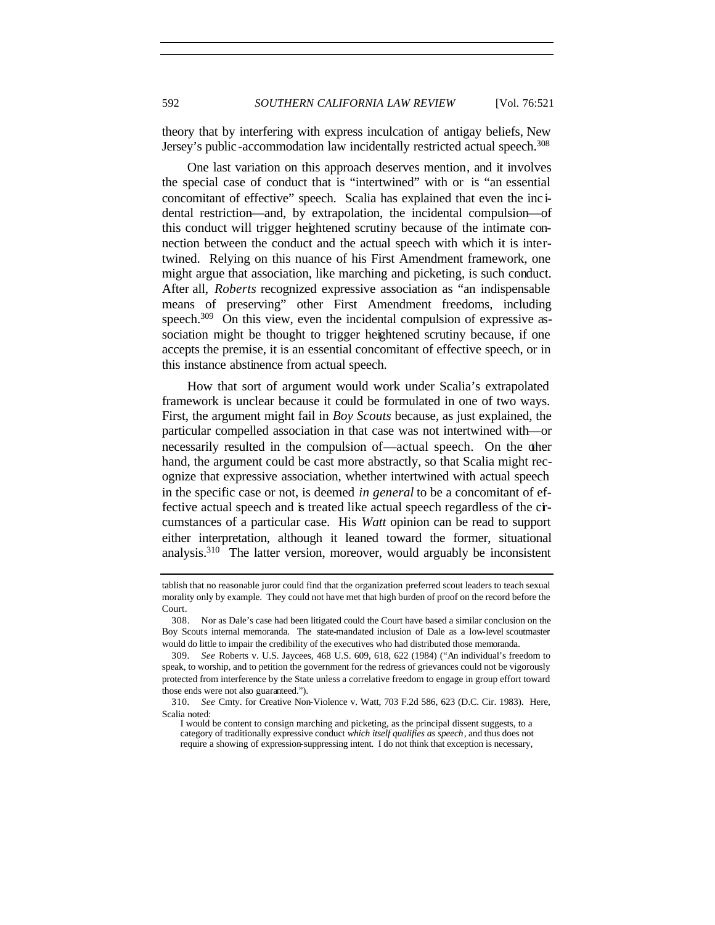theory that by interfering with express inculcation of antigay beliefs, New Jersey's public-accommodation law incidentally restricted actual speech.<sup>308</sup>

One last variation on this approach deserves mention, and it involves the special case of conduct that is "intertwined" with or is "an essential concomitant of effective" speech. Scalia has explained that even the inc idental restriction—and, by extrapolation, the incidental compulsion—of this conduct will trigger heightened scrutiny because of the intimate connection between the conduct and the actual speech with which it is intertwined. Relying on this nuance of his First Amendment framework, one might argue that association, like marching and picketing, is such conduct. After all, *Roberts* recognized expressive association as "an indispensable means of preserving" other First Amendment freedoms, including speech.<sup>309</sup> On this view, even the incidental compulsion of expressive association might be thought to trigger heightened scrutiny because, if one accepts the premise, it is an essential concomitant of effective speech, or in this instance abstinence from actual speech.

How that sort of argument would work under Scalia's extrapolated framework is unclear because it could be formulated in one of two ways. First, the argument might fail in *Boy Scouts* because, as just explained, the particular compelled association in that case was not intertwined with—or necessarily resulted in the compulsion of—actual speech. On the other hand, the argument could be cast more abstractly, so that Scalia might recognize that expressive association, whether intertwined with actual speech in the specific case or not, is deemed *in general* to be a concomitant of effective actual speech and is treated like actual speech regardless of the circumstances of a particular case. His *Watt* opinion can be read to support either interpretation, although it leaned toward the former, situational analysis.<sup>310</sup> The latter version, moreover, would arguably be inconsistent

tablish that no reasonable juror could find that the organization preferred scout leaders to teach sexual morality only by example. They could not have met that high burden of proof on the record before the Court.

<sup>308.</sup> Nor as Dale's case had been litigated could the Court have based a similar conclusion on the Boy Scouts internal memoranda. The state-mandated inclusion of Dale as a low-level scoutmaster would do little to impair the credibility of the executives who had distributed those memoranda.

<sup>309</sup>*. See* Roberts v. U.S. Jaycees, 468 U.S. 609, 618, 622 (1984) ("An individual's freedom to speak, to worship, and to petition the government for the redress of grievances could not be vigorously protected from interference by the State unless a correlative freedom to engage in group effort toward those ends were not also guaranteed.").

<sup>310</sup>*. See* Cmty. for Creative Non-Violence v. Watt, 703 F.2d 586, 623 (D.C. Cir. 1983). Here, Scalia noted:

I would be content to consign marching and picketing, as the principal dissent suggests, to a category of traditionally expressive conduct *which itself qualifies as speech*, and thus does not require a showing of expression-suppressing intent. I do not think that exception is necessary,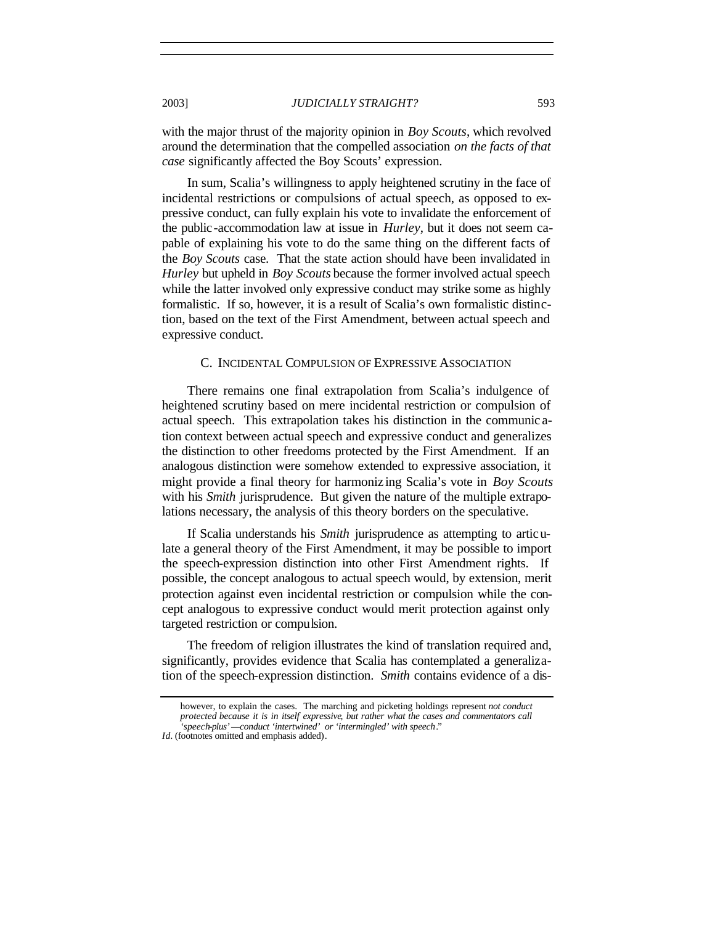with the major thrust of the majority opinion in *Boy Scouts*, which revolved around the determination that the compelled association *on the facts of that case* significantly affected the Boy Scouts' expression.

In sum, Scalia's willingness to apply heightened scrutiny in the face of incidental restrictions or compulsions of actual speech, as opposed to expressive conduct, can fully explain his vote to invalidate the enforcement of the public-accommodation law at issue in *Hurley*, but it does not seem capable of explaining his vote to do the same thing on the different facts of the *Boy Scouts* case. That the state action should have been invalidated in *Hurley* but upheld in *Boy Scouts* because the former involved actual speech while the latter involved only expressive conduct may strike some as highly formalistic. If so, however, it is a result of Scalia's own formalistic distinction, based on the text of the First Amendment, between actual speech and expressive conduct.

## C. INCIDENTAL COMPULSION OF EXPRESSIVE ASSOCIATION

There remains one final extrapolation from Scalia's indulgence of heightened scrutiny based on mere incidental restriction or compulsion of actual speech. This extrapolation takes his distinction in the communic ation context between actual speech and expressive conduct and generalizes the distinction to other freedoms protected by the First Amendment. If an analogous distinction were somehow extended to expressive association, it might provide a final theory for harmoniz ing Scalia's vote in *Boy Scouts* with his *Smith* jurisprudence. But given the nature of the multiple extrapolations necessary, the analysis of this theory borders on the speculative.

If Scalia understands his *Smith* jurisprudence as attempting to articulate a general theory of the First Amendment, it may be possible to import the speech-expression distinction into other First Amendment rights. If possible, the concept analogous to actual speech would, by extension, merit protection against even incidental restriction or compulsion while the concept analogous to expressive conduct would merit protection against only targeted restriction or compulsion.

The freedom of religion illustrates the kind of translation required and, significantly, provides evidence that Scalia has contemplated a generalization of the speech-expression distinction. *Smith* contains evidence of a dis-

however, to explain the cases. The marching and picketing holdings represent *not conduct protected because it is in itself expressive*, *but rather what the cases and commentators call 'speech-plus'—conduct 'intertwined' or 'intermingled' with speech*."

*Id.* (footnotes omitted and emphasis added).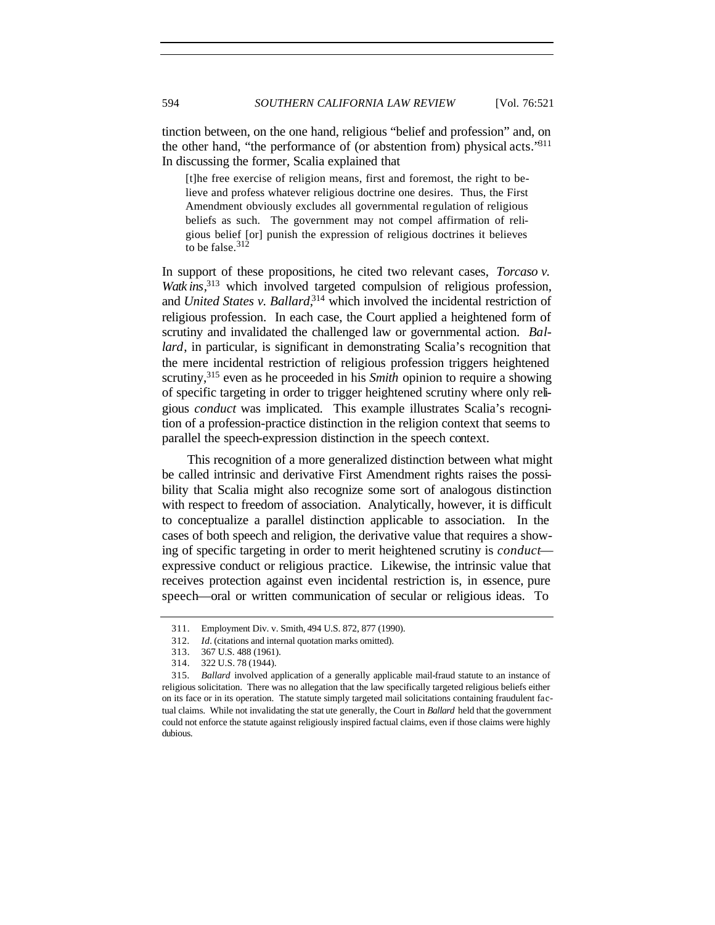tinction between, on the one hand, religious "belief and profession" and, on the other hand, "the performance of (or abstention from) physical acts."<sup>311</sup> In discussing the former, Scalia explained that

[t]he free exercise of religion means, first and foremost, the right to believe and profess whatever religious doctrine one desires. Thus, the First Amendment obviously excludes all governmental regulation of religious beliefs as such. The government may not compel affirmation of religious belief [or] punish the expression of religious doctrines it believes to be false.  $312$ 

In support of these propositions, he cited two relevant cases, *Torcaso v. Watk ins*, <sup>313</sup> which involved targeted compulsion of religious profession, and *United States v. Ballard*<sup>314</sup> which involved the incidental restriction of religious profession. In each case, the Court applied a heightened form of scrutiny and invalidated the challenged law or governmental action. *Ballard*, in particular, is significant in demonstrating Scalia's recognition that the mere incidental restriction of religious profession triggers heightened scrutiny,<sup>315</sup> even as he proceeded in his *Smith* opinion to require a showing of specific targeting in order to trigger heightened scrutiny where only religious *conduct* was implicated. This example illustrates Scalia's recognition of a profession-practice distinction in the religion context that seems to parallel the speech-expression distinction in the speech context.

This recognition of a more generalized distinction between what might be called intrinsic and derivative First Amendment rights raises the possibility that Scalia might also recognize some sort of analogous distinction with respect to freedom of association. Analytically, however, it is difficult to conceptualize a parallel distinction applicable to association. In the cases of both speech and religion, the derivative value that requires a showing of specific targeting in order to merit heightened scrutiny is *conduct* expressive conduct or religious practice. Likewise, the intrinsic value that receives protection against even incidental restriction is, in essence, pure speech—oral or written communication of secular or religious ideas. To

<sup>311.</sup> Employment Div. v. Smith, 494 U.S. 872, 877 (1990).

<sup>312</sup>*. Id.* (citations and internal quotation marks omitted).

<sup>313.</sup> 367 U.S. 488 (1961).

<sup>314.</sup> 322 U.S. 78 (1944).

<sup>315</sup>*. Ballard* involved application of a generally applicable mail-fraud statute to an instance of religious solicitation. There was no allegation that the law specifically targeted religious beliefs either on its face or in its operation. The statute simply targeted mail solicitations containing fraudulent factual claims. While not invalidating the stat ute generally, the Court in *Ballard* held that the government could not enforce the statute against religiously inspired factual claims, even if those claims were highly dubious.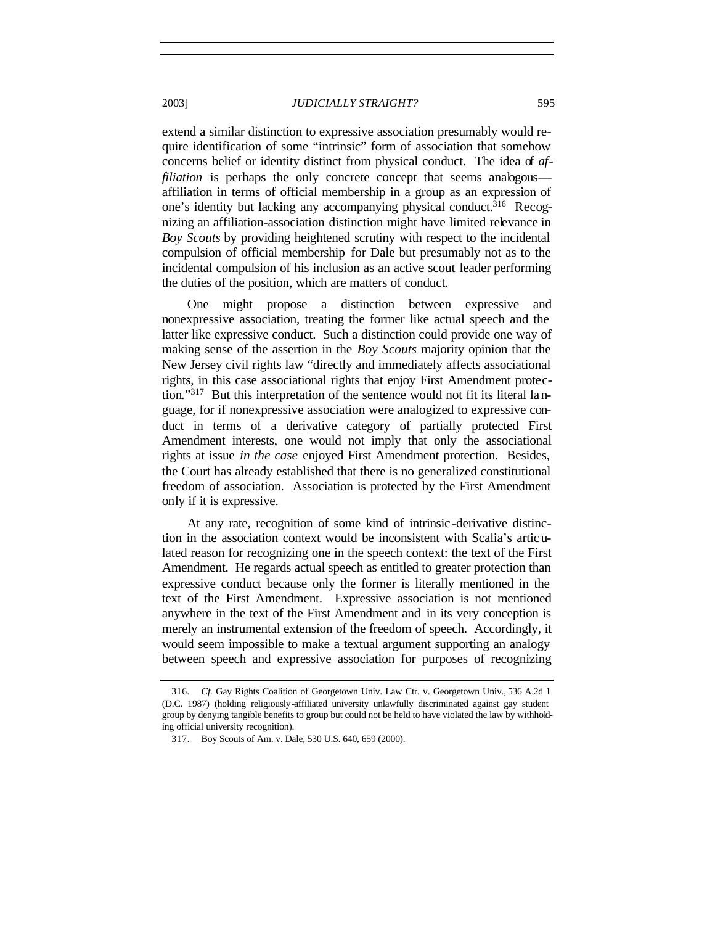## 2003] *JUDICIALLY STRAIGHT?* 595

extend a similar distinction to expressive association presumably would require identification of some "intrinsic" form of association that somehow concerns belief or identity distinct from physical conduct. The idea of *affiliation* is perhaps the only concrete concept that seems analogous affiliation in terms of official membership in a group as an expression of one's identity but lacking any accompanying physical conduct.<sup>316</sup> Recognizing an affiliation-association distinction might have limited relevance in *Boy Scouts* by providing heightened scrutiny with respect to the incidental compulsion of official membership for Dale but presumably not as to the incidental compulsion of his inclusion as an active scout leader performing the duties of the position, which are matters of conduct.

One might propose a distinction between expressive and nonexpressive association, treating the former like actual speech and the latter like expressive conduct. Such a distinction could provide one way of making sense of the assertion in the *Boy Scouts* majority opinion that the New Jersey civil rights law "directly and immediately affects associational rights, in this case associational rights that enjoy First Amendment protection."317 But this interpretation of the sentence would not fit its literal language, for if nonexpressive association were analogized to expressive conduct in terms of a derivative category of partially protected First Amendment interests, one would not imply that only the associational rights at issue *in the case* enjoyed First Amendment protection. Besides, the Court has already established that there is no generalized constitutional freedom of association. Association is protected by the First Amendment only if it is expressive.

At any rate, recognition of some kind of intrinsic -derivative distinction in the association context would be inconsistent with Scalia's articulated reason for recognizing one in the speech context: the text of the First Amendment. He regards actual speech as entitled to greater protection than expressive conduct because only the former is literally mentioned in the text of the First Amendment. Expressive association is not mentioned anywhere in the text of the First Amendment and in its very conception is merely an instrumental extension of the freedom of speech. Accordingly, it would seem impossible to make a textual argument supporting an analogy between speech and expressive association for purposes of recognizing

<sup>316</sup>*. Cf.* Gay Rights Coalition of Georgetown Univ. Law Ctr. v. Georgetown Univ., 536 A.2d 1 (D.C. 1987) (holding religiously-affiliated university unlawfully discriminated against gay student group by denying tangible benefits to group but could not be held to have violated the law by withholding official university recognition).

<sup>317.</sup> Boy Scouts of Am. v. Dale, 530 U.S. 640, 659 (2000).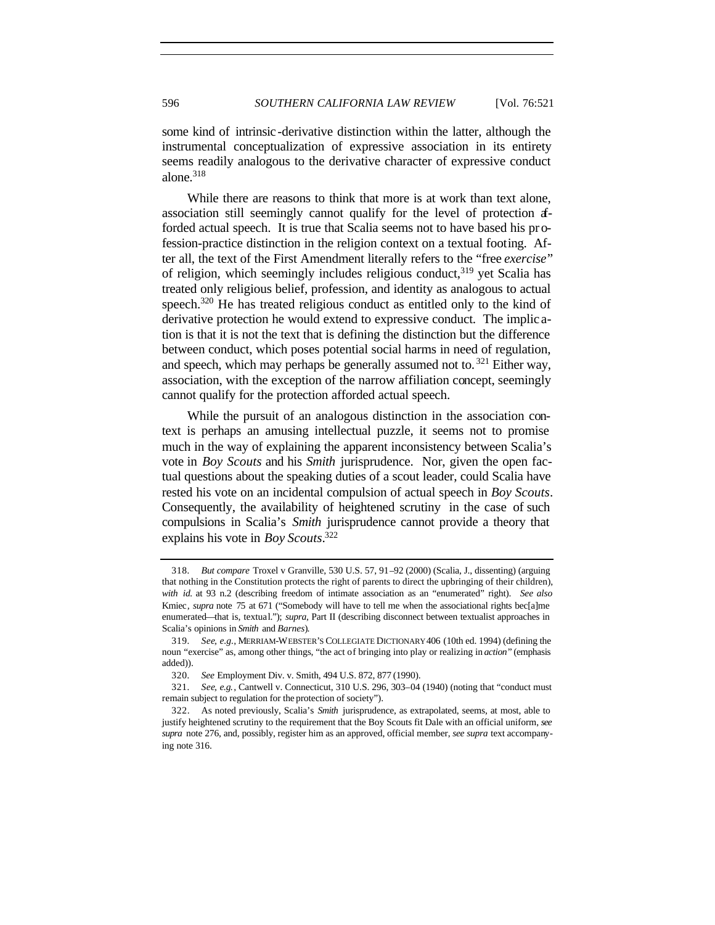some kind of intrinsic-derivative distinction within the latter, although the instrumental conceptualization of expressive association in its entirety seems readily analogous to the derivative character of expressive conduct alone. $318$ 

While there are reasons to think that more is at work than text alone, association still seemingly cannot qualify for the level of protection afforded actual speech. It is true that Scalia seems not to have based his profession-practice distinction in the religion context on a textual footing. After all, the text of the First Amendment literally refers to the "free *exercise*" of religion, which seemingly includes religious conduct,  $319$  yet Scalia has treated only religious belief, profession, and identity as analogous to actual speech.<sup>320</sup> He has treated religious conduct as entitled only to the kind of derivative protection he would extend to expressive conduct. The implic ation is that it is not the text that is defining the distinction but the difference between conduct, which poses potential social harms in need of regulation, and speech, which may perhaps be generally assumed not to.  $321$  Either way, association, with the exception of the narrow affiliation concept, seemingly cannot qualify for the protection afforded actual speech.

While the pursuit of an analogous distinction in the association context is perhaps an amusing intellectual puzzle, it seems not to promise much in the way of explaining the apparent inconsistency between Scalia's vote in *Boy Scouts* and his *Smith* jurisprudence. Nor, given the open factual questions about the speaking duties of a scout leader, could Scalia have rested his vote on an incidental compulsion of actual speech in *Boy Scouts*. Consequently, the availability of heightened scrutiny in the case of such compulsions in Scalia's *Smith* jurisprudence cannot provide a theory that explains his vote in *Boy Scouts*. 322

<sup>318</sup>*. But compare* Troxel v Granville, 530 U.S. 57, 91–92 (2000) (Scalia, J., dissenting) (arguing that nothing in the Constitution protects the right of parents to direct the upbringing of their children), *with id.* at 93 n.2 (describing freedom of intimate association as an "enumerated" right). *See also* Kmiec*, supra* note 75 at 671 ("Somebody will have to tell me when the associational rights bec[a]me enumerated—that is, textual."); *supra*, Part II (describing disconnect between textualist approaches in Scalia's opinions in *Smith* and *Barnes*).

<sup>319</sup>*. See, e.g.*, MERRIAM-WEBSTER'S COLLEGIATE DICTIONARY 406 (10th ed. 1994) (defining the noun "exercise" as, among other things, "the act of bringing into play or realizing in *action*" (emphasis added)).

<sup>320</sup>*. See* Employment Div. v. Smith, 494 U.S. 872, 877 (1990).

<sup>321</sup>*. See, e.g.*, Cantwell v. Connecticut, 310 U.S. 296, 303–04 (1940) (noting that "conduct must remain subject to regulation for the protection of society").

<sup>322.</sup> As noted previously, Scalia's *Smith* jurisprudence, as extrapolated, seems, at most, able to justify heightened scrutiny to the requirement that the Boy Scouts fit Dale with an official uniform, *see supra* note 276, and, possibly, register him as an approved, official member, *see supra* text accompanying note 316.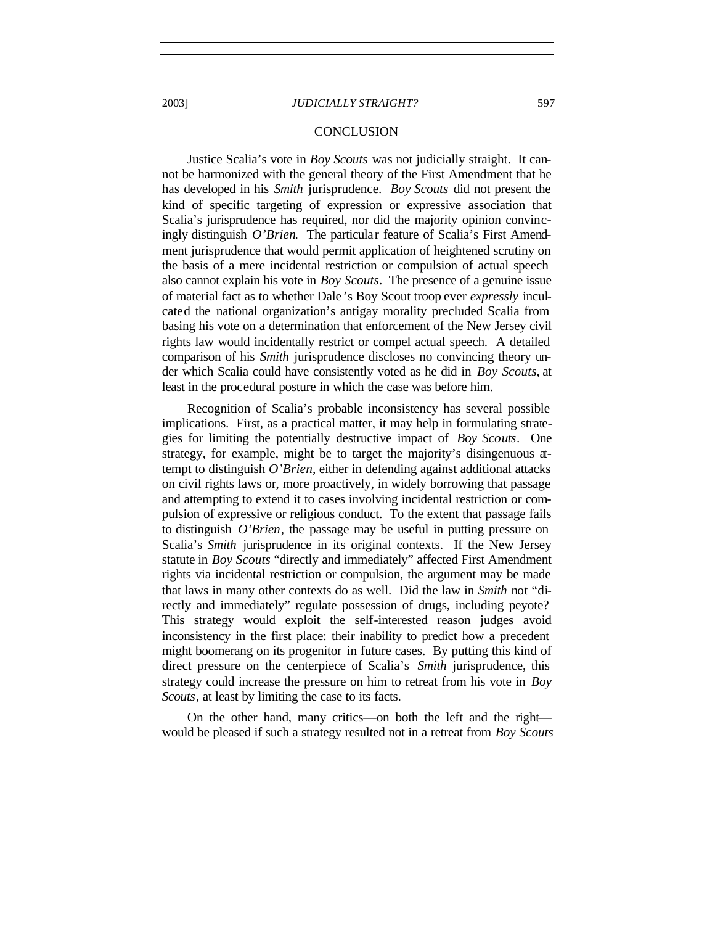## CONCLUSION

Justice Scalia's vote in *Boy Scouts* was not judicially straight. It cannot be harmonized with the general theory of the First Amendment that he has developed in his *Smith* jurisprudence. *Boy Scouts* did not present the kind of specific targeting of expression or expressive association that Scalia's jurisprudence has required, nor did the majority opinion convincingly distinguish *O'Brien*. The particular feature of Scalia's First Amendment jurisprudence that would permit application of heightened scrutiny on the basis of a mere incidental restriction or compulsion of actual speech also cannot explain his vote in *Boy Scouts*. The presence of a genuine issue of material fact as to whether Dale 's Boy Scout troop ever *expressly* inculcated the national organization's antigay morality precluded Scalia from basing his vote on a determination that enforcement of the New Jersey civil rights law would incidentally restrict or compel actual speech. A detailed comparison of his *Smith* jurisprudence discloses no convincing theory under which Scalia could have consistently voted as he did in *Boy Scouts*, at least in the procedural posture in which the case was before him.

Recognition of Scalia's probable inconsistency has several possible implications. First, as a practical matter, it may help in formulating strategies for limiting the potentially destructive impact of *Boy Scouts*. One strategy, for example, might be to target the majority's disingenuous attempt to distinguish *O'Brien*, either in defending against additional attacks on civil rights laws or, more proactively, in widely borrowing that passage and attempting to extend it to cases involving incidental restriction or compulsion of expressive or religious conduct. To the extent that passage fails to distinguish *O'Brien*, the passage may be useful in putting pressure on Scalia's *Smith* jurisprudence in its original contexts. If the New Jersey statute in *Boy Scouts* "directly and immediately" affected First Amendment rights via incidental restriction or compulsion, the argument may be made that laws in many other contexts do as well. Did the law in *Smith* not "directly and immediately" regulate possession of drugs, including peyote? This strategy would exploit the self-interested reason judges avoid inconsistency in the first place: their inability to predict how a precedent might boomerang on its progenitor in future cases. By putting this kind of direct pressure on the centerpiece of Scalia's *Smith* jurisprudence, this strategy could increase the pressure on him to retreat from his vote in *Boy Scouts*, at least by limiting the case to its facts.

On the other hand, many critics—on both the left and the right would be pleased if such a strategy resulted not in a retreat from *Boy Scouts*